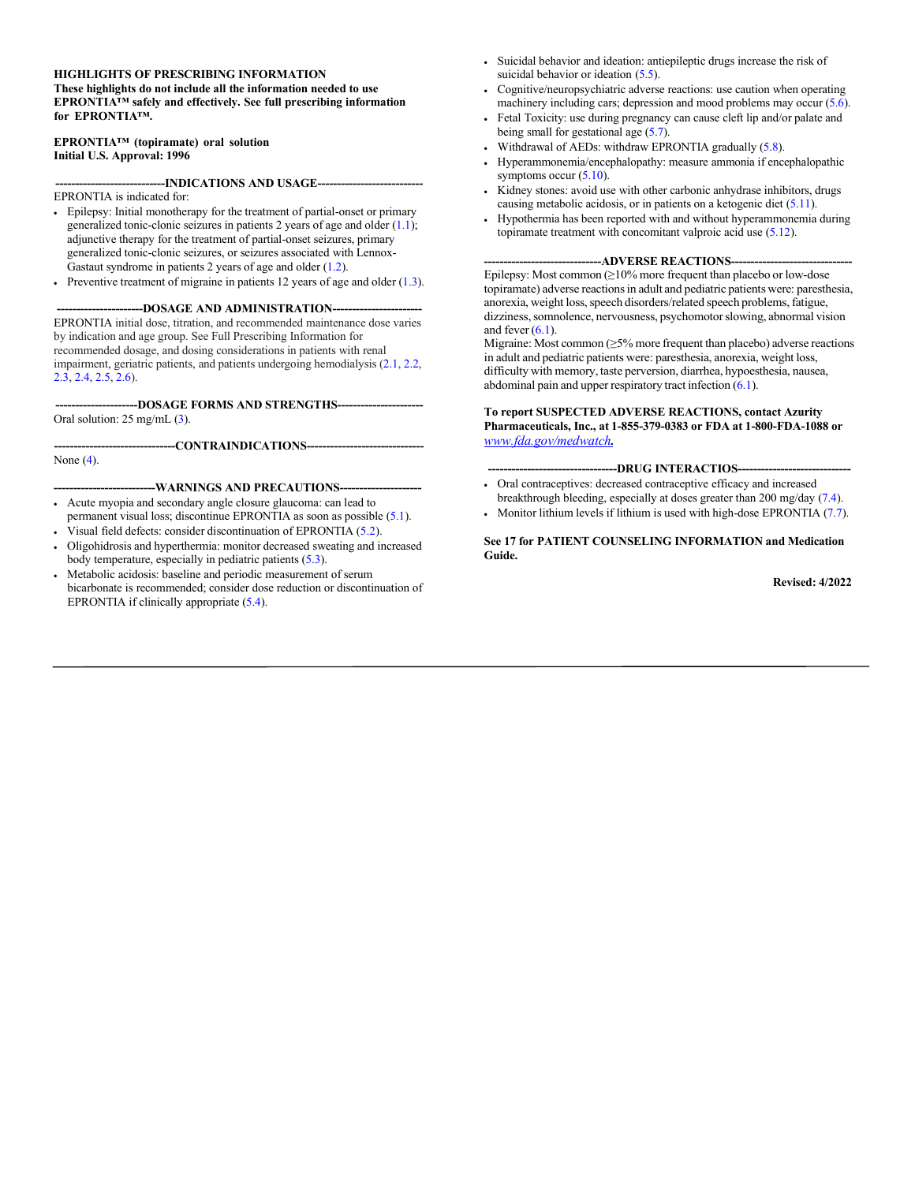#### **HIGHLIGHTS OF PRESCRIBING INFORMATION**

**These highlights do not include all the information needed to use EPRONTIA™ safely and effectively. See full prescribing information for EPRONTIA™.**

**EPRONTIA™ (topiramate) oral solution Initial U.S. Approval: 1996**

**----------------------------INDICATIONS AND USAGE---------------------------**

EPRONTIA is indicated for:

- Epilepsy: Initial monotherapy for the treatment of partial-onset or primary generalized tonic-clonic seizures in patients 2 years of age and older  $(1.1)$ ; adjunctive therapy for the treatment of partial-onset seizures, primary generalized tonic-clonic seizures, or seizures associated with Lennox-Gastaut syndrome in patients 2 years of age and older [\(1.2\).](#page-2-1)
- Preventive treatment of migraine in patients 12 years of age and older [\(1.3\).](#page-2-2)

**-DOSAGE AND ADMINISTRATION--**EPRONTIA initial dose, titration, and recommended maintenance dose varies by indication and age group. See Full Prescribing Information for recommended dosage, and dosing considerations in patients with renal

impairment, geriatric patients, and patients undergoing hemodialysis [\(2.1,](#page-2-3) [2.2,](#page-3-0) [2.3,](#page-3-1) [2.4,](#page-4-0) [2.5,](#page-4-1) [2.6\).](#page-4-2)

**---------------------DOSAGE FORMS AND STRENGTHS----------------------** Oral solution: 25 mg/mL [\(3\)](#page-4-3).

---CONTRAINDICATIONS------None [\(4\).](#page-4-4)

**--------------------------WARNINGS AND PRECAUTIONS---------------------** • Acute myopia and secondary angle closure glaucoma: can lead to

- permanent visual loss; discontinue EPRONTIA as soon as possible [\(5.1\).](#page-4-5) Visual field defects: consider discontinuation of EPRONTIA [\(5.2\).](#page-5-0)
- Oligohidrosis and hyperthermia: monitor decreased sweating and increased body temperature, especially in pediatric patients [\(5.3\).](#page-5-1)
- Metabolic acidosis: baseline and periodic measurement of serum bicarbonate is recommended; consider dose reduction or discontinuation of EPRONTIA if clinically appropriate [\(5.4\).](#page-5-2)
- Suicidal behavior and ideation: antiepileptic drugs increase the risk of suicidal behavior or ideation [\(5.5\).](#page-6-0)
- Cognitive/neuropsychiatric adverse reactions: use caution when operating machinery including cars; depression and mood problems may occur [\(5.6\).](#page-7-0)
- Fetal Toxicity: use during pregnancy can cause cleft lip and/or palate and being small for gestational age  $(5.7)$ .
- Withdrawal of AEDs: withdraw EPRONTIA graduall[y \(5.8\).](#page-9-0)
- Hyperammonemia/encephalopathy: measure ammonia if encephalopathic symptoms occur  $(5.10)$ .
- Kidney stones: avoid use with other carbonic anhydrase inhibitors, drugs causing metabolic acidosis, or in patients on a ketogenic diet [\(5.11\).](#page-10-0)
- Hypothermia has been reported with and without hyperammonemia during topiramate treatment with concomitant valproic acid use (5.12).

#### --ADVERSE REACTIONS--

Epilepsy: Most common  $(≥10%$  more frequent than placebo or low-dose topiramate) adverse reactions in adult and pediatric patients were: paresthesia, anorexia, weight loss, speech disorders/related speech problems, fatigue, dizziness, somnolence, nervousness, psychomotor slowing, abnormal vision and fever  $(6.1)$ .

Migraine: Most common (≥5% more frequent than placebo) adverse reactions in adult and pediatric patients were: paresthesia, anorexia, weight loss, difficulty with memory, taste perversion, diarrhea, hypoesthesia, nausea, abdominal pain and upper respiratory tract infection [\(6.1\)](#page-11-0).

**To report SUSPECTED ADVERSE REACTIONS, contact Azurity Pharmaceuticals, Inc., at 1-855-379-0383 or FDA at 1-800-FDA-1088 or** *[www.fda.gov/medwatch](http://www.fda.gov/medwatch).*

**---------------------------------DRUG INTERACTIOS-----------------------------**

- Oral contraceptives: decreased contraceptive efficacy and increased breakthrough bleeding, especially at doses greater than 200 mg/day [\(7.4\).](#page-22-0)
- Monitor lithium levels if lithium is used with high-dose EPRONTIA [\(7.7\).](#page-23-0)

#### **See 17 for PATIENT COUNSELING INFORMATION and Medication Guide.**

**Revised: 4/2022**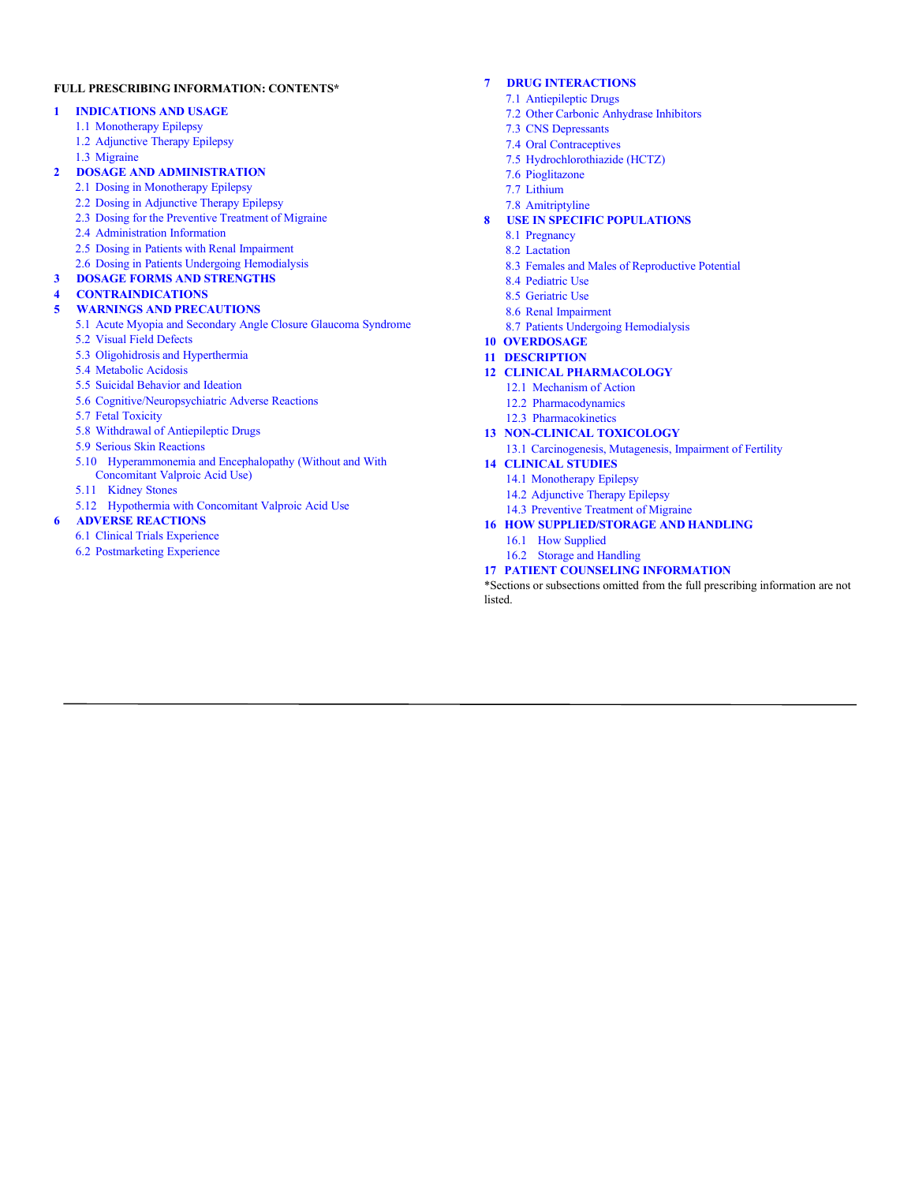#### **FULL PRESCRIBING INFORMATION: CONTENTS\***

#### **1 [INDICATIONS](#page-2-4) AND USAGE**

- 1.1 [Monotherapy](#page-2-0) Epilepsy
- 1.2 [Adjunctive](#page-2-1) Therapy Epilepsy
- 1.3 [Migraine](#page-2-2)

#### **2 DOSAGE [AND ADMINISTRATION](#page-2-5)**

- 2.1 [Dosing in Monotherapy Epilepsy](#page-2-3)
- 2.2 Dosing in [Adjunctive Therapy Epilepsy](#page-3-0)
- 2.3 Dosing for the [Preventive Treatment](#page-3-1) of Migraine
- 2.4 [Administration Information](#page-4-0)
- 2.5 Dosing in Patients with Renal [Impairment](#page-4-1)
- 2.6 Dosing in Patients Undergoing [Hemodialysis](#page-4-2)

#### **3 DOSAGE FORMS [AND STRENGTHS](#page-4-3)**

#### **4 [CONTRAINDICATIONS](#page-4-4)**

- **5 WARNINGS [AND PRECAUTIONS](#page-4-6)**
	- 5.1 Acute Myopia and Secondary [Angle Closure](#page-4-5) Glaucoma Syndrome
	- 5.2 Visual [Field Defects](#page-5-0)
	- 5.3 Oligohidrosis and [Hyperthermia](#page-5-1)
	- 5.4 [Metabolic](#page-5-2) Acidosis
	- 5.5 [Suicidal Behavior](#page-6-0) and Ideation 5.6 [Cognitive/Neuropsychiatric Adverse Reactions](#page-7-0)
	-
	- 5.7 Fetal [Toxicity](#page-8-0)
	- 5.8 [Withdrawal of Antiepileptic Drugs](#page-9-0)
	- 5.9 Serious [Skin Reactions](#page-9-2)
	- 5.10 [Hyperammonemia and Encephalopathy](#page-9-1) (Without and With [Concomitant](#page-9-1) Valproic Acid Use)
	- 5.11 [Kidney](#page-10-0) Stones
	- 5.12 Hypothermia with Concomitant Valproic Acid Use

#### **6 ADVERSE [REACTIONS](#page-10-1)**

- 6.1 [Clinical Trials](#page-11-0) Experience
- 6.2 [Postmarketing](#page-21-0) Experience

#### **7 DRUG [INTERACTIONS](#page-22-1)**

- 7.1 [Antiepileptic](#page-22-2) Drugs
- 7.2 Other Carbonic [Anhydrase](#page-22-3) Inhibitors
- 7.3 CNS [Depressants](#page-22-4)
- 7.4 Oral [Contraceptives](#page-22-0)
- 7.5 [Hydrochlorothiazide \(HCTZ\)](#page-22-5)
- 7.6 [Pioglitazone](#page-22-6)
- 7.7 [Lithium](#page-23-0)
- 7.8 Amitriptyline

#### **8 USE IN SPECIFIC [POPULATIONS](#page-23-1)**

- 8.1 [Pregnancy](#page-23-2)
- 8.2 [Lactation](#page-25-0)
- 8.3 Females and Males of [Reproductive Potential](#page-26-0)
- 8.4 [Pediatric](#page-26-1) Use
- 8.5 [Geriatric](#page-28-0) Use
- 8.6 [Renal Impairment](#page-28-1)
- 8.7 Patients Undergoing [Hemodialysis](#page-29-0)
- **10 [OVERDOSAGE](#page-29-1)**
- **11 [DESCRIPTION](#page-29-2)**

#### **12 CLINICAL [PHARMACOLOGY](#page-30-0)**

- 12.1 [Mechanism](#page-30-1) of Action
- 12.2 [Pharmacodynamics](#page-30-2)
- 12.3 [Pharmacokinetics](#page-30-3)

#### **13 [NON-CLINICAL](#page-36-0) TOXICOLOGY**

13.1 [Carcinogenesis, Mutagenesis,](#page-36-1) Impairment of Fertility

#### **14 [CLINICAL](#page-36-2) STUDIES**

- 14.1 [Monotherapy](#page-36-3) Epilepsy
	- 14.2 [Adjunctive](#page-38-0) Therapy Epilepsy
	- 14.3 Preventive [Treatment of](#page-41-0) Migraine

#### **16 HOW [SUPPLIED/STORAGE](#page-44-0) AND HANDLING**

- 16.1 How [Supplied](#page-44-1)
- 16.2 [Storage and Handling](#page-44-2)

#### **17 PATIENT COUNSELING [INFORMATION](#page-44-3)**

\*Sections or subsections omitted from the full prescribing information are not listed.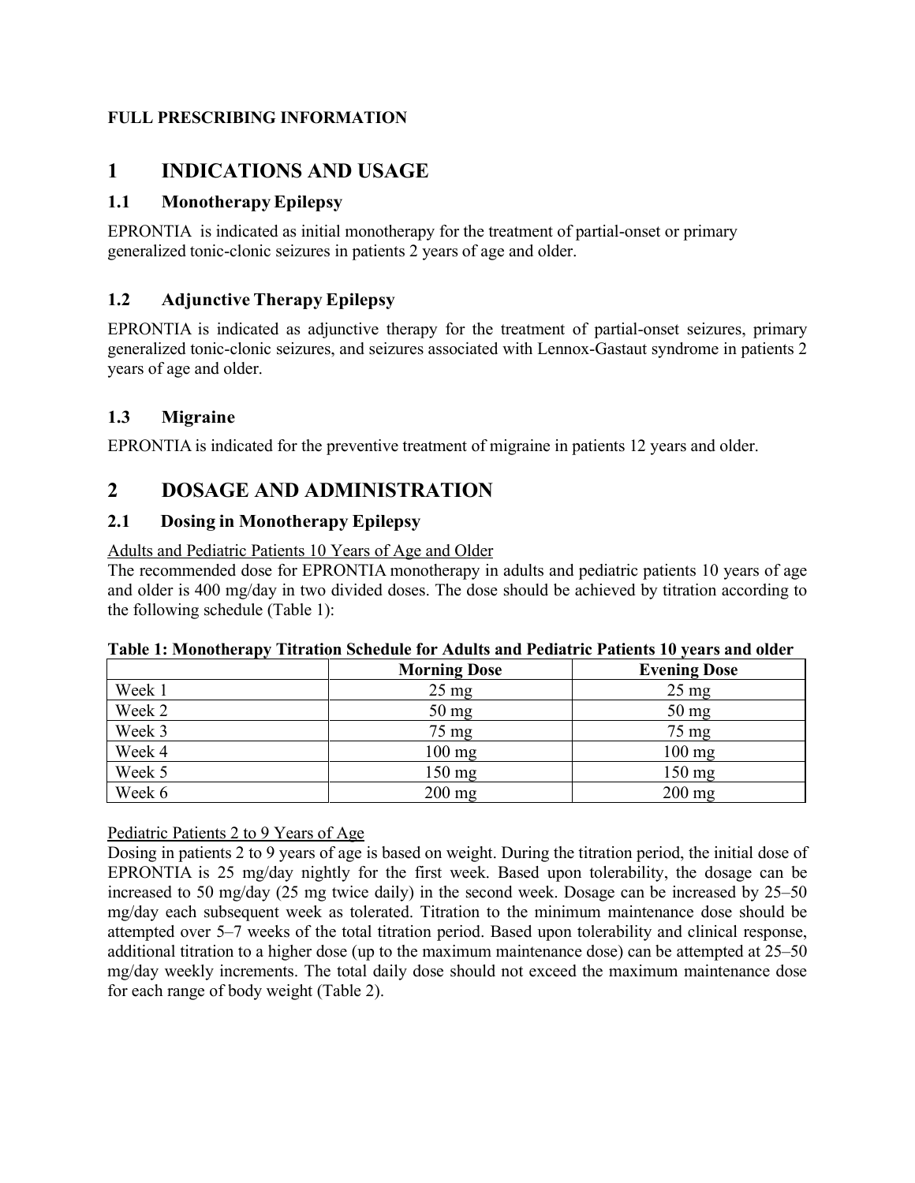### **FULL PRESCRIBING INFORMATION**

# <span id="page-2-4"></span>**1 INDICATIONS AND USAGE**

## <span id="page-2-0"></span>**1.1 MonotherapyEpilepsy**

EPRONTIA is indicated as initial monotherapy for the treatment of partial-onset or primary generalized tonic-clonic seizures in patients 2 years of age and older.

## <span id="page-2-1"></span>**1.2 Adjunctive Therapy Epilepsy**

EPRONTIA is indicated as adjunctive therapy for the treatment of partial-onset seizures, primary generalized tonic-clonic seizures, and seizures associated with Lennox-Gastaut syndrome in patients 2 years of age and older.

### <span id="page-2-2"></span>**1.3 Migraine**

EPRONTIA is indicated for the preventive treatment of migraine in patients 12 years and older.

# <span id="page-2-5"></span>**2 DOSAGE AND ADMINISTRATION**

### <span id="page-2-3"></span>**2.1 Dosing in Monotherapy Epilepsy**

Adults and Pediatric Patients 10 Years of Age and Older

The recommended dose for EPRONTIA monotherapy in adults and pediatric patients 10 years of age and older is 400 mg/day in two divided doses. The dose should be achieved by titration according to the following schedule (Table 1):

|        | <b>Morning Dose</b> | <b>Evening Dose</b> |
|--------|---------------------|---------------------|
| Week 1 | $25 \text{ mg}$     | $25 \text{ mg}$     |
| Week 2 | 50 mg               | $50 \text{ mg}$     |
| Week 3 | $75 \text{ mg}$     | 75 mg               |
| Week 4 | $100$ mg            | $100$ mg            |
| Week 5 | $150 \text{ mg}$    | $150$ mg            |
| Week 6 | $200$ mg            | $200$ mg            |

### **Table 1: Monotherapy Titration Schedule for Adults and Pediatric Patients 10 years and older**

Pediatric Patients 2 to 9 Years of Age

Dosing in patients 2 to 9 years of age is based on weight. During the titration period, the initial dose of EPRONTIA is 25 mg/day nightly for the first week. Based upon tolerability, the dosage can be increased to 50 mg/day (25 mg twice daily) in the second week. Dosage can be increased by 25–50 mg/day each subsequent week as tolerated. Titration to the minimum maintenance dose should be attempted over 5–7 weeks of the total titration period. Based upon tolerability and clinical response, additional titration to a higher dose (up to the maximum maintenance dose) can be attempted at 25–50 mg/day weekly increments. The total daily dose should not exceed the maximum maintenance dose for each range of body weight (Table 2).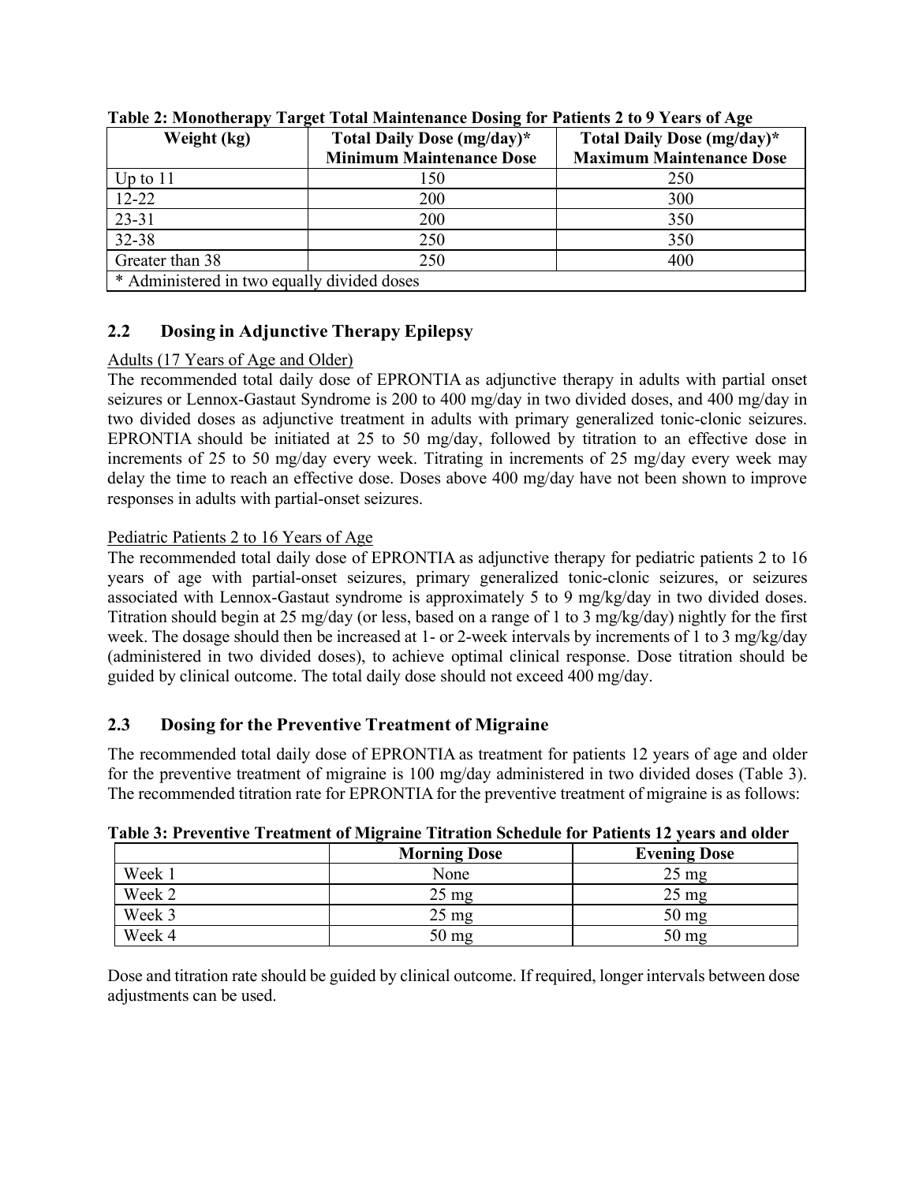| Weight (kg)                                 | Total Daily Dose (mg/day)*<br><b>Minimum Maintenance Dose</b> | Total Daily Dose (mg/day)*<br><b>Maximum Maintenance Dose</b> |  |  |  |  |
|---------------------------------------------|---------------------------------------------------------------|---------------------------------------------------------------|--|--|--|--|
| Up to $11$                                  | 150                                                           | 250                                                           |  |  |  |  |
| $12 - 22$                                   | 200                                                           | 300                                                           |  |  |  |  |
| 23-31                                       | 200                                                           | 350                                                           |  |  |  |  |
| 32-38                                       | 250                                                           | 350                                                           |  |  |  |  |
| Greater than 38                             | 250                                                           | 400                                                           |  |  |  |  |
| * Administered in two equally divided doses |                                                               |                                                               |  |  |  |  |

**Table 2: Monotherapy Target Total Maintenance Dosing for Patients 2 to 9 Years of Age**

## <span id="page-3-0"></span>**2.2 Dosing in Adjunctive Therapy Epilepsy**

### Adults (17 Years of Age and Older)

The recommended total daily dose of EPRONTIA as adjunctive therapy in adults with partial onset seizures or Lennox-Gastaut Syndrome is 200 to 400 mg/day in two divided doses, and 400 mg/day in two divided doses as adjunctive treatment in adults with primary generalized tonic-clonic seizures. EPRONTIA should be initiated at 25 to 50 mg/day, followed by titration to an effective dose in increments of 25 to 50 mg/day every week. Titrating in increments of 25 mg/day every week may delay the time to reach an effective dose. Doses above 400 mg/day have not been shown to improve responses in adults with partial-onset seizures.

### Pediatric Patients 2 to 16 Years of Age

The recommended total daily dose of EPRONTIA as adjunctive therapy for pediatric patients 2 to 16 years of age with partial-onset seizures, primary generalized tonic-clonic seizures, or seizures associated with Lennox-Gastaut syndrome is approximately 5 to 9 mg/kg/day in two divided doses. Titration should begin at 25 mg/day (or less, based on a range of 1 to 3 mg/kg/day) nightly for the first week. The dosage should then be increased at 1- or 2-week intervals by increments of 1 to 3 mg/kg/day (administered in two divided doses), to achieve optimal clinical response. Dose titration should be guided by clinical outcome. The total daily dose should not exceed 400 mg/day.

### <span id="page-3-1"></span>**2.3 Dosing for the Preventive Treatment of Migraine**

The recommended total daily dose of EPRONTIA as treatment for patients 12 years of age and older for the preventive treatment of migraine is 100 mg/day administered in two divided doses (Table 3). The recommended titration rate for EPRONTIA for the preventive treatment of migraine is as follows:

|        | <b>Morning Dose</b> | <b>Evening Dose</b> |
|--------|---------------------|---------------------|
| Week 1 | None                | $25 \text{ mg}$     |
| Week 2 | $25 \text{ mg}$     | $25 \text{ mg}$     |
| Week 3 | $25 \text{ mg}$     | $50 \text{ mg}$     |
| Week 4 | $50 \text{ mg}$     | $50 \,\mathrm{mg}$  |

**Table 3: Preventive Treatment of Migraine Titration Schedule for Patients 12 years and older**

Dose and titration rate should be guided by clinical outcome. If required, longer intervals between dose adjustments can be used.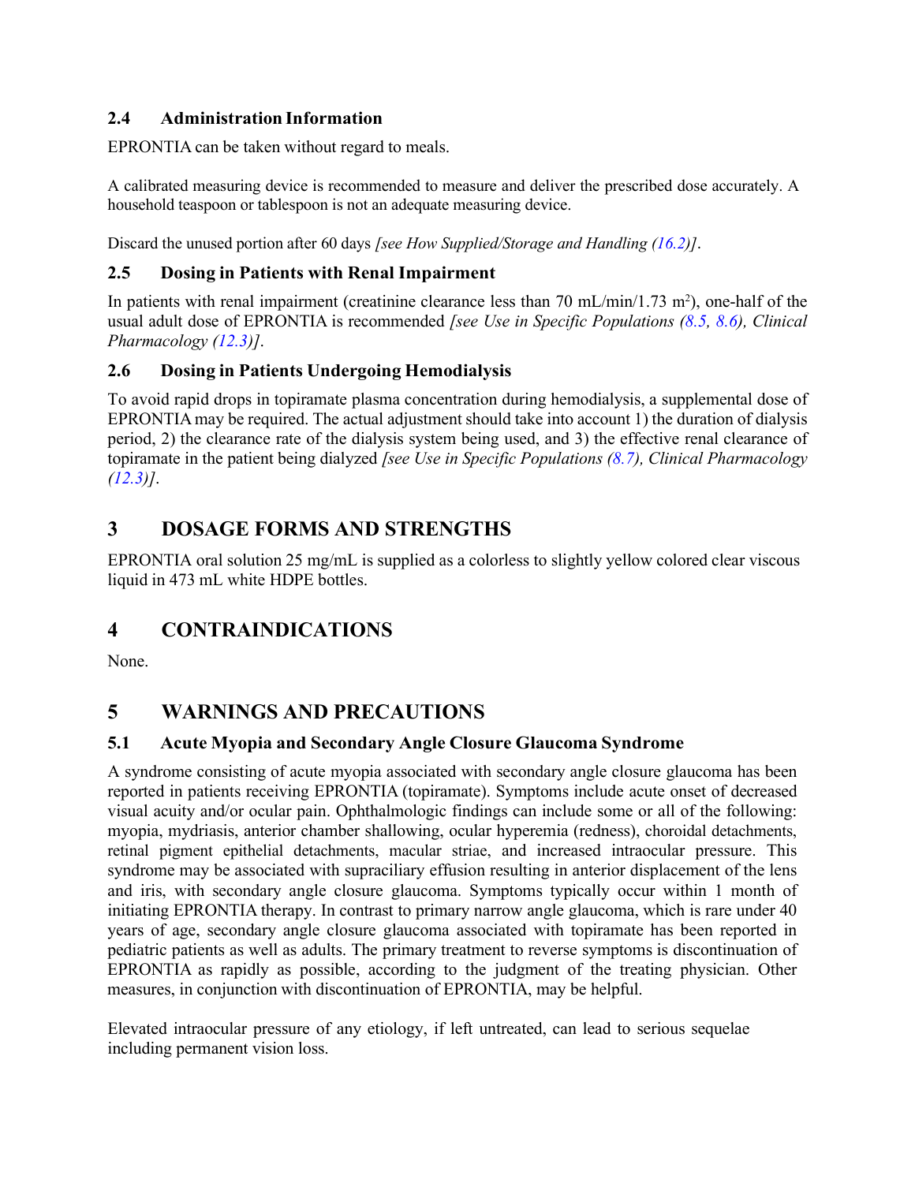## <span id="page-4-0"></span>**2.4 Administration Information**

EPRONTIA can be taken without regard to meals.

A calibrated measuring device is recommended to measure and deliver the prescribed dose accurately. A household teaspoon or tablespoon is not an adequate measuring device.

Discard the unused portion after 60 days *[see How Supplied/Storage and Handling [\(16.2\)](#page-44-2)]*.

### <span id="page-4-1"></span>**2.5 Dosing in Patients with Renal Impairment**

In patients with renal impairment (creatinine clearance less than 70 mL/min/1.73 m<sup>2</sup>), one-half of the usual adult dose of EPRONTIA is recommended *[see Use in Specific Populations [\(8.5,](#page-28-0) [8.6\)](#page-28-1), Clinical Pharmacology [\(12.3\)](#page-30-3)]*.

## <span id="page-4-2"></span>**2.6 Dosing in Patients Undergoing Hemodialysis**

To avoid rapid drops in topiramate plasma concentration during hemodialysis, a supplemental dose of EPRONTIAmay be required. The actual adjustment should take into account 1) the duration of dialysis period, 2) the clearance rate of the dialysis system being used, and 3) the effective renal clearance of topiramate in the patient being dialyzed *[see Use in Specific Populations [\(8.7\)](#page-29-0), Clinical Pharmacology [\(12.3\)](#page-30-3)]*.

# <span id="page-4-3"></span>**3 DOSAGE FORMS AND STRENGTHS**

EPRONTIA oral solution 25 mg/mL is supplied as a colorless to slightly yellow colored clear viscous liquid in 473 mL white HDPE bottles.

# <span id="page-4-4"></span>**4 CONTRAINDICATIONS**

None.

# <span id="page-4-6"></span>**5 WARNINGS AND PRECAUTIONS**

### <span id="page-4-5"></span>**5.1 Acute Myopia and Secondary Angle Closure Glaucoma Syndrome**

A syndrome consisting of acute myopia associated with secondary angle closure glaucoma has been reported in patients receiving EPRONTIA (topiramate). Symptoms include acute onset of decreased visual acuity and/or ocular pain. Ophthalmologic findings can include some or all of the following: myopia, mydriasis, anterior chamber shallowing, ocular hyperemia (redness), choroidal detachments, retinal pigment epithelial detachments, macular striae, and increased intraocular pressure. This syndrome may be associated with supraciliary effusion resulting in anterior displacement of the lens and iris, with secondary angle closure glaucoma. Symptoms typically occur within 1 month of initiating EPRONTIA therapy. In contrast to primary narrow angle glaucoma, which is rare under 40 years of age, secondary angle closure glaucoma associated with topiramate has been reported in pediatric patients as well as adults. The primary treatment to reverse symptoms is discontinuation of EPRONTIA as rapidly as possible, according to the judgment of the treating physician. Other measures, in conjunction with discontinuation of EPRONTIA, may be helpful.

Elevated intraocular pressure of any etiology, if left untreated, can lead to serious sequelae including permanent vision loss.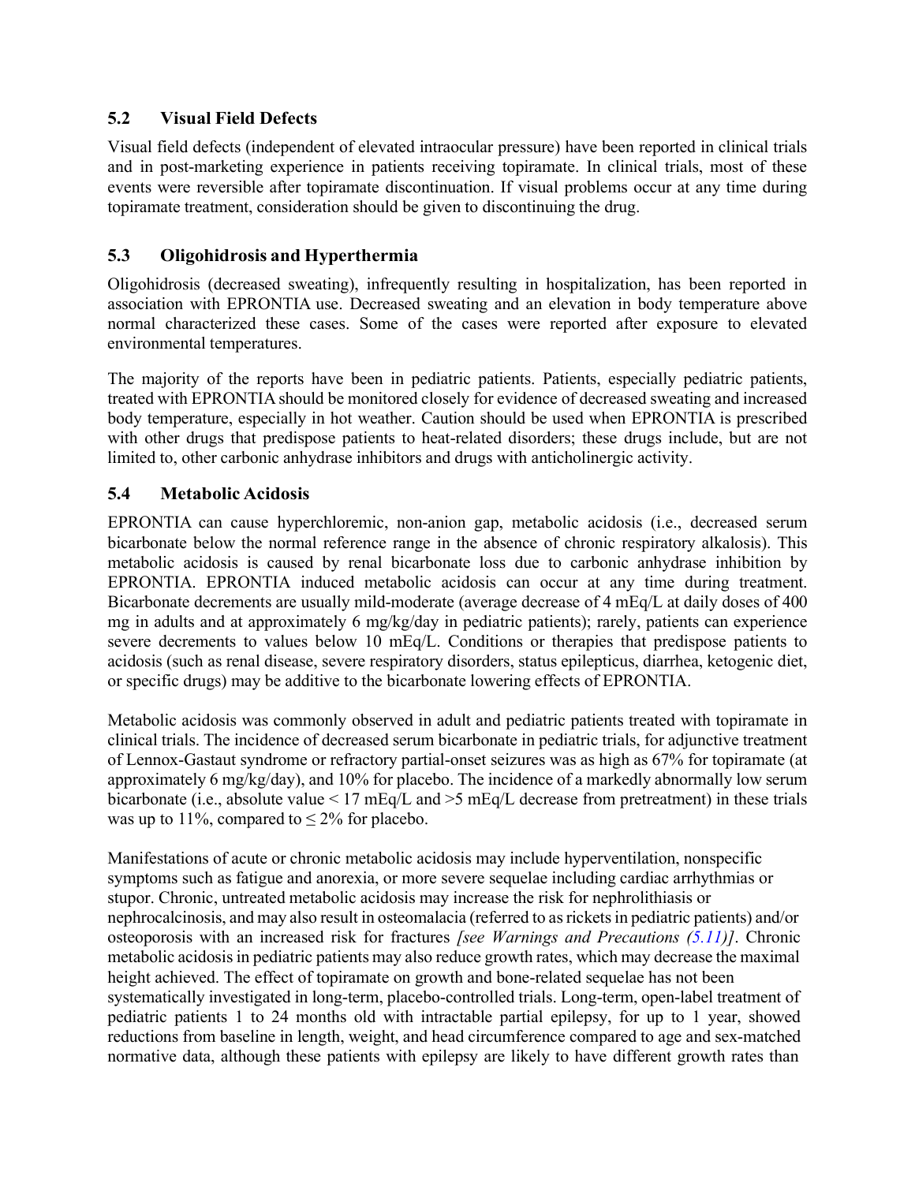### <span id="page-5-0"></span>**5.2 Visual Field Defects**

Visual field defects (independent of elevated intraocular pressure) have been reported in clinical trials and in post-marketing experience in patients receiving topiramate. In clinical trials, most of these events were reversible after topiramate discontinuation. If visual problems occur at any time during topiramate treatment, consideration should be given to discontinuing the drug.

## <span id="page-5-1"></span>**5.3 Oligohidrosis and Hyperthermia**

Oligohidrosis (decreased sweating), infrequently resulting in hospitalization, has been reported in association with EPRONTIA use. Decreased sweating and an elevation in body temperature above normal characterized these cases. Some of the cases were reported after exposure to elevated environmental temperatures.

The majority of the reports have been in pediatric patients. Patients, especially pediatric patients, treated with EPRONTIA should be monitored closely for evidence of decreased sweating and increased body temperature, especially in hot weather. Caution should be used when EPRONTIA is prescribed with other drugs that predispose patients to heat-related disorders; these drugs include, but are not limited to, other carbonic anhydrase inhibitors and drugs with anticholinergic activity.

## <span id="page-5-2"></span>**5.4 Metabolic Acidosis**

EPRONTIA can cause hyperchloremic, non-anion gap, metabolic acidosis (i.e., decreased serum bicarbonate below the normal reference range in the absence of chronic respiratory alkalosis). This metabolic acidosis is caused by renal bicarbonate loss due to carbonic anhydrase inhibition by EPRONTIA. EPRONTIA induced metabolic acidosis can occur at any time during treatment. Bicarbonate decrements are usually mild-moderate (average decrease of 4 mEq/L at daily doses of 400 mg in adults and at approximately 6 mg/kg/day in pediatric patients); rarely, patients can experience severe decrements to values below 10 mEq/L. Conditions or therapies that predispose patients to acidosis (such as renal disease, severe respiratory disorders, status epilepticus, diarrhea, ketogenic diet, or specific drugs) may be additive to the bicarbonate lowering effects of EPRONTIA.

Metabolic acidosis was commonly observed in adult and pediatric patients treated with topiramate in clinical trials. The incidence of decreased serum bicarbonate in pediatric trials, for adjunctive treatment of Lennox-Gastaut syndrome or refractory partial-onset seizures was as high as 67% for topiramate (at approximately 6 mg/kg/day), and 10% for placebo. The incidence of a markedly abnormally low serum bicarbonate (i.e., absolute value < 17 mEq/L and >5 mEq/L decrease from pretreatment) in these trials was up to 11%, compared to  $\leq 2\%$  for placebo.

Manifestations of acute or chronic metabolic acidosis may include hyperventilation, nonspecific symptoms such as fatigue and anorexia, or more severe sequelae including cardiac arrhythmias or stupor. Chronic, untreated metabolic acidosis may increase the risk for nephrolithiasis or nephrocalcinosis, and may also result in osteomalacia (referred to as rickets in pediatric patients) and/or osteoporosis with an increased risk for fractures *[see Warnings and Precautions [\(5.11\)](#page-10-0)]*. Chronic metabolic acidosisin pediatric patients may also reduce growth rates, which may decrease the maximal height achieved. The effect of topiramate on growth and bone-related sequelae has not been systematically investigated in long-term, placebo-controlled trials. Long-term, open-label treatment of pediatric patients 1 to 24 months old with intractable partial epilepsy, for up to 1 year, showed reductions from baseline in length, weight, and head circumference compared to age and sex-matched normative data, although these patients with epilepsy are likely to have different growth rates than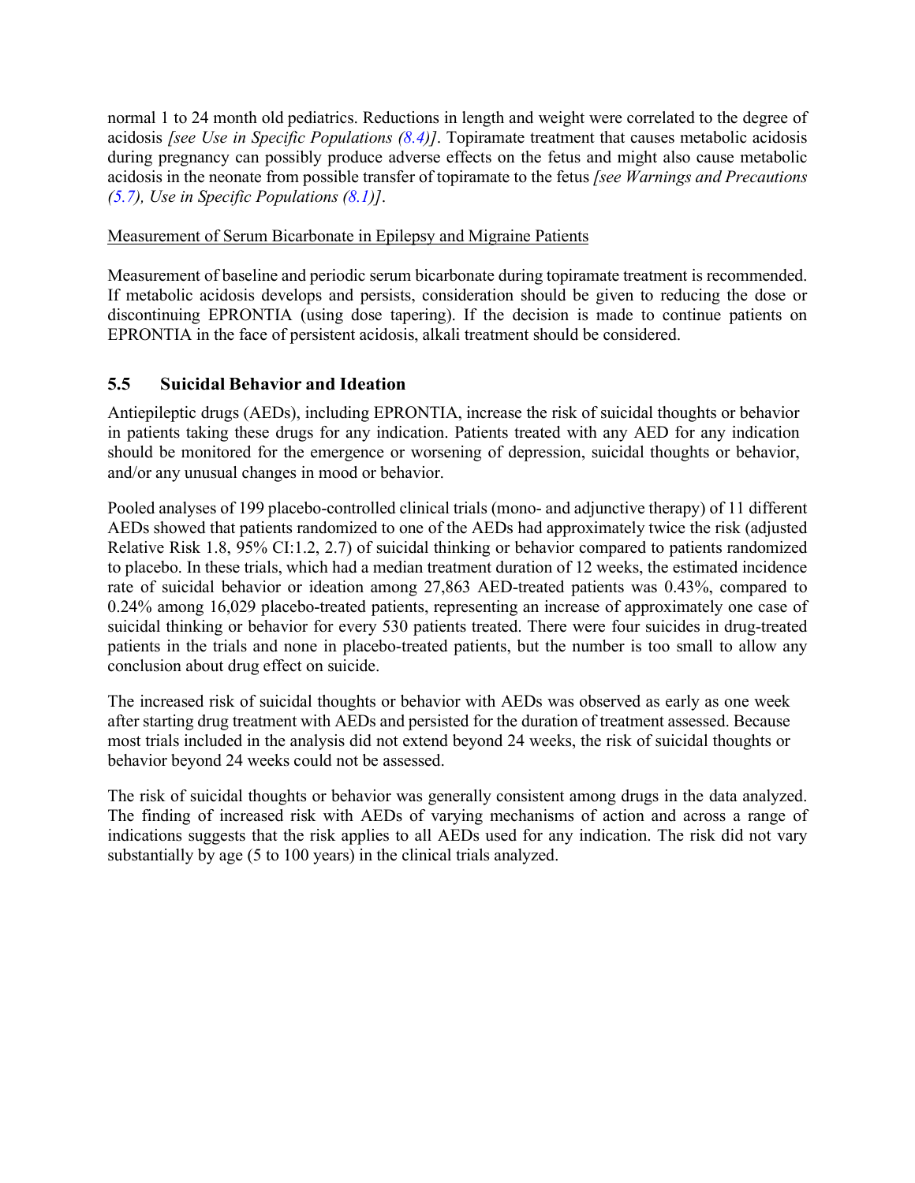normal 1 to 24 month old pediatrics. Reductions in length and weight were correlated to the degree of acidosis *[see Use in Specific Populations [\(8.4\)](#page-26-1)]*. Topiramate treatment that causes metabolic acidosis during pregnancy can possibly produce adverse effects on the fetus and might also cause metabolic acidosis in the neonate from possible transfer of topiramate to the fetus *[see Warnings and Precautions [\(5.7\)](#page-8-0), Use in Specific Populations [\(8.1\)](#page-23-2)]*.

### Measurement of Serum Bicarbonate in Epilepsy and Migraine Patients

Measurement of baseline and periodic serum bicarbonate during topiramate treatment is recommended. If metabolic acidosis develops and persists, consideration should be given to reducing the dose or discontinuing EPRONTIA (using dose tapering). If the decision is made to continue patients on EPRONTIA in the face of persistent acidosis, alkali treatment should be considered.

## <span id="page-6-0"></span>**5.5 Suicidal Behavior and Ideation**

Antiepileptic drugs (AEDs), including EPRONTIA, increase the risk of suicidal thoughts or behavior in patients taking these drugs for any indication. Patients treated with any AED for any indication should be monitored for the emergence or worsening of depression, suicidal thoughts or behavior, and/or any unusual changes in mood or behavior.

Pooled analyses of 199 placebo-controlled clinical trials (mono- and adjunctive therapy) of 11 different AEDs showed that patients randomized to one of the AEDs had approximately twice the risk (adjusted Relative Risk 1.8, 95% CI:1.2, 2.7) of suicidal thinking or behavior compared to patients randomized to placebo. In these trials, which had a median treatment duration of 12 weeks, the estimated incidence rate of suicidal behavior or ideation among 27,863 AED-treated patients was 0.43%, compared to 0.24% among 16,029 placebo-treated patients, representing an increase of approximately one case of suicidal thinking or behavior for every 530 patients treated. There were four suicides in drug-treated patients in the trials and none in placebo-treated patients, but the number is too small to allow any conclusion about drug effect on suicide.

The increased risk of suicidal thoughts or behavior with AEDs was observed as early as one week after starting drug treatment with AEDs and persisted for the duration of treatment assessed. Because most trials included in the analysis did not extend beyond 24 weeks, the risk of suicidal thoughts or behavior beyond 24 weeks could not be assessed.

The risk of suicidal thoughts or behavior was generally consistent among drugs in the data analyzed. The finding of increased risk with AEDs of varying mechanisms of action and across a range of indications suggests that the risk applies to all AEDs used for any indication. The risk did not vary substantially by age (5 to 100 years) in the clinical trials analyzed.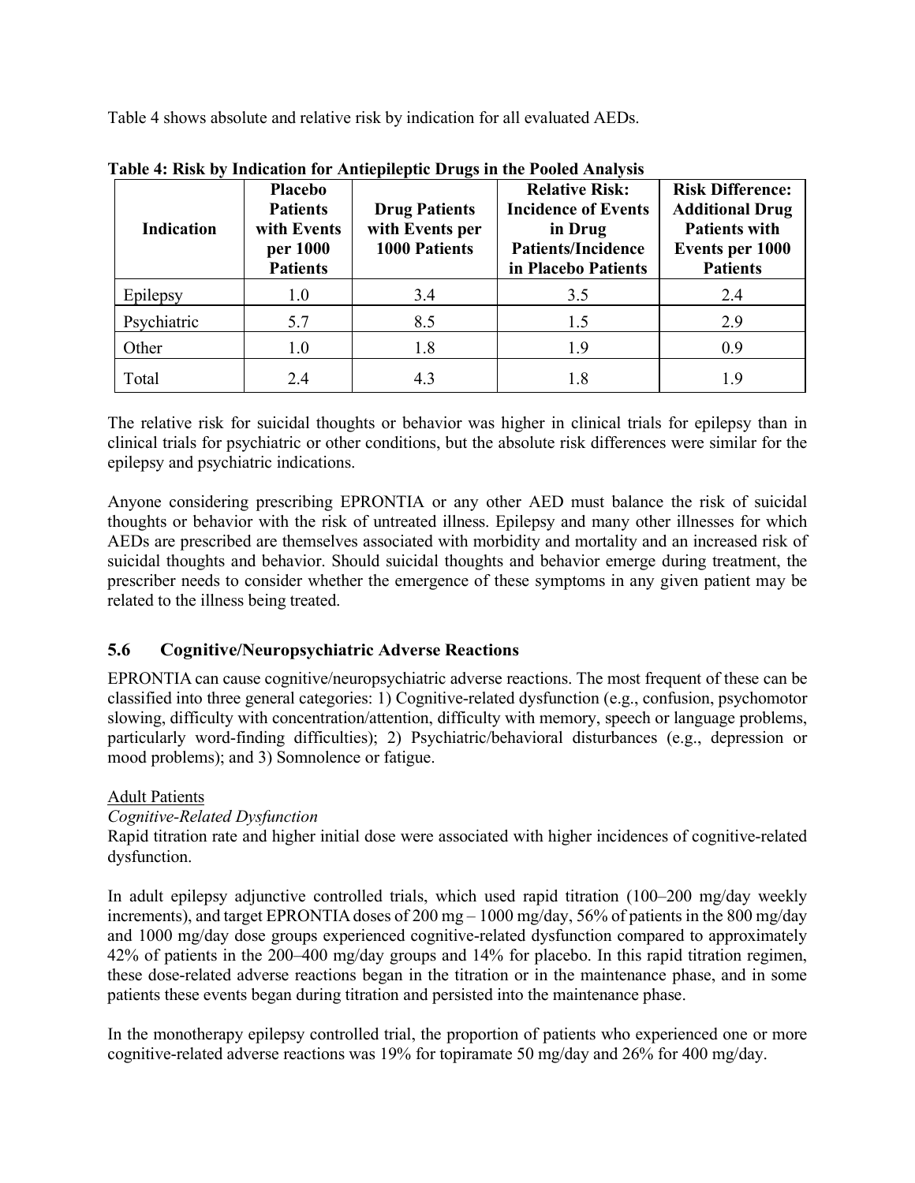Table 4 shows absolute and relative risk by indication for all evaluated AEDs.

| <b>Indication</b> | <b>Placebo</b><br><b>Patients</b><br>with Events<br>per 1000<br><b>Patients</b> | -<br><b>Drug Patients</b><br>with Events per<br><b>1000 Patients</b> | <b>Relative Risk:</b><br><b>Incidence of Events</b><br>in Drug<br><b>Patients/Incidence</b><br>in Placebo Patients | <b>Risk Difference:</b><br><b>Additional Drug</b><br><b>Patients with</b><br><b>Events per 1000</b><br><b>Patients</b> |
|-------------------|---------------------------------------------------------------------------------|----------------------------------------------------------------------|--------------------------------------------------------------------------------------------------------------------|------------------------------------------------------------------------------------------------------------------------|
| Epilepsy          | 1.0                                                                             | 3.4                                                                  | 3.5                                                                                                                | 2.4                                                                                                                    |
| Psychiatric       | 5.7                                                                             | 8.5                                                                  | 1.5                                                                                                                | 2.9                                                                                                                    |
| Other             | 1.0                                                                             | 1.8                                                                  | 1.9                                                                                                                | 0.9                                                                                                                    |
| Total             | 2.4                                                                             | 4.3                                                                  | 1.8                                                                                                                | 1.9                                                                                                                    |

**Table 4: Risk by Indication for Antiepileptic Drugs in the Pooled Analysis**

The relative risk for suicidal thoughts or behavior was higher in clinical trials for epilepsy than in clinical trials for psychiatric or other conditions, but the absolute risk differences were similar for the epilepsy and psychiatric indications.

Anyone considering prescribing EPRONTIA or any other AED must balance the risk of suicidal thoughts or behavior with the risk of untreated illness. Epilepsy and many other illnesses for which AEDs are prescribed are themselves associated with morbidity and mortality and an increased risk of suicidal thoughts and behavior. Should suicidal thoughts and behavior emerge during treatment, the prescriber needs to consider whether the emergence of these symptoms in any given patient may be related to the illness being treated.

### <span id="page-7-0"></span>**5.6 Cognitive/Neuropsychiatric Adverse Reactions**

EPRONTIA can cause cognitive/neuropsychiatric adverse reactions. The most frequent of these can be classified into three general categories: 1) Cognitive-related dysfunction (e.g., confusion, psychomotor slowing, difficulty with concentration/attention, difficulty with memory, speech or language problems, particularly word-finding difficulties); 2) Psychiatric/behavioral disturbances (e.g., depression or mood problems); and 3) Somnolence or fatigue.

### Adult Patients

### *Cognitive-Related Dysfunction*

Rapid titration rate and higher initial dose were associated with higher incidences of cognitive-related dysfunction.

In adult epilepsy adjunctive controlled trials, which used rapid titration (100–200 mg/day weekly increments), and target EPRONTIA doses of 200 mg – 1000 mg/day, 56% of patients in the 800 mg/day and 1000 mg/day dose groups experienced cognitive-related dysfunction compared to approximately 42% of patients in the 200–400 mg/day groups and 14% for placebo. In this rapid titration regimen, these dose-related adverse reactions began in the titration or in the maintenance phase, and in some patients these events began during titration and persisted into the maintenance phase.

In the monotherapy epilepsy controlled trial, the proportion of patients who experienced one or more cognitive-related adverse reactions was 19% for topiramate 50 mg/day and 26% for 400 mg/day.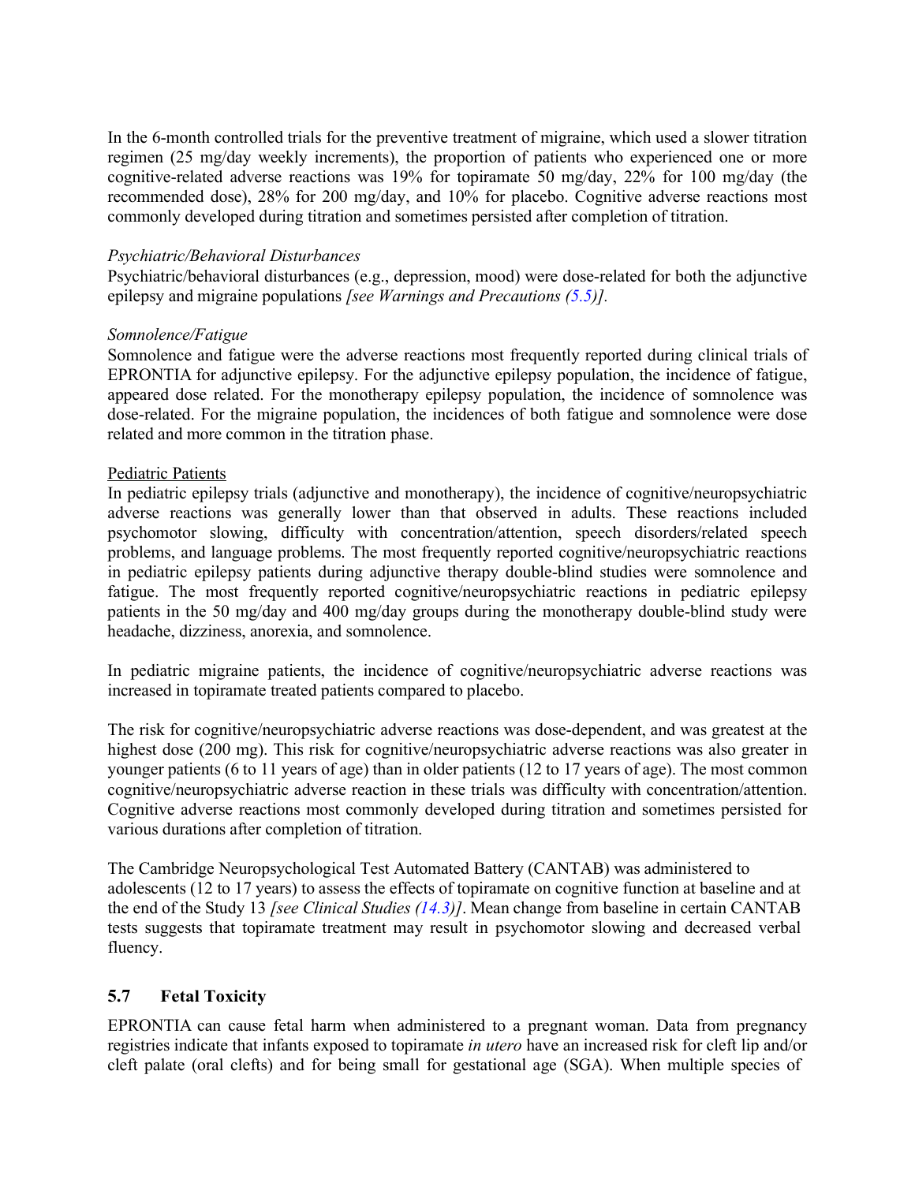In the 6-month controlled trials for the preventive treatment of migraine, which used a slower titration regimen (25 mg/day weekly increments), the proportion of patients who experienced one or more cognitive-related adverse reactions was 19% for topiramate 50 mg/day, 22% for 100 mg/day (the recommended dose), 28% for 200 mg/day, and 10% for placebo. Cognitive adverse reactions most commonly developed during titration and sometimes persisted after completion of titration.

#### *Psychiatric/Behavioral Disturbances*

Psychiatric/behavioral disturbances (e.g., depression, mood) were dose-related for both the adjunctive epilepsy and migraine populations *[see Warnings and Precautions [\(5.5\)](#page-6-0)].*

#### *Somnolence/Fatigue*

Somnolence and fatigue were the adverse reactions most frequently reported during clinical trials of EPRONTIA for adjunctive epilepsy. For the adjunctive epilepsy population, the incidence of fatigue, appeared dose related. For the monotherapy epilepsy population, the incidence of somnolence was dose-related. For the migraine population, the incidences of both fatigue and somnolence were dose related and more common in the titration phase.

#### Pediatric Patients

In pediatric epilepsy trials (adjunctive and monotherapy), the incidence of cognitive/neuropsychiatric adverse reactions was generally lower than that observed in adults. These reactions included psychomotor slowing, difficulty with concentration/attention, speech disorders/related speech problems, and language problems. The most frequently reported cognitive/neuropsychiatric reactions in pediatric epilepsy patients during adjunctive therapy double-blind studies were somnolence and fatigue. The most frequently reported cognitive/neuropsychiatric reactions in pediatric epilepsy patients in the 50 mg/day and 400 mg/day groups during the monotherapy double-blind study were headache, dizziness, anorexia, and somnolence.

In pediatric migraine patients, the incidence of cognitive/neuropsychiatric adverse reactions was increased in topiramate treated patients compared to placebo.

The risk for cognitive/neuropsychiatric adverse reactions was dose-dependent, and was greatest at the highest dose (200 mg). This risk for cognitive/neuropsychiatric adverse reactions was also greater in younger patients (6 to 11 years of age) than in older patients (12 to 17 years of age). The most common cognitive/neuropsychiatric adverse reaction in these trials was difficulty with concentration/attention. Cognitive adverse reactions most commonly developed during titration and sometimes persisted for various durations after completion of titration.

The Cambridge Neuropsychological Test Automated Battery (CANTAB) was administered to adolescents (12 to 17 years) to assess the effects of topiramate on cognitive function at baseline and at the end of the Study 13 *[see Clinical Studies [\(14.3\)](#page-41-0)]*. Mean change from baseline in certain CANTAB tests suggests that topiramate treatment may result in psychomotor slowing and decreased verbal fluency.

### <span id="page-8-0"></span>**5.7 Fetal Toxicity**

EPRONTIA can cause fetal harm when administered to a pregnant woman. Data from pregnancy registries indicate that infants exposed to topiramate *in utero* have an increased risk for cleft lip and/or cleft palate (oral clefts) and for being small for gestational age (SGA). When multiple species of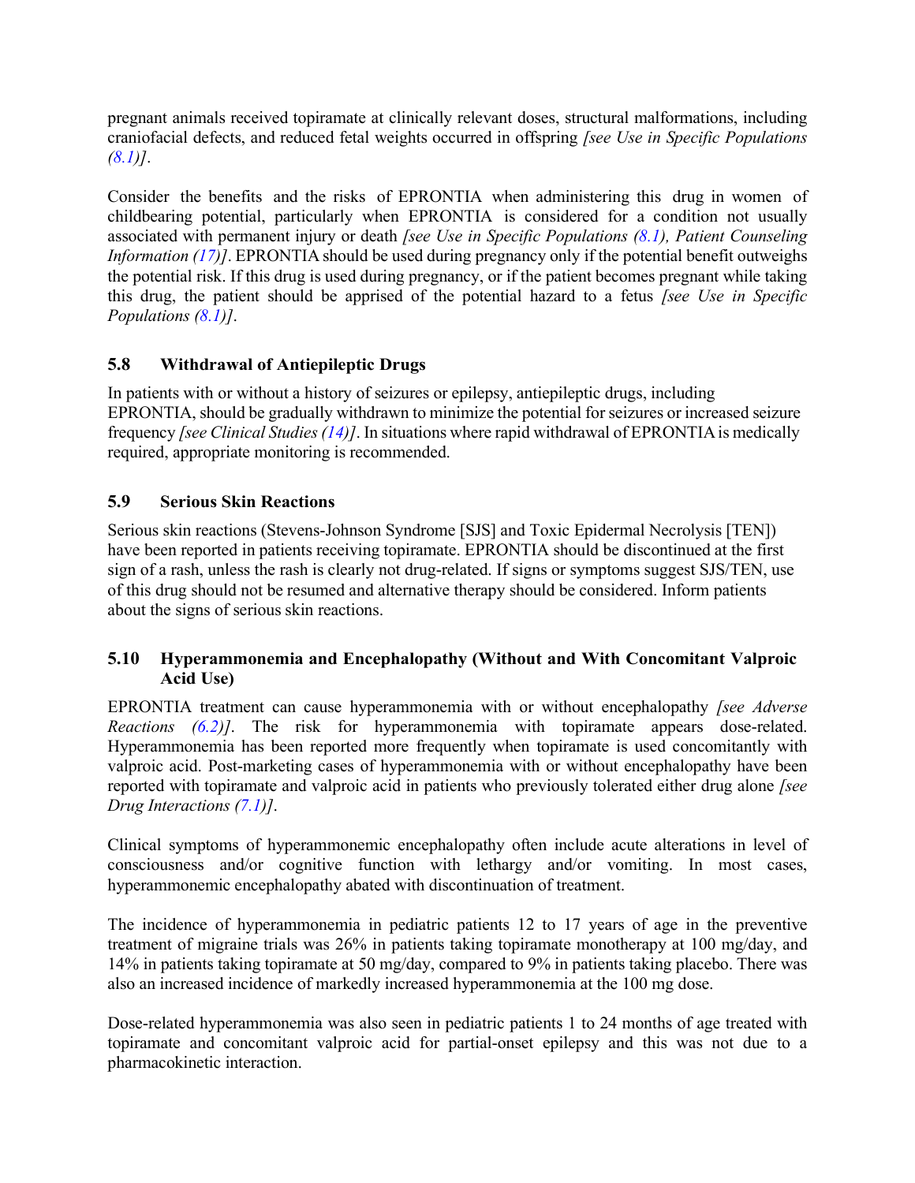pregnant animals received topiramate at clinically relevant doses, structural malformations, including craniofacial defects, and reduced fetal weights occurred in offspring *[see Use in Specific Populations [\(8.1\)](#page-23-2)]*.

Consider the benefits and the risks of EPRONTIA when administering this drug in women of childbearing potential, particularly when EPRONTIA is considered for a condition not usually associated with permanent injury or death *[see Use in Specific Populations [\(8.1\)](#page-23-2), Patient Counseling Information [\(17\)](#page-44-3)]*. EPRONTIA should be used during pregnancy only if the potential benefit outweighs the potential risk. If this drug is used during pregnancy, or if the patient becomes pregnant while taking this drug, the patient should be apprised of the potential hazard to a fetus *[see Use in Specific Populations [\(8.1\)](#page-23-2)]*.

## <span id="page-9-0"></span>**5.8 Withdrawal of Antiepileptic Drugs**

In patients with or without a history of seizures or epilepsy, antiepileptic drugs, including EPRONTIA, should be gradually withdrawn to minimize the potential for seizures or increased seizure frequency *[see Clinical Studies[\(14\)](#page-36-2)]*. In situations where rapid withdrawal of EPRONTIAis medically required, appropriate monitoring is recommended.

## <span id="page-9-2"></span>**5.9 Serious Skin Reactions**

Serious skin reactions (Stevens-Johnson Syndrome [SJS] and Toxic Epidermal Necrolysis [TEN]) have been reported in patients receiving topiramate. EPRONTIA should be discontinued at the first sign of a rash, unless the rash is clearly not drug-related. If signs or symptoms suggest SJS/TEN, use of this drug should not be resumed and alternative therapy should be considered. Inform patients about the signs of serious skin reactions.

### <span id="page-9-1"></span>**5.10 Hyperammonemia and Encephalopathy (Without and With Concomitant Valproic Acid Use)**

EPRONTIA treatment can cause hyperammonemia with or without encephalopathy *[see Adverse Reactions [\(6.2\)](#page-21-0)]*. The risk for hyperammonemia with topiramate appears dose-related. Hyperammonemia has been reported more frequently when topiramate is used concomitantly with valproic acid. Post-marketing cases of hyperammonemia with or without encephalopathy have been reported with topiramate and valproic acid in patients who previously tolerated either drug alone *[see Drug Interactions [\(7.1\)](#page-22-2)]*.

Clinical symptoms of hyperammonemic encephalopathy often include acute alterations in level of consciousness and/or cognitive function with lethargy and/or vomiting. In most cases, hyperammonemic encephalopathy abated with discontinuation of treatment.

The incidence of hyperammonemia in pediatric patients 12 to 17 years of age in the preventive treatment of migraine trials was 26% in patients taking topiramate monotherapy at 100 mg/day, and 14% in patients taking topiramate at 50 mg/day, compared to 9% in patients taking placebo. There was also an increased incidence of markedly increased hyperammonemia at the 100 mg dose.

Dose-related hyperammonemia was also seen in pediatric patients 1 to 24 months of age treated with topiramate and concomitant valproic acid for partial-onset epilepsy and this was not due to a pharmacokinetic interaction.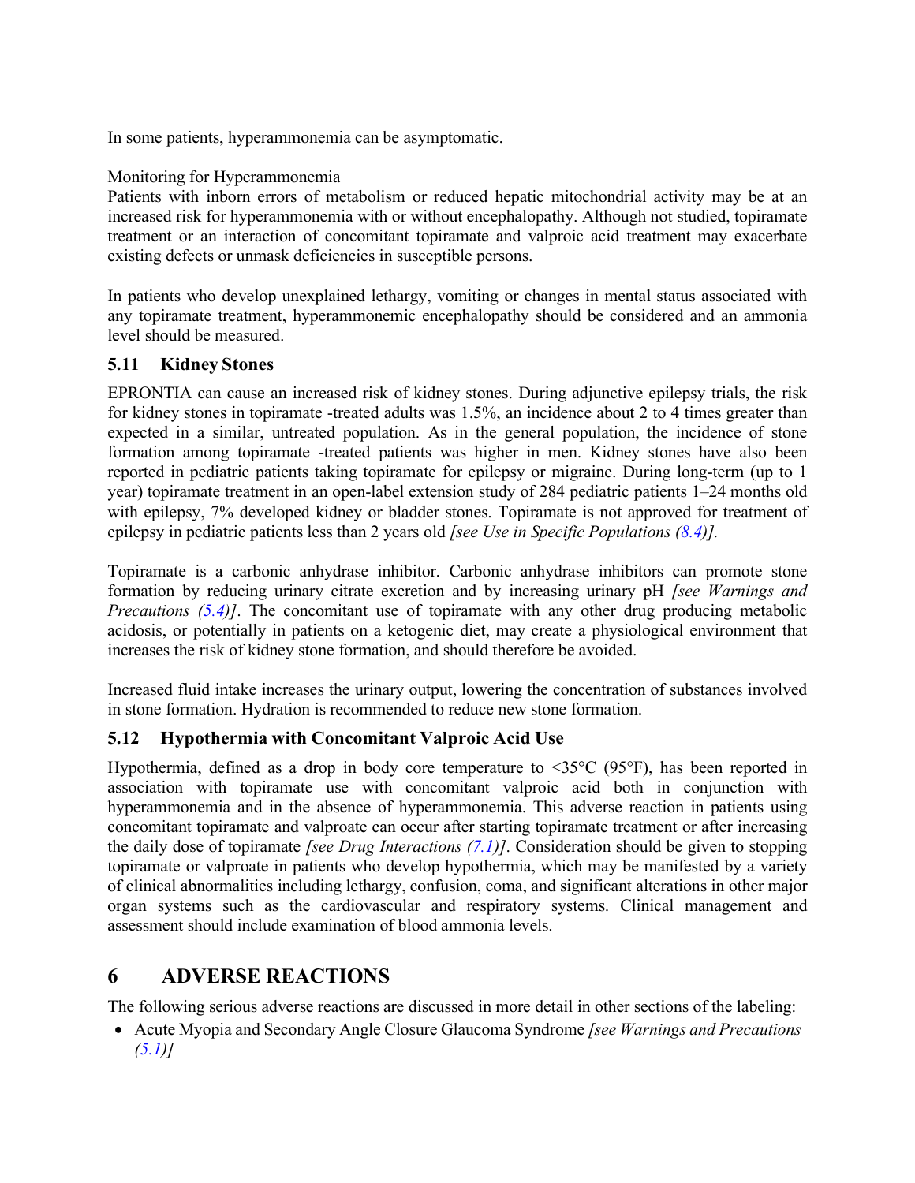In some patients, hyperammonemia can be asymptomatic.

### Monitoring for Hyperammonemia

Patients with inborn errors of metabolism or reduced hepatic mitochondrial activity may be at an increased risk for hyperammonemia with or without encephalopathy. Although not studied, topiramate treatment or an interaction of concomitant topiramate and valproic acid treatment may exacerbate existing defects or unmask deficiencies in susceptible persons.

In patients who develop unexplained lethargy, vomiting or changes in mental status associated with any topiramate treatment, hyperammonemic encephalopathy should be considered and an ammonia level should be measured.

### <span id="page-10-0"></span>**5.11 Kidney Stones**

EPRONTIA can cause an increased risk of kidney stones. During adjunctive epilepsy trials, the risk for kidney stones in topiramate -treated adults was 1.5%, an incidence about 2 to 4 times greater than expected in a similar, untreated population. As in the general population, the incidence of stone formation among topiramate -treated patients was higher in men. Kidney stones have also been reported in pediatric patients taking topiramate for epilepsy or migraine. During long-term (up to 1 year) topiramate treatment in an open-label extension study of 284 pediatric patients 1–24 months old with epilepsy, 7% developed kidney or bladder stones. Topiramate is not approved for treatment of epilepsy in pediatric patients less than 2 years old *[see Use in Specific Populations [\(8.4\)](#page-26-1)].*

Topiramate is a carbonic anhydrase inhibitor. Carbonic anhydrase inhibitors can promote stone formation by reducing urinary citrate excretion and by increasing urinary pH *[see Warnings and Precautions [\(5.4\)](#page-5-2)]*. The concomitant use of topiramate with any other drug producing metabolic acidosis, or potentially in patients on a ketogenic diet, may create a physiological environment that increases the risk of kidney stone formation, and should therefore be avoided.

Increased fluid intake increases the urinary output, lowering the concentration of substances involved in stone formation. Hydration is recommended to reduce new stone formation.

## **5.12 Hypothermia with Concomitant Valproic Acid Use**

Hypothermia, defined as a drop in body core temperature to  $\leq 35^{\circ}$ C (95°F), has been reported in association with topiramate use with concomitant valproic acid both in conjunction with hyperammonemia and in the absence of hyperammonemia. This adverse reaction in patients using concomitant topiramate and valproate can occur after starting topiramate treatment or after increasing the daily dose of topiramate *[see Drug Interactions [\(7.1\)](#page-22-2)]*. Consideration should be given to stopping topiramate or valproate in patients who develop hypothermia, which may be manifested by a variety of clinical abnormalities including lethargy, confusion, coma, and significant alterations in other major organ systems such as the cardiovascular and respiratory systems. Clinical management and assessment should include examination of blood ammonia levels.

# <span id="page-10-1"></span>**6 ADVERSE REACTIONS**

The following serious adverse reactions are discussed in more detail in other sections of the labeling:

• Acute Myopia and Secondary Angle Closure Glaucoma Syndrome *[see Warnings and Precautions [\(5.1\)](#page-4-5)]*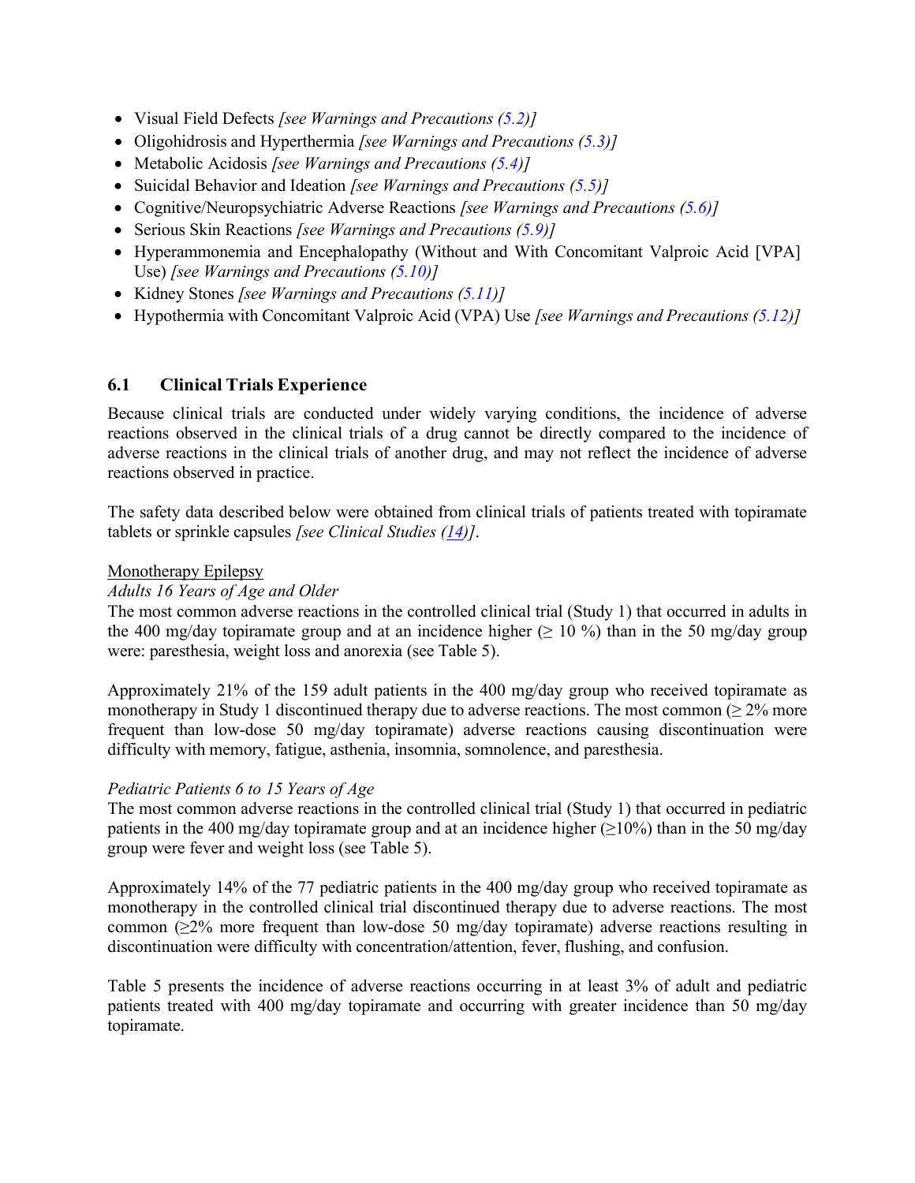- Visual Field Defects *[see Warnings and Precautions [\(5.2\)](#page-5-0)]*
- Oligohidrosis and Hyperthermia *[see Warnings and Precautions [\(5.3\)](#page-5-1)]*
- Metabolic Acidosis *[see Warnings and Precautions [\(5.4\)](#page-5-2)]*
- Suicidal Behavior and Ideation *[see Warnings and Precautions [\(5.5\)](#page-6-0)]*
- Cognitive/Neuropsychiatric Adverse Reactions *[see Warnings and Precautions [\(5.6\)](#page-7-0)]*
- Serious Skin Reactions *[see Warnings and Precautions [\(5.9\)](#page-9-2)]*
- Hyperammonemia and Encephalopathy (Without and With Concomitant Valproic Acid [VPA] Use) *[see Warnings and Precautions [\(5.10\)](#page-9-1)]*
- Kidney Stones *[see Warnings and Precautions [\(5.11\)](#page-10-0)]*
- Hypothermia with Concomitant Valproic Acid (VPA) Use *[see Warnings and Precautions (5.12)]*

### <span id="page-11-0"></span>**6.1 Clinical Trials Experience**

Because clinical trials are conducted under widely varying conditions, the incidence of adverse reactions observed in the clinical trials of a drug cannot be directly compared to the incidence of adverse reactions in the clinical trials of another drug, and may not reflect the incidence of adverse reactions observed in practice.

The safety data described below were obtained from clinical trials of patients treated with topiramate tablets or sprinkle capsules *[see Clinical Studies [\(14\)](#page-36-2)]*.

#### Monotherapy Epilepsy

#### *Adults 16 Years of Age and Older*

The most common adverse reactions in the controlled clinical trial (Study 1) that occurred in adults in the 400 mg/day topiramate group and at an incidence higher ( $\geq 10\%$ ) than in the 50 mg/day group were: paresthesia, weight loss and anorexia (see Table 5).

Approximately 21% of the 159 adult patients in the 400 mg/day group who received topiramate as monotherapy in Study 1 discontinued therapy due to adverse reactions. The most common  $(≥ 2%$  more frequent than low-dose 50 mg/day topiramate) adverse reactions causing discontinuation were difficulty with memory, fatigue, asthenia, insomnia, somnolence, and paresthesia.

#### *Pediatric Patients 6 to 15 Years of Age*

The most common adverse reactions in the controlled clinical trial (Study 1) that occurred in pediatric patients in the 400 mg/day topiramate group and at an incidence higher ( $\geq$ 10%) than in the 50 mg/day group were fever and weight loss (see Table 5).

Approximately 14% of the 77 pediatric patients in the 400 mg/day group who received topiramate as monotherapy in the controlled clinical trial discontinued therapy due to adverse reactions. The most common (≥2% more frequent than low-dose 50 mg/day topiramate) adverse reactions resulting in discontinuation were difficulty with concentration/attention, fever, flushing, and confusion.

Table 5 presents the incidence of adverse reactions occurring in at least 3% of adult and pediatric patients treated with 400 mg/day topiramate and occurring with greater incidence than 50 mg/day topiramate.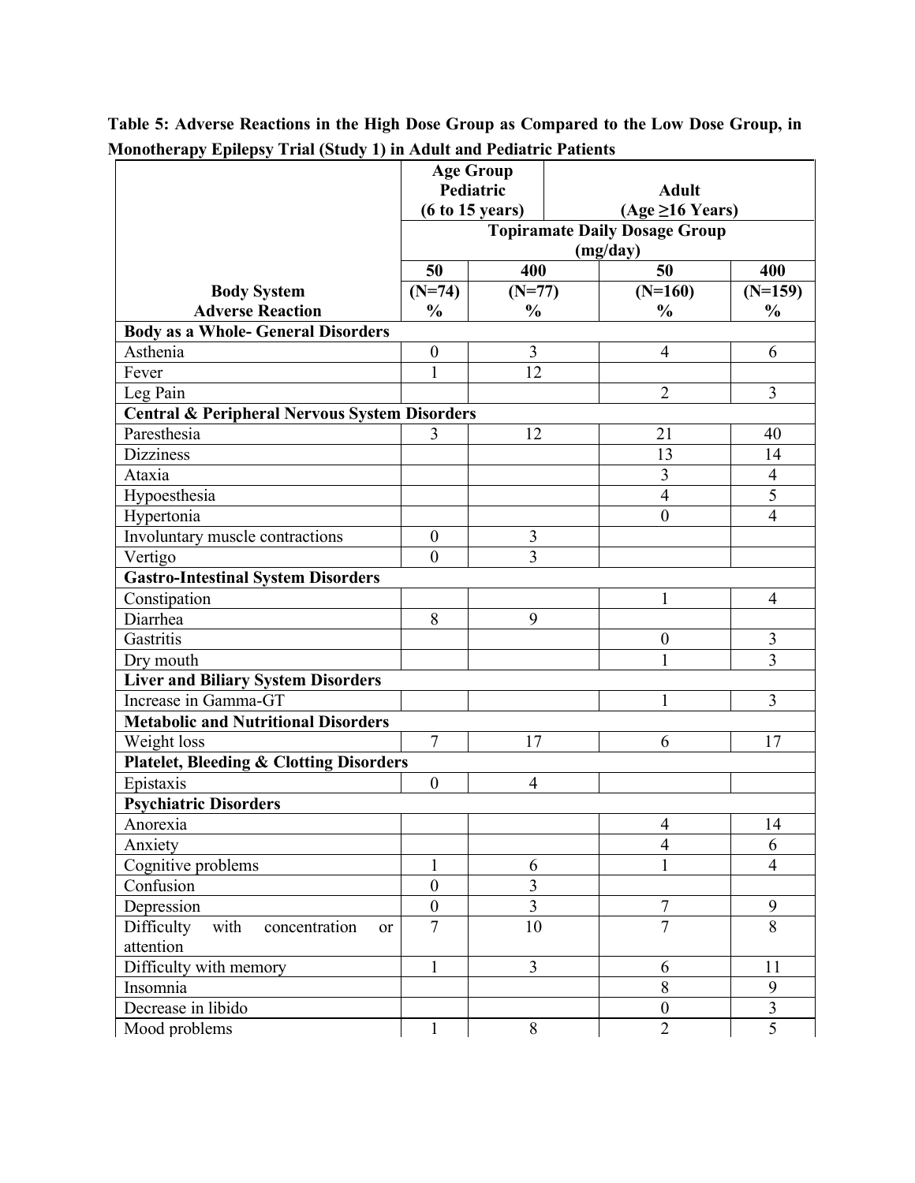|                                                          | <b>Age Group</b>     |                         |              |                                      |                |  |  |
|----------------------------------------------------------|----------------------|-------------------------|--------------|--------------------------------------|----------------|--|--|
|                                                          | Pediatric            |                         | <b>Adult</b> |                                      |                |  |  |
|                                                          | (6 to 15 years)      |                         |              | $(Age \geq 16$ Years)                |                |  |  |
|                                                          |                      |                         |              | <b>Topiramate Daily Dosage Group</b> |                |  |  |
|                                                          |                      |                         |              | (mg/day)                             |                |  |  |
|                                                          | 50                   | 400                     |              | 50                                   | 400            |  |  |
| <b>Body System</b>                                       | $(N=74)$             | $(N=77)$                |              | $(N=160)$                            | $(N=159)$      |  |  |
| <b>Adverse Reaction</b>                                  | $\frac{0}{0}$        | $\frac{0}{0}$           |              | $\frac{0}{0}$                        | $\frac{0}{0}$  |  |  |
| <b>Body as a Whole- General Disorders</b>                |                      |                         |              |                                      |                |  |  |
| Asthenia                                                 | $\boldsymbol{0}$     | 3                       |              | $\overline{4}$                       | 6              |  |  |
| Fever                                                    | $\mathbf{1}$         | 12                      |              |                                      |                |  |  |
| Leg Pain                                                 |                      |                         |              | $\overline{2}$                       | 3              |  |  |
| <b>Central &amp; Peripheral Nervous System Disorders</b> |                      |                         |              |                                      |                |  |  |
| Paresthesia                                              | 3                    | 12                      |              | 21                                   | 40             |  |  |
| <b>Dizziness</b>                                         |                      |                         |              | 13                                   | 14             |  |  |
| Ataxia                                                   |                      |                         |              | 3                                    | $\overline{4}$ |  |  |
| Hypoesthesia                                             |                      |                         |              | $\overline{4}$                       | $\overline{5}$ |  |  |
| Hypertonia                                               |                      |                         |              | $\boldsymbol{0}$                     | $\overline{4}$ |  |  |
| Involuntary muscle contractions                          | $\boldsymbol{0}$     | $\overline{3}$          |              |                                      |                |  |  |
| Vertigo                                                  | $\mathbf{0}$         | $\overline{3}$          |              |                                      |                |  |  |
| Gastro-Intestinal System Disorders                       |                      |                         |              |                                      |                |  |  |
| Constipation                                             |                      |                         |              | 1                                    | $\overline{4}$ |  |  |
| Diarrhea                                                 | 8                    | 9                       |              |                                      |                |  |  |
| Gastritis                                                |                      |                         |              | $\boldsymbol{0}$                     | 3              |  |  |
| Dry mouth                                                |                      |                         |              | $\mathbf{1}$                         | 3              |  |  |
| <b>Liver and Biliary System Disorders</b>                |                      |                         |              |                                      |                |  |  |
| Increase in Gamma-GT                                     |                      |                         |              | 1                                    | 3              |  |  |
| <b>Metabolic and Nutritional Disorders</b>               |                      |                         |              |                                      |                |  |  |
| Weight loss                                              | $\overline{7}$       | 17                      |              | 6                                    | 17             |  |  |
| <b>Platelet, Bleeding &amp; Clotting Disorders</b>       |                      |                         |              |                                      |                |  |  |
| Epistaxis                                                | $\boldsymbol{0}$     | 4                       |              |                                      |                |  |  |
| <b>Psychiatric Disorders</b>                             |                      |                         |              |                                      |                |  |  |
| Anorexia                                                 |                      |                         |              | 4                                    | 14             |  |  |
| Anxiety                                                  |                      |                         |              | 4                                    | 6              |  |  |
| Cognitive problems                                       | $\mathbf{1}$         | 6                       |              | $\mathbf{1}$                         | $\overline{4}$ |  |  |
| Confusion                                                | $\mathbf{0}$         | $\overline{3}$          |              |                                      |                |  |  |
| Depression                                               | $\boldsymbol{0}$     | $\overline{\mathbf{3}}$ |              | 7                                    | 9              |  |  |
| Difficulty with<br>concentration<br><b>or</b>            | $\overline{7}$<br>10 |                         |              | $\overline{7}$                       | $\overline{8}$ |  |  |
| attention                                                |                      |                         |              |                                      |                |  |  |
| Difficulty with memory                                   | $\mathbf{1}$         | $\overline{3}$          |              | 6                                    | 11             |  |  |
| Insomnia                                                 |                      |                         |              | 8                                    | 9              |  |  |
| Decrease in libido                                       |                      |                         |              | $\boldsymbol{0}$                     | $\overline{3}$ |  |  |
| Mood problems                                            | $\mathbf 1$          | 8                       |              | $\overline{2}$                       | $\overline{5}$ |  |  |

**Table 5: Adverse Reactions in the High Dose Group as Compared to the Low Dose Group, in Monotherapy Epilepsy Trial (Study 1) in Adult and Pediatric Patients**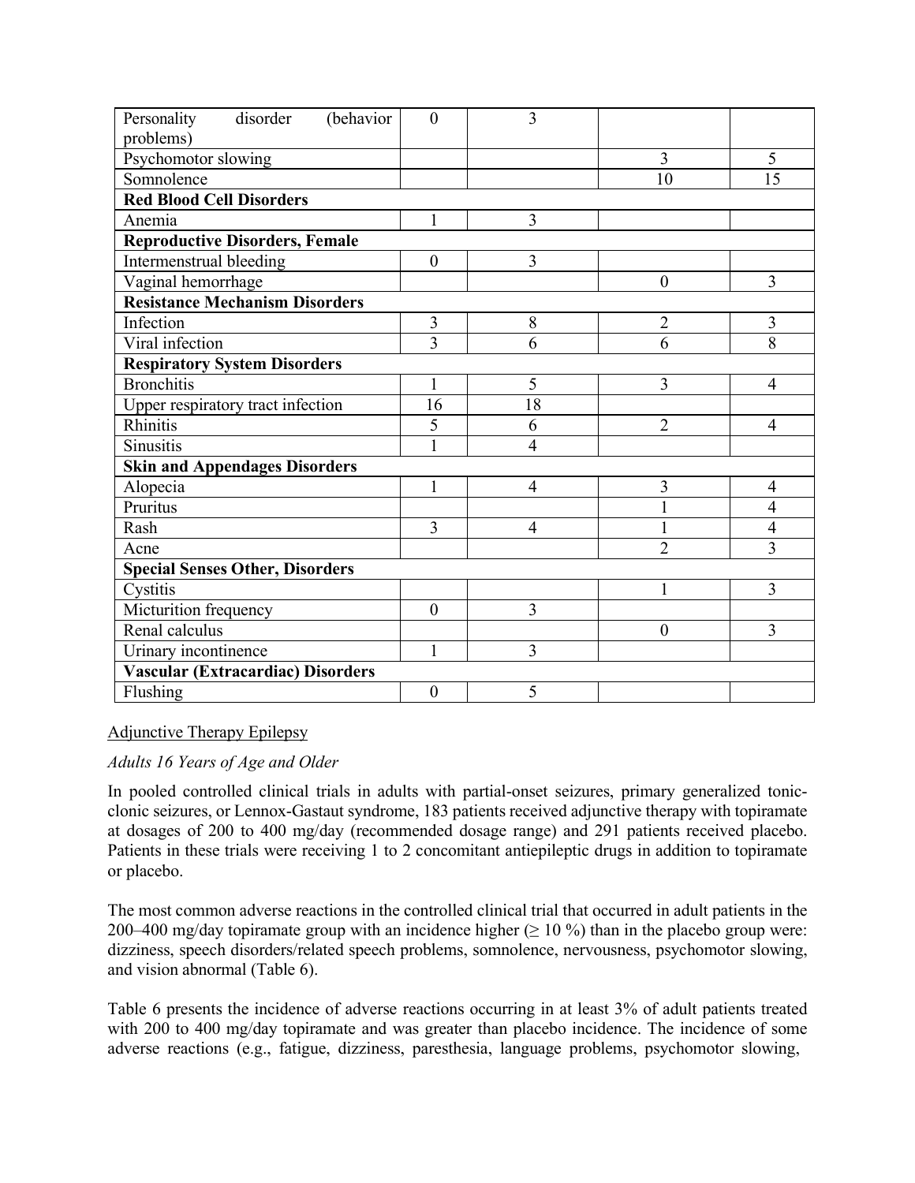| (behavior<br>disorder<br>Personality<br>problems) | $\mathbf{0}$     | $\overline{3}$ |                  |                |  |  |  |  |  |
|---------------------------------------------------|------------------|----------------|------------------|----------------|--|--|--|--|--|
| Psychomotor slowing                               |                  |                | 3                | 5              |  |  |  |  |  |
| Somnolence                                        |                  |                | 10               | 15             |  |  |  |  |  |
| <b>Red Blood Cell Disorders</b>                   |                  |                |                  |                |  |  |  |  |  |
| Anemia                                            | 1                | 3              |                  |                |  |  |  |  |  |
| <b>Reproductive Disorders, Female</b>             |                  |                |                  |                |  |  |  |  |  |
| Intermenstrual bleeding                           | $\mathbf{0}$     | 3              |                  |                |  |  |  |  |  |
| Vaginal hemorrhage                                |                  |                | $\boldsymbol{0}$ | 3              |  |  |  |  |  |
| <b>Resistance Mechanism Disorders</b>             |                  |                |                  |                |  |  |  |  |  |
| Infection                                         | 3                | 8              | $\overline{2}$   | 3              |  |  |  |  |  |
| Viral infection                                   | 3                | 6              | 6                | 8              |  |  |  |  |  |
| <b>Respiratory System Disorders</b>               |                  |                |                  |                |  |  |  |  |  |
| <b>Bronchitis</b>                                 | 1                | 5              | 3                | $\overline{4}$ |  |  |  |  |  |
| Upper respiratory tract infection                 | 16               | 18             |                  |                |  |  |  |  |  |
| Rhinitis                                          | 5                | 6              | $\overline{2}$   | 4              |  |  |  |  |  |
| <b>Sinusitis</b>                                  | 1                | $\overline{4}$ |                  |                |  |  |  |  |  |
| <b>Skin and Appendages Disorders</b>              |                  |                |                  |                |  |  |  |  |  |
| Alopecia                                          | 1                | $\overline{4}$ | 3                | 4              |  |  |  |  |  |
| Pruritus                                          |                  |                | 1                | $\overline{4}$ |  |  |  |  |  |
| Rash                                              | 3                | $\overline{4}$ | $\mathbf{1}$     | 4              |  |  |  |  |  |
| Acne                                              |                  |                | $\overline{2}$   | $\overline{3}$ |  |  |  |  |  |
| <b>Special Senses Other, Disorders</b>            |                  |                |                  |                |  |  |  |  |  |
| Cystitis                                          |                  |                | 1                | 3              |  |  |  |  |  |
| Micturition frequency                             | $\theta$         | 3              |                  |                |  |  |  |  |  |
| Renal calculus                                    |                  |                | $\boldsymbol{0}$ | 3              |  |  |  |  |  |
| Urinary incontinence                              | $\mathbf{1}$     | 3              |                  |                |  |  |  |  |  |
| Vascular (Extracardiac) Disorders                 |                  |                |                  |                |  |  |  |  |  |
| Flushing                                          | $\boldsymbol{0}$ | 5              |                  |                |  |  |  |  |  |

### Adjunctive Therapy Epilepsy

#### *Adults 16 Years of Age and Older*

In pooled controlled clinical trials in adults with partial-onset seizures, primary generalized tonicclonic seizures, or Lennox-Gastaut syndrome, 183 patients received adjunctive therapy with topiramate at dosages of 200 to 400 mg/day (recommended dosage range) and 291 patients received placebo. Patients in these trials were receiving 1 to 2 concomitant antiepileptic drugs in addition to topiramate or placebo.

The most common adverse reactions in the controlled clinical trial that occurred in adult patients in the 200–400 mg/day topiramate group with an incidence higher ( $\geq 10\%$ ) than in the placebo group were: dizziness, speech disorders/related speech problems, somnolence, nervousness, psychomotor slowing, and vision abnormal (Table 6).

Table 6 presents the incidence of adverse reactions occurring in at least 3% of adult patients treated with 200 to 400 mg/day topiramate and was greater than placebo incidence. The incidence of some adverse reactions (e.g., fatigue, dizziness, paresthesia, language problems, psychomotor slowing,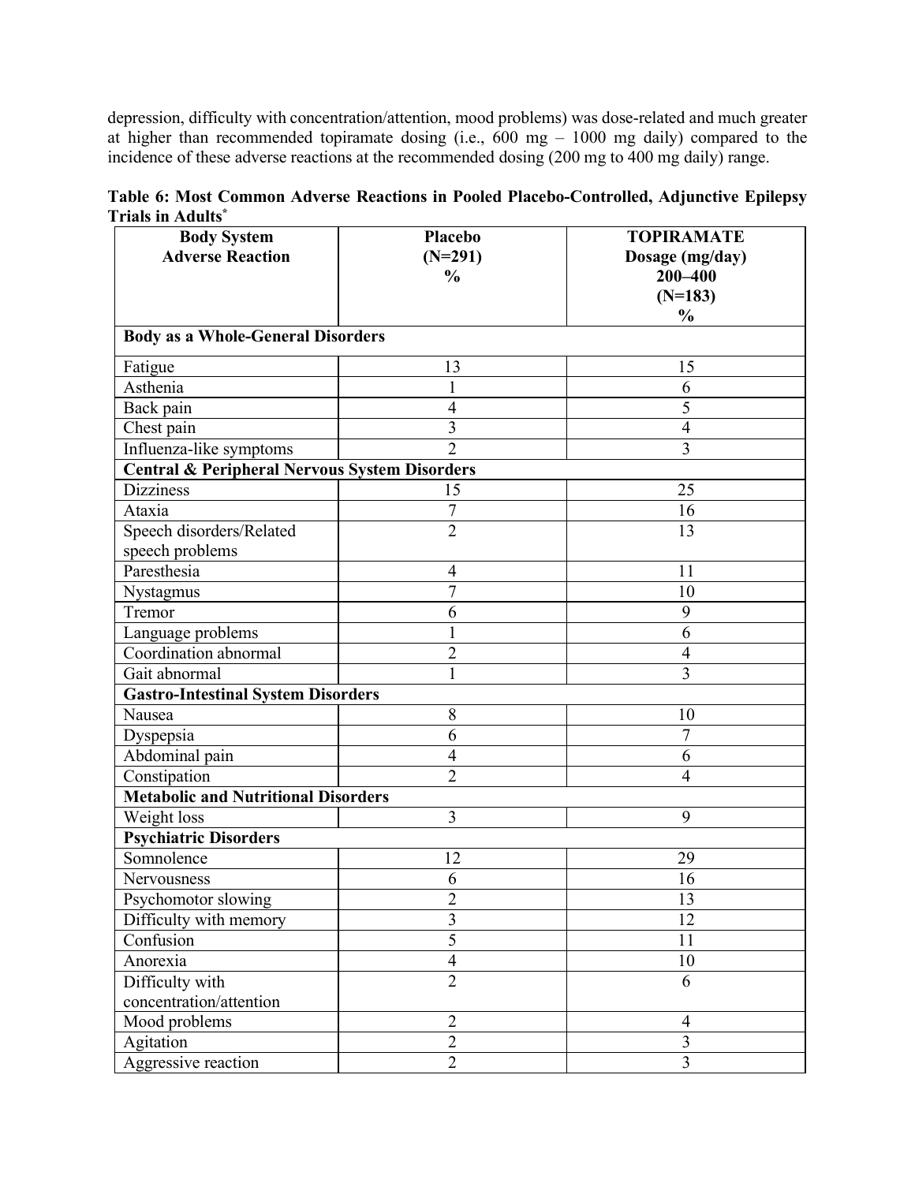depression, difficulty with concentration/attention, mood problems) was dose-related and much greater at higher than recommended topiramate dosing (i.e., 600 mg – 1000 mg daily) compared to the incidence of these adverse reactions at the recommended dosing (200 mg to 400 mg daily) range.

|                   |  |  |  |  |  | Table 6: Most Common Adverse Reactions in Pooled Placebo-Controlled, Adjunctive Epilepsy |  |
|-------------------|--|--|--|--|--|------------------------------------------------------------------------------------------|--|
| Trials in Adults* |  |  |  |  |  |                                                                                          |  |

| <b>Body System</b>                                       | Placebo                  | <b>TOPIRAMATE</b> |
|----------------------------------------------------------|--------------------------|-------------------|
| <b>Adverse Reaction</b>                                  | $(N=291)$                | Dosage (mg/day)   |
|                                                          | $\frac{0}{0}$            | 200-400           |
|                                                          |                          | $(N=183)$         |
|                                                          |                          | $\frac{0}{0}$     |
| <b>Body as a Whole-General Disorders</b>                 |                          |                   |
| Fatigue                                                  | 13                       | 15                |
| Asthenia                                                 | 1                        | 6                 |
| Back pain                                                | $\overline{4}$           | 5                 |
| Chest pain                                               | 3                        | $\overline{4}$    |
| Influenza-like symptoms                                  | $\overline{2}$           | 3                 |
| <b>Central &amp; Peripheral Nervous System Disorders</b> |                          |                   |
| <b>Dizziness</b>                                         | 15                       | 25                |
| Ataxia                                                   | 7                        | 16                |
| Speech disorders/Related                                 | $\overline{2}$           | 13                |
| speech problems                                          |                          |                   |
| Paresthesia                                              | $\overline{4}$           | 11                |
| Nystagmus                                                | $\overline{7}$           | 10                |
| Tremor                                                   | 6                        | 9                 |
| Language problems                                        | $\mathbf{1}$             | 6                 |
| Coordination abnormal                                    | $\overline{2}$           | $\overline{4}$    |
| Gait abnormal                                            | $\mathbf{1}$             | $\overline{3}$    |
| <b>Gastro-Intestinal System Disorders</b>                |                          |                   |
| Nausea                                                   | 8                        | 10                |
| Dyspepsia                                                | 6                        | 7                 |
| Abdominal pain                                           | $\overline{4}$           | 6                 |
| Constipation                                             | $\overline{2}$           | $\overline{4}$    |
| <b>Metabolic and Nutritional Disorders</b>               |                          |                   |
| Weight loss                                              | 3                        | 9                 |
| <b>Psychiatric Disorders</b>                             |                          |                   |
| Somnolence                                               | 12                       | 29                |
| Nervousness                                              | 6                        | 16                |
| Psychomotor slowing                                      | $\overline{2}$           | 13                |
| Difficulty with memory                                   | $\overline{3}$           | 12                |
| Confusion                                                | $\overline{5}$           | 11                |
| Anorexia                                                 | $\overline{\mathcal{A}}$ | 10                |
| Difficulty with                                          | $\overline{2}$           | 6                 |
| concentration/attention                                  |                          |                   |
| Mood problems                                            | $\overline{2}$           | $\overline{4}$    |
| Agitation                                                | $\overline{2}$           | $\overline{3}$    |
| Aggressive reaction                                      | $\overline{2}$           | $\overline{3}$    |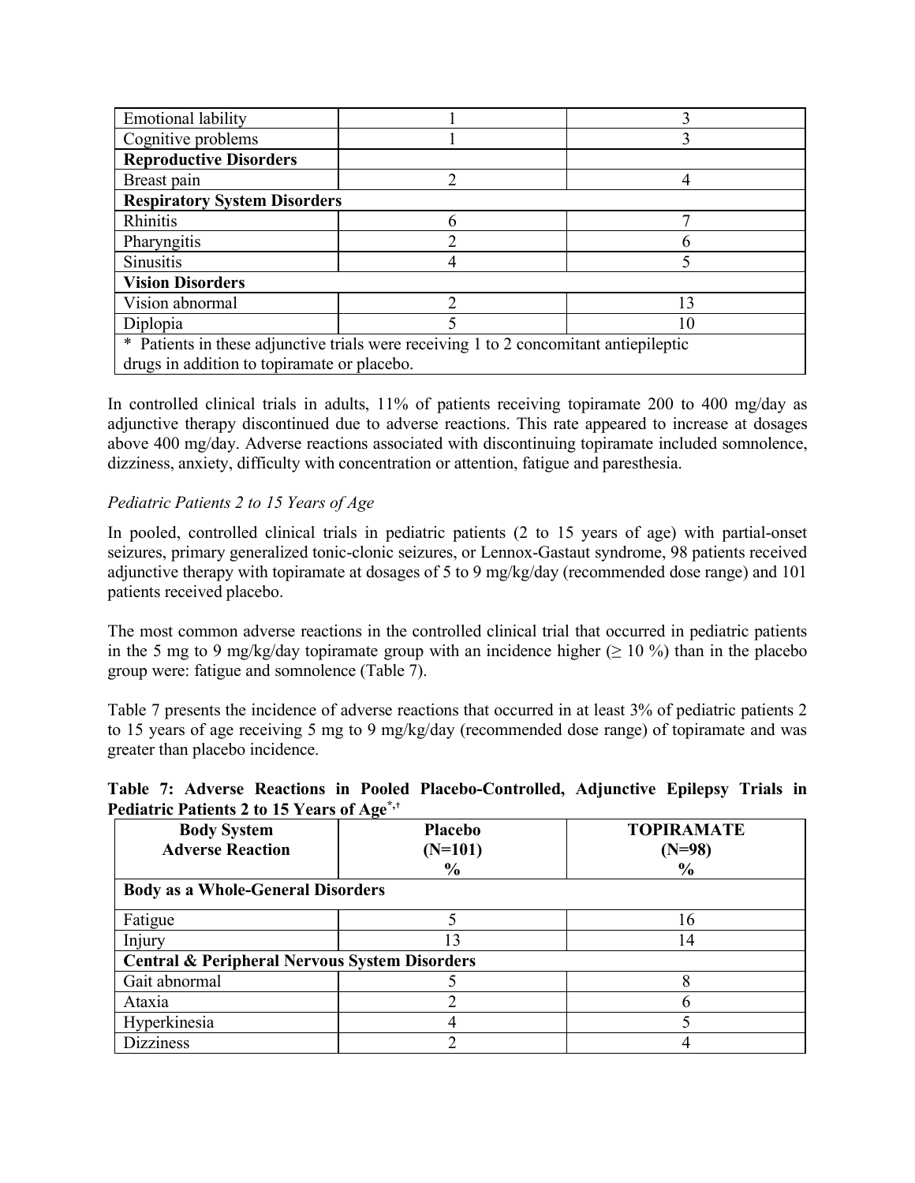| <b>Emotional lability</b>                                                             |    |    |  |  |  |  |
|---------------------------------------------------------------------------------------|----|----|--|--|--|--|
| Cognitive problems                                                                    |    |    |  |  |  |  |
| <b>Reproductive Disorders</b>                                                         |    |    |  |  |  |  |
| Breast pain                                                                           | ∍  |    |  |  |  |  |
| <b>Respiratory System Disorders</b>                                                   |    |    |  |  |  |  |
| Rhinitis                                                                              | 6  |    |  |  |  |  |
| Pharyngitis                                                                           |    |    |  |  |  |  |
| <b>Sinusitis</b>                                                                      |    |    |  |  |  |  |
| <b>Vision Disorders</b>                                                               |    |    |  |  |  |  |
| Vision abnormal                                                                       |    | 13 |  |  |  |  |
| Diplopia                                                                              | 10 |    |  |  |  |  |
| * Patients in these adjunctive trials were receiving 1 to 2 concomitant antiepileptic |    |    |  |  |  |  |
| drugs in addition to topiramate or placebo.                                           |    |    |  |  |  |  |

In controlled clinical trials in adults, 11% of patients receiving topiramate 200 to 400 mg/day as adjunctive therapy discontinued due to adverse reactions. This rate appeared to increase at dosages above 400 mg/day. Adverse reactions associated with discontinuing topiramate included somnolence, dizziness, anxiety, difficulty with concentration or attention, fatigue and paresthesia.

### *Pediatric Patients 2 to 15 Years of Age*

In pooled, controlled clinical trials in pediatric patients (2 to 15 years of age) with partial-onset seizures, primary generalized tonic-clonic seizures, or Lennox-Gastaut syndrome, 98 patients received adjunctive therapy with topiramate at dosages of 5 to 9 mg/kg/day (recommended dose range) and 101 patients received placebo.

The most common adverse reactions in the controlled clinical trial that occurred in pediatric patients in the 5 mg to 9 mg/kg/day topiramate group with an incidence higher ( $\geq 10\%$ ) than in the placebo group were: fatigue and somnolence (Table 7).

Table 7 presents the incidence of adverse reactions that occurred in at least 3% of pediatric patients 2 to 15 years of age receiving 5 mg to 9 mg/kg/day (recommended dose range) of topiramate and was greater than placebo incidence.

|  |                                                        |  | Table 7: Adverse Reactions in Pooled Placebo-Controlled, Adjunctive Epilepsy Trials in |  |  |
|--|--------------------------------------------------------|--|----------------------------------------------------------------------------------------|--|--|
|  | Pediatric Patients 2 to 15 Years of Age <sup>*,+</sup> |  |                                                                                        |  |  |

| <b>Body System</b><br><b>Adverse Reaction</b> | -<br><b>Placebo</b><br>$(N=101)$<br>$\frac{0}{0}$        | <b>TOPIRAMATE</b><br>$(N=98)$<br>$\%$ |  |  |  |  |  |  |
|-----------------------------------------------|----------------------------------------------------------|---------------------------------------|--|--|--|--|--|--|
| <b>Body as a Whole-General Disorders</b>      |                                                          |                                       |  |  |  |  |  |  |
| Fatigue                                       |                                                          | 16                                    |  |  |  |  |  |  |
| Injury                                        | 13                                                       | 14                                    |  |  |  |  |  |  |
|                                               | <b>Central &amp; Peripheral Nervous System Disorders</b> |                                       |  |  |  |  |  |  |
| Gait abnormal                                 |                                                          |                                       |  |  |  |  |  |  |
| Ataxia                                        |                                                          |                                       |  |  |  |  |  |  |
| Hyperkinesia                                  |                                                          |                                       |  |  |  |  |  |  |
| <b>Dizziness</b>                              | ◠                                                        |                                       |  |  |  |  |  |  |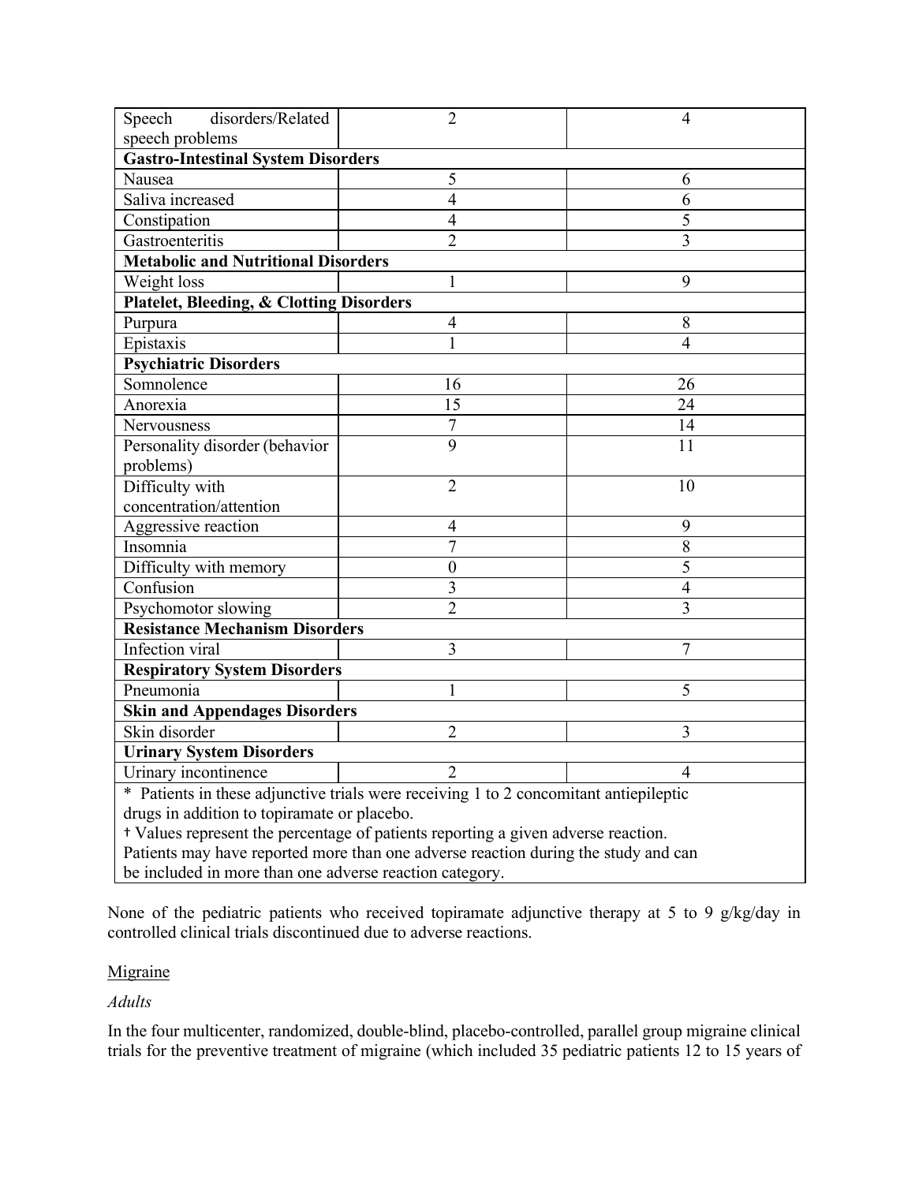| disorders/Related<br>Speech                                                           | $\overline{2}$   | 4              |  |  |  |  |  |  |
|---------------------------------------------------------------------------------------|------------------|----------------|--|--|--|--|--|--|
| speech problems                                                                       |                  |                |  |  |  |  |  |  |
| <b>Gastro-Intestinal System Disorders</b>                                             |                  |                |  |  |  |  |  |  |
| Nausea                                                                                | 5                | 6              |  |  |  |  |  |  |
| Saliva increased                                                                      | $\overline{4}$   | 6              |  |  |  |  |  |  |
| Constipation                                                                          | $\overline{4}$   | 5              |  |  |  |  |  |  |
| Gastroenteritis                                                                       | $\overline{2}$   | 3              |  |  |  |  |  |  |
| <b>Metabolic and Nutritional Disorders</b>                                            |                  |                |  |  |  |  |  |  |
| Weight loss                                                                           | 1                | 9              |  |  |  |  |  |  |
| <b>Platelet, Bleeding, &amp; Clotting Disorders</b>                                   |                  |                |  |  |  |  |  |  |
| Purpura                                                                               | $\overline{4}$   | 8              |  |  |  |  |  |  |
| Epistaxis                                                                             | 1                | 4              |  |  |  |  |  |  |
| <b>Psychiatric Disorders</b>                                                          |                  |                |  |  |  |  |  |  |
| Somnolence                                                                            | 16               | 26             |  |  |  |  |  |  |
| Anorexia                                                                              | 15               | 24             |  |  |  |  |  |  |
| Nervousness                                                                           | $\overline{7}$   | 14             |  |  |  |  |  |  |
| Personality disorder (behavior                                                        | $\overline{9}$   | 11             |  |  |  |  |  |  |
| problems)                                                                             |                  |                |  |  |  |  |  |  |
| Difficulty with                                                                       | $\overline{2}$   | 10             |  |  |  |  |  |  |
| concentration/attention                                                               |                  |                |  |  |  |  |  |  |
| Aggressive reaction                                                                   | $\overline{4}$   | 9              |  |  |  |  |  |  |
| Insomnia                                                                              | $\overline{7}$   | 8              |  |  |  |  |  |  |
| Difficulty with memory                                                                | $\boldsymbol{0}$ | 5              |  |  |  |  |  |  |
| Confusion                                                                             | 3                | $\overline{4}$ |  |  |  |  |  |  |
| Psychomotor slowing                                                                   | $\overline{2}$   | 3              |  |  |  |  |  |  |
| <b>Resistance Mechanism Disorders</b>                                                 |                  |                |  |  |  |  |  |  |
| Infection viral                                                                       | 3                | 7              |  |  |  |  |  |  |
| <b>Respiratory System Disorders</b>                                                   |                  |                |  |  |  |  |  |  |
| Pneumonia                                                                             | 1                | 5              |  |  |  |  |  |  |
| <b>Skin and Appendages Disorders</b>                                                  |                  |                |  |  |  |  |  |  |
| Skin disorder                                                                         | $\overline{2}$   | 3              |  |  |  |  |  |  |
| <b>Urinary System Disorders</b>                                                       |                  |                |  |  |  |  |  |  |
| $\overline{2}$<br>Urinary incontinence<br>4                                           |                  |                |  |  |  |  |  |  |
| * Patients in these adjunctive trials were receiving 1 to 2 concomitant antiepileptic |                  |                |  |  |  |  |  |  |
| drugs in addition to topiramate or placebo.                                           |                  |                |  |  |  |  |  |  |
| + Values represent the percentage of patients reporting a given adverse reaction.     |                  |                |  |  |  |  |  |  |
| Patients may have reported more than one adverse reaction during the study and can    |                  |                |  |  |  |  |  |  |
| be included in more than one adverse reaction category.                               |                  |                |  |  |  |  |  |  |

None of the pediatric patients who received topiramate adjunctive therapy at 5 to 9 g/kg/day in controlled clinical trials discontinued due to adverse reactions.

### Migraine

*Adults*

In the four multicenter, randomized, double-blind, placebo-controlled, parallel group migraine clinical trials for the preventive treatment of migraine (which included 35 pediatric patients 12 to 15 years of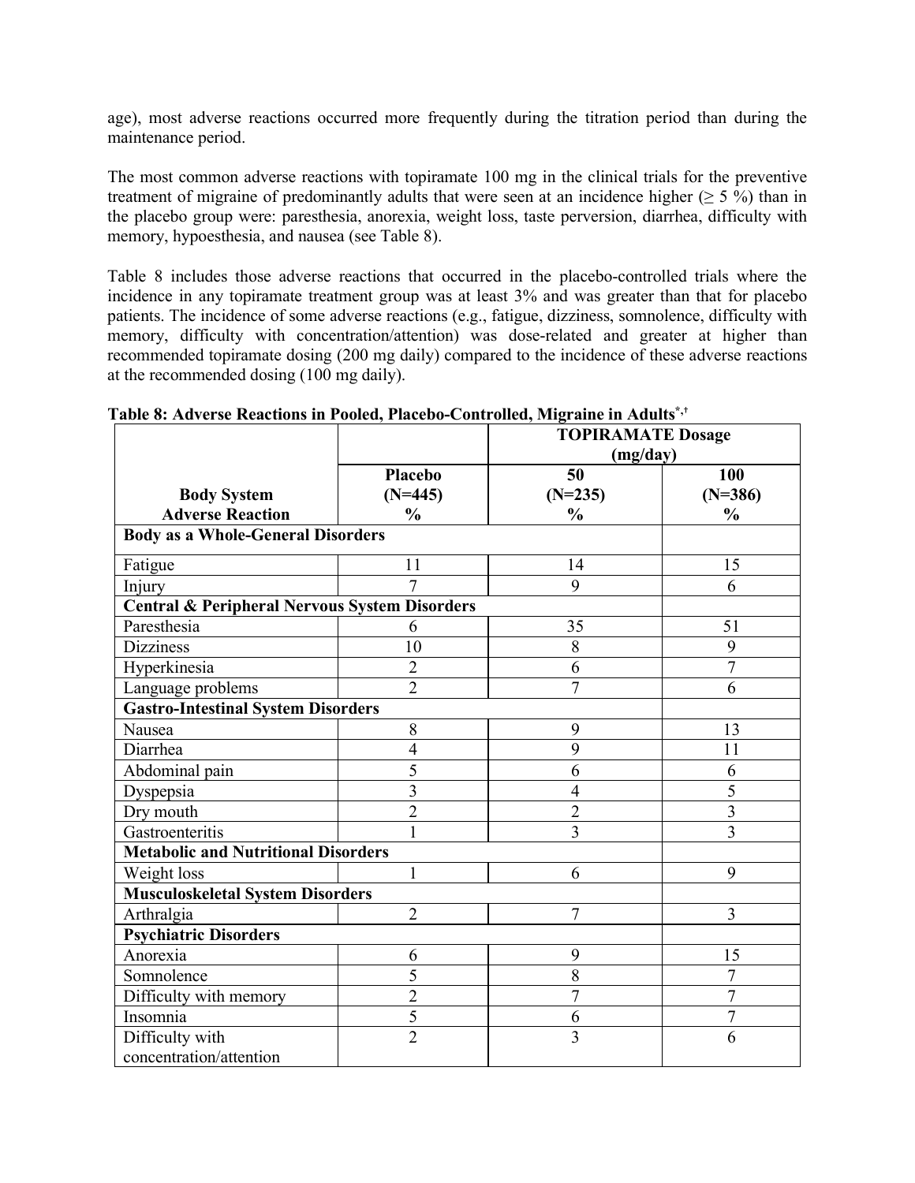age), most adverse reactions occurred more frequently during the titration period than during the maintenance period.

The most common adverse reactions with topiramate 100 mg in the clinical trials for the preventive treatment of migraine of predominantly adults that were seen at an incidence higher ( $\geq 5\%$ ) than in the placebo group were: paresthesia, anorexia, weight loss, taste perversion, diarrhea, difficulty with memory, hypoesthesia, and nausea (see Table 8).

Table 8 includes those adverse reactions that occurred in the placebo-controlled trials where the incidence in any topiramate treatment group was at least 3% and was greater than that for placebo patients. The incidence of some adverse reactions (e.g., fatigue, dizziness, somnolence, difficulty with memory, difficulty with concentration/attention) was dose-related and greater at higher than recommended topiramate dosing (200 mg daily) compared to the incidence of these adverse reactions at the recommended dosing (100 mg daily).

|                                                          |                | I adie o: Auvelse Reactions III I ooied, I facedo-Controlled, Migl ame in Adults<br><b>TOPIRAMATE Dosage</b> |                |  |  |  |  |  |
|----------------------------------------------------------|----------------|--------------------------------------------------------------------------------------------------------------|----------------|--|--|--|--|--|
|                                                          |                | (mg/day)                                                                                                     |                |  |  |  |  |  |
|                                                          | <b>Placebo</b> | 50                                                                                                           | 100            |  |  |  |  |  |
| <b>Body System</b>                                       | $(N=445)$      | $(N=235)$                                                                                                    | $(N=386)$      |  |  |  |  |  |
| <b>Adverse Reaction</b>                                  | $\frac{0}{0}$  | $\frac{0}{0}$                                                                                                | $\frac{0}{0}$  |  |  |  |  |  |
| <b>Body as a Whole-General Disorders</b>                 |                |                                                                                                              |                |  |  |  |  |  |
| Fatigue                                                  | 11             | 14                                                                                                           | 15             |  |  |  |  |  |
| Injury                                                   | $\overline{7}$ | 9                                                                                                            | 6              |  |  |  |  |  |
| <b>Central &amp; Peripheral Nervous System Disorders</b> |                |                                                                                                              |                |  |  |  |  |  |
| Paresthesia                                              | 6              | 35                                                                                                           | 51             |  |  |  |  |  |
| <b>Dizziness</b>                                         | 10             | 8                                                                                                            | 9              |  |  |  |  |  |
| Hyperkinesia                                             | $\overline{2}$ | 6                                                                                                            | $\overline{7}$ |  |  |  |  |  |
| Language problems                                        | $\overline{2}$ | $\overline{7}$                                                                                               | 6              |  |  |  |  |  |
| <b>Gastro-Intestinal System Disorders</b>                |                |                                                                                                              |                |  |  |  |  |  |
| Nausea                                                   | $\,$ $\,$      | 9                                                                                                            | 13             |  |  |  |  |  |
| Diarrhea                                                 | $\overline{4}$ | 9                                                                                                            | 11             |  |  |  |  |  |
| Abdominal pain                                           | 5              | 6                                                                                                            | 6              |  |  |  |  |  |
| Dyspepsia                                                | $\overline{3}$ | $\overline{4}$                                                                                               | 5              |  |  |  |  |  |
| Dry mouth                                                | $\overline{2}$ | $\overline{c}$                                                                                               | $\overline{3}$ |  |  |  |  |  |
| Gastroenteritis                                          | $\mathbf{1}$   | $\overline{3}$                                                                                               | $\overline{3}$ |  |  |  |  |  |
| <b>Metabolic and Nutritional Disorders</b>               |                |                                                                                                              |                |  |  |  |  |  |
| Weight loss                                              | 1              | 6                                                                                                            | 9              |  |  |  |  |  |
| <b>Musculoskeletal System Disorders</b>                  |                |                                                                                                              |                |  |  |  |  |  |
| Arthralgia                                               | $\overline{2}$ | $\overline{7}$                                                                                               | $\overline{3}$ |  |  |  |  |  |
| <b>Psychiatric Disorders</b>                             |                |                                                                                                              |                |  |  |  |  |  |
| Anorexia                                                 | 6              | 9                                                                                                            | 15             |  |  |  |  |  |
| Somnolence                                               | 5              | 8                                                                                                            | 7              |  |  |  |  |  |
| Difficulty with memory                                   | $\overline{2}$ | $\overline{7}$                                                                                               | $\overline{7}$ |  |  |  |  |  |
| Insomnia                                                 | $\overline{5}$ | 6                                                                                                            | $\overline{7}$ |  |  |  |  |  |
| Difficulty with                                          | $\overline{2}$ | $\overline{3}$                                                                                               | 6              |  |  |  |  |  |
| concentration/attention                                  |                |                                                                                                              |                |  |  |  |  |  |

**Table 8: Adverse Reactions in Pooled, Placebo-Controlled, Migraine in Adults\*,**†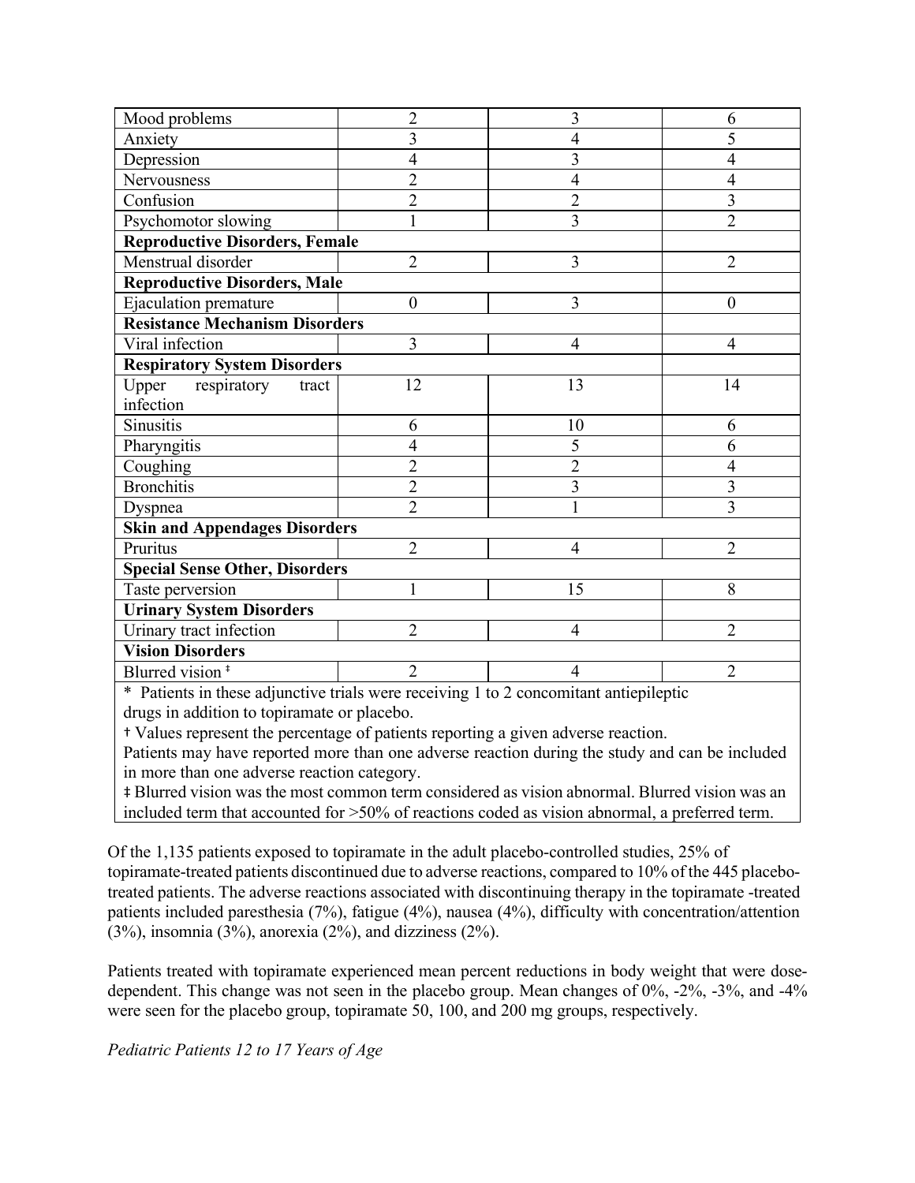| Mood problems                         | $\overline{2}$ | 3              | 6              |  |  |  |  |  |
|---------------------------------------|----------------|----------------|----------------|--|--|--|--|--|
| Anxiety                               | 3              | $\overline{4}$ | 5              |  |  |  |  |  |
| Depression                            | 4              | 3              | 4              |  |  |  |  |  |
| Nervousness                           | $\overline{2}$ | $\overline{4}$ | 4              |  |  |  |  |  |
| Confusion                             | $\overline{c}$ | $\overline{c}$ | 3              |  |  |  |  |  |
| Psychomotor slowing                   | $\mathbf{1}$   | $\overline{3}$ | $\overline{2}$ |  |  |  |  |  |
| <b>Reproductive Disorders, Female</b> |                |                |                |  |  |  |  |  |
| Menstrual disorder                    | $\overline{2}$ | 3              | $\overline{2}$ |  |  |  |  |  |
| <b>Reproductive Disorders, Male</b>   |                |                |                |  |  |  |  |  |
| Ejaculation premature                 | $\theta$       | 3              | $\theta$       |  |  |  |  |  |
| <b>Resistance Mechanism Disorders</b> |                |                |                |  |  |  |  |  |
| Viral infection                       | 3              | $\overline{4}$ | $\overline{4}$ |  |  |  |  |  |
| <b>Respiratory System Disorders</b>   |                |                |                |  |  |  |  |  |
| Upper<br>respiratory<br>tract         | 12             | 13             | 14             |  |  |  |  |  |
| infection                             |                |                |                |  |  |  |  |  |
| Sinusitis                             | 6              | 10             | 6              |  |  |  |  |  |
| Pharyngitis                           | 4              | 5              | 6              |  |  |  |  |  |
| Coughing                              | $\overline{2}$ | $\overline{2}$ | 4              |  |  |  |  |  |
| <b>Bronchitis</b>                     | $\overline{2}$ | 3              | $\overline{3}$ |  |  |  |  |  |
| Dyspnea                               | $\overline{2}$ | $\mathbf{1}$   | $\overline{3}$ |  |  |  |  |  |
| <b>Skin and Appendages Disorders</b>  |                |                |                |  |  |  |  |  |
| Pruritus                              | $\overline{2}$ | $\overline{4}$ | $\overline{2}$ |  |  |  |  |  |
| <b>Special Sense Other, Disorders</b> |                |                |                |  |  |  |  |  |
| Taste perversion                      | 1              | 15             | 8              |  |  |  |  |  |
| <b>Urinary System Disorders</b>       |                |                |                |  |  |  |  |  |
| Urinary tract infection               | $\overline{2}$ | $\overline{4}$ | $\overline{2}$ |  |  |  |  |  |
| <b>Vision Disorders</b>               |                |                |                |  |  |  |  |  |
| Blurred vision <sup>#</sup>           | $\overline{2}$ | $\overline{4}$ | $\overline{2}$ |  |  |  |  |  |

\* Patients in these adjunctive trials were receiving 1 to 2 concomitant antiepileptic drugs in addition to topiramate or placebo.

† Values represent the percentage of patients reporting a given adverse reaction.

Patients may have reported more than one adverse reaction during the study and can be included in more than one adverse reaction category.

‡ Blurred vision was the most common term considered as vision abnormal. Blurred vision was an included term that accounted for >50% of reactions coded as vision abnormal, a preferred term.

Of the 1,135 patients exposed to topiramate in the adult placebo-controlled studies, 25% of topiramate-treated patients discontinued due to adverse reactions, compared to 10% of the 445 placebotreated patients. The adverse reactions associated with discontinuing therapy in the topiramate -treated patients included paresthesia (7%), fatigue (4%), nausea (4%), difficulty with concentration/attention  $(3\%)$ , insomnia  $(3\%)$ , anorexia  $(2\%)$ , and dizziness  $(2\%)$ .

Patients treated with topiramate experienced mean percent reductions in body weight that were dosedependent. This change was not seen in the placebo group. Mean changes of 0%, -2%, -3%, and -4% were seen for the placebo group, topiramate 50, 100, and 200 mg groups, respectively.

*Pediatric Patients 12 to 17 Years of Age*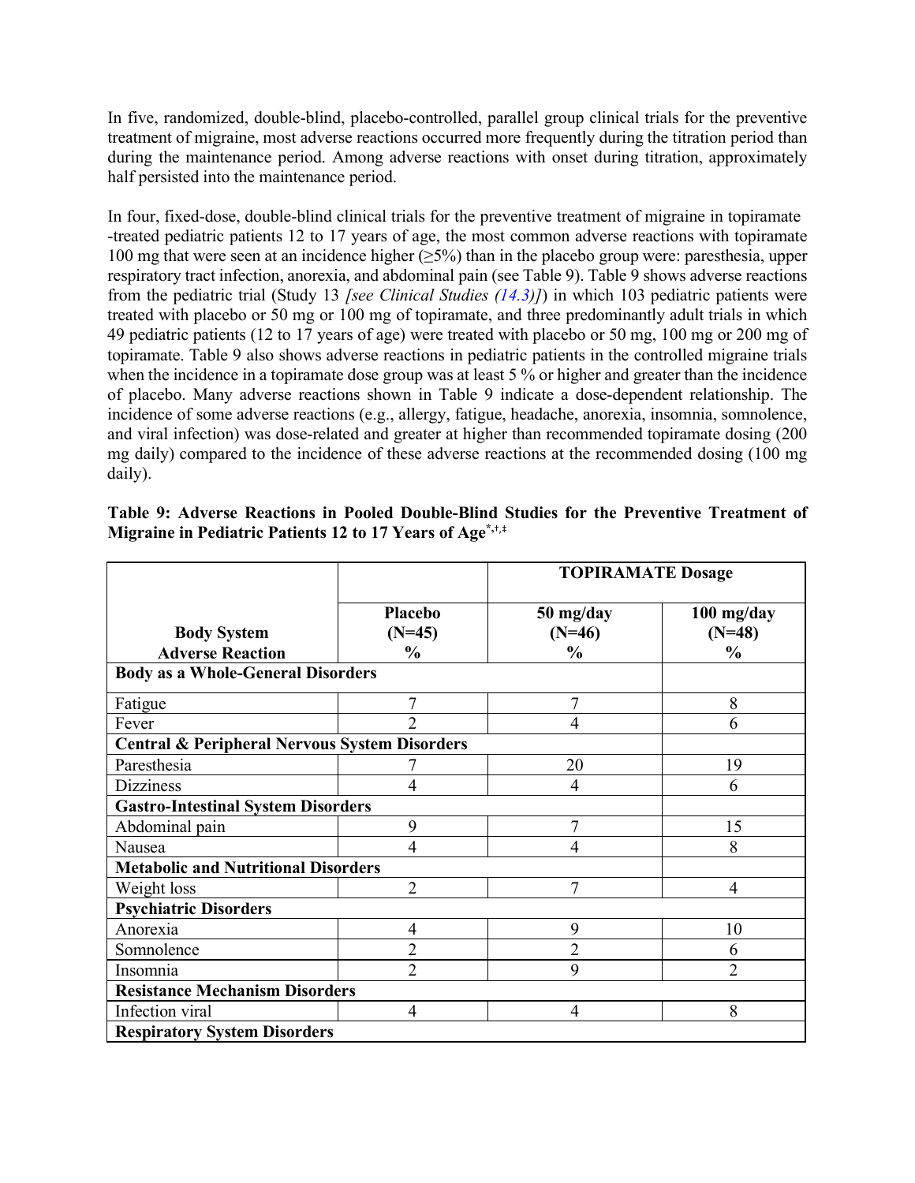In five, randomized, double-blind, placebo-controlled, parallel group clinical trials for the preventive treatment of migraine, most adverse reactions occurred more frequently during the titration period than during the maintenance period. Among adverse reactions with onset during titration, approximately half persisted into the maintenance period.

In four, fixed-dose, double-blind clinical trials for the preventive treatment of migraine in topiramate -treated pediatric patients 12 to 17 years of age, the most common adverse reactions with topiramate 100 mg that were seen at an incidence higher (≥5%) than in the placebo group were: paresthesia, upper respiratory tract infection, anorexia, and abdominal pain (see Table 9). Table 9 shows adverse reactions from the pediatric trial (Study 13 *[see Clinical Studies [\(14.3\)](#page-41-0)]*) in which 103 pediatric patients were treated with placebo or 50 mg or 100 mg of topiramate, and three predominantly adult trials in which 49 pediatric patients (12 to 17 years of age) were treated with placebo or 50 mg, 100 mg or 200 mg of topiramate. Table 9 also shows adverse reactions in pediatric patients in the controlled migraine trials when the incidence in a topiramate dose group was at least 5 % or higher and greater than the incidence of placebo. Many adverse reactions shown in Table 9 indicate a dose-dependent relationship. The incidence of some adverse reactions (e.g., allergy, fatigue, headache, anorexia, insomnia, somnolence, and viral infection) was dose-related and greater at higher than recommended topiramate dosing (200 mg daily) compared to the incidence of these adverse reactions at the recommended dosing (100 mg daily).

|                                                          |                            | <b>TOPIRAMATE Dosage</b> |                          |  |  |  |
|----------------------------------------------------------|----------------------------|--------------------------|--------------------------|--|--|--|
| <b>Body System</b>                                       | <b>Placebo</b><br>$(N=45)$ | 50 mg/day<br>$(N=46)$    | $100$ mg/day<br>$(N=48)$ |  |  |  |
| <b>Adverse Reaction</b>                                  | $\frac{6}{6}$              | $\frac{6}{6}$            | $\frac{0}{0}$            |  |  |  |
| <b>Body as a Whole-General Disorders</b>                 |                            |                          |                          |  |  |  |
| Fatigue                                                  | $\overline{7}$             | 7                        | 8                        |  |  |  |
| Fever                                                    | $\overline{2}$             | $\overline{4}$           | 6                        |  |  |  |
| <b>Central &amp; Peripheral Nervous System Disorders</b> |                            |                          |                          |  |  |  |
| Paresthesia                                              |                            | 20                       | 19                       |  |  |  |
| <b>Dizziness</b>                                         | 4                          | $\overline{4}$           | 6                        |  |  |  |
| <b>Gastro-Intestinal System Disorders</b>                |                            |                          |                          |  |  |  |
| Abdominal pain                                           | 9                          | 7                        | 15                       |  |  |  |
| Nausea                                                   | $\overline{4}$             | $\overline{4}$           | 8                        |  |  |  |
| <b>Metabolic and Nutritional Disorders</b>               |                            |                          |                          |  |  |  |
| Weight loss                                              | $\overline{2}$             | 7                        | 4                        |  |  |  |
| <b>Psychiatric Disorders</b>                             |                            |                          |                          |  |  |  |
| Anorexia                                                 | $\overline{4}$             | 9                        | 10                       |  |  |  |
| Somnolence                                               | $\overline{2}$             | $\overline{2}$           | 6                        |  |  |  |
| Insomnia                                                 | $\overline{2}$             | 9                        | $\overline{2}$           |  |  |  |
| <b>Resistance Mechanism Disorders</b>                    |                            |                          |                          |  |  |  |
| Infection viral                                          | $\overline{4}$             | $\overline{4}$           | 8                        |  |  |  |
| <b>Respiratory System Disorders</b>                      |                            |                          |                          |  |  |  |

|  |  | Table 9: Adverse Reactions in Pooled Double-Blind Studies for the Preventive Treatment of |  |  |  |
|--|--|-------------------------------------------------------------------------------------------|--|--|--|
|  |  | Migraine in Pediatric Patients 12 to 17 Years of Age <sup>*,†,‡</sup>                     |  |  |  |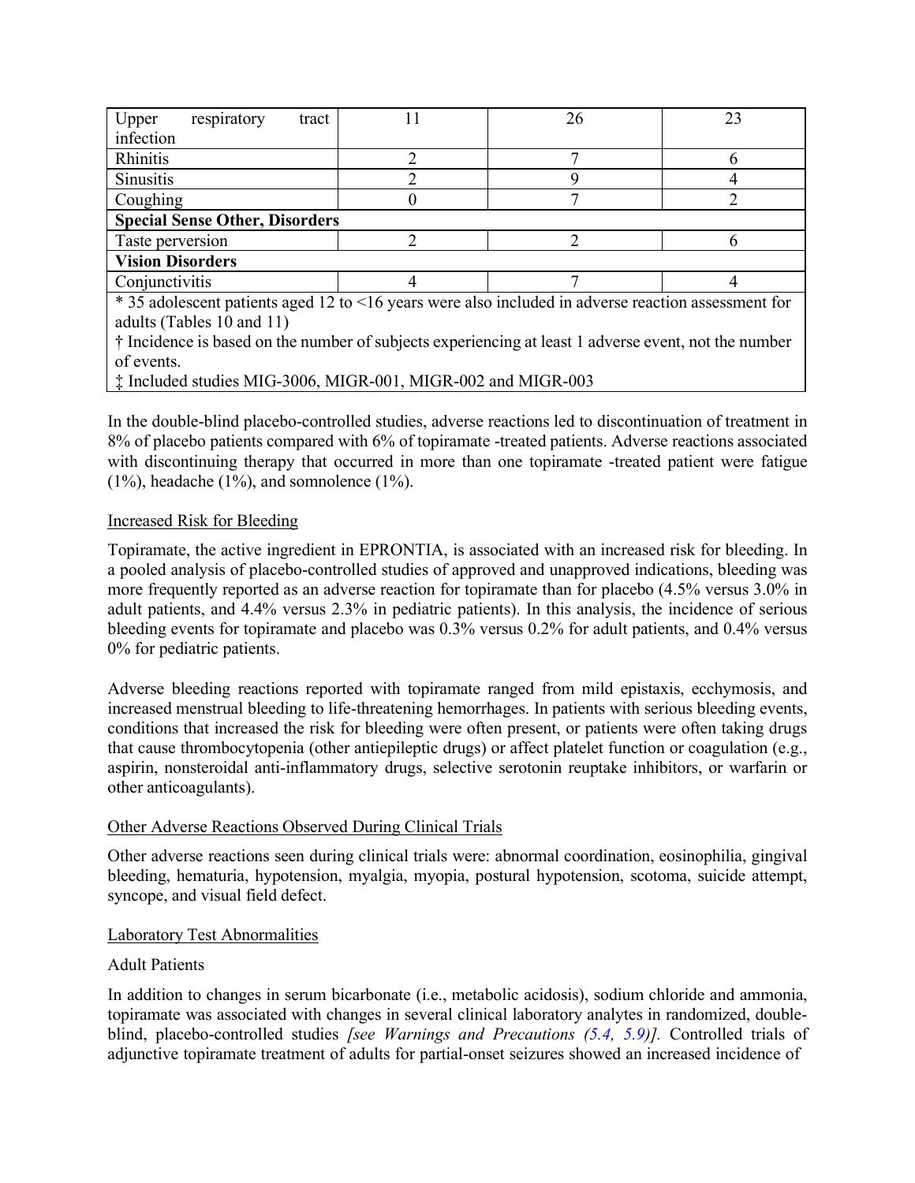| Upper<br>respiratory<br>tract                                                                       |                                       | 26 | 23 |  |  |  |  |  |
|-----------------------------------------------------------------------------------------------------|---------------------------------------|----|----|--|--|--|--|--|
| infection                                                                                           |                                       |    |    |  |  |  |  |  |
| Rhinitis                                                                                            |                                       |    |    |  |  |  |  |  |
| <b>Sinusitis</b>                                                                                    |                                       |    |    |  |  |  |  |  |
| Coughing                                                                                            |                                       |    |    |  |  |  |  |  |
|                                                                                                     | <b>Special Sense Other, Disorders</b> |    |    |  |  |  |  |  |
| Taste perversion                                                                                    |                                       |    |    |  |  |  |  |  |
| <b>Vision Disorders</b>                                                                             |                                       |    |    |  |  |  |  |  |
| Conjunctivitis                                                                                      |                                       |    |    |  |  |  |  |  |
| * 35 adolescent patients aged 12 to <16 years were also included in adverse reaction assessment for |                                       |    |    |  |  |  |  |  |
| adults (Tables 10 and 11)                                                                           |                                       |    |    |  |  |  |  |  |

† Incidence is based on the number of subjects experiencing at least 1 adverse event, not the number of events.

‡ Included studies MIG-3006, MIGR-001, MIGR-002 and MIGR-003

In the double-blind placebo-controlled studies, adverse reactions led to discontinuation of treatment in 8% of placebo patients compared with 6% of topiramate -treated patients. Adverse reactions associated with discontinuing therapy that occurred in more than one topiramate -treated patient were fatigue  $(1\%)$ , headache  $(1\%)$ , and somnolence  $(1\%)$ .

### Increased Risk for Bleeding

Topiramate, the active ingredient in EPRONTIA, is associated with an increased risk for bleeding. In a pooled analysis of placebo-controlled studies of approved and unapproved indications, bleeding was more frequently reported as an adverse reaction for topiramate than for placebo (4.5% versus 3.0% in adult patients, and 4.4% versus 2.3% in pediatric patients). In this analysis, the incidence of serious bleeding events for topiramate and placebo was 0.3% versus 0.2% for adult patients, and 0.4% versus 0% for pediatric patients.

Adverse bleeding reactions reported with topiramate ranged from mild epistaxis, ecchymosis, and increased menstrual bleeding to life-threatening hemorrhages. In patients with serious bleeding events, conditions that increased the risk for bleeding were often present, or patients were often taking drugs that cause thrombocytopenia (other antiepileptic drugs) or affect platelet function or coagulation (e.g., aspirin, nonsteroidal anti-inflammatory drugs, selective serotonin reuptake inhibitors, or warfarin or other anticoagulants).

### Other Adverse Reactions Observed During Clinical Trials

Other adverse reactions seen during clinical trials were: abnormal coordination, eosinophilia, gingival bleeding, hematuria, hypotension, myalgia, myopia, postural hypotension, scotoma, suicide attempt, syncope, and visual field defect.

### Laboratory Test Abnormalities

### Adult Patients

In addition to changes in serum bicarbonate (i.e., metabolic acidosis), sodium chloride and ammonia, topiramate was associated with changes in several clinical laboratory analytes in randomized, doubleblind, placebo-controlled studies *[see Warnings and Precautions [\(5.4,](#page-5-2) [5.9\)](#page-9-2)].* Controlled trials of adjunctive topiramate treatment of adults for partial-onset seizures showed an increased incidence of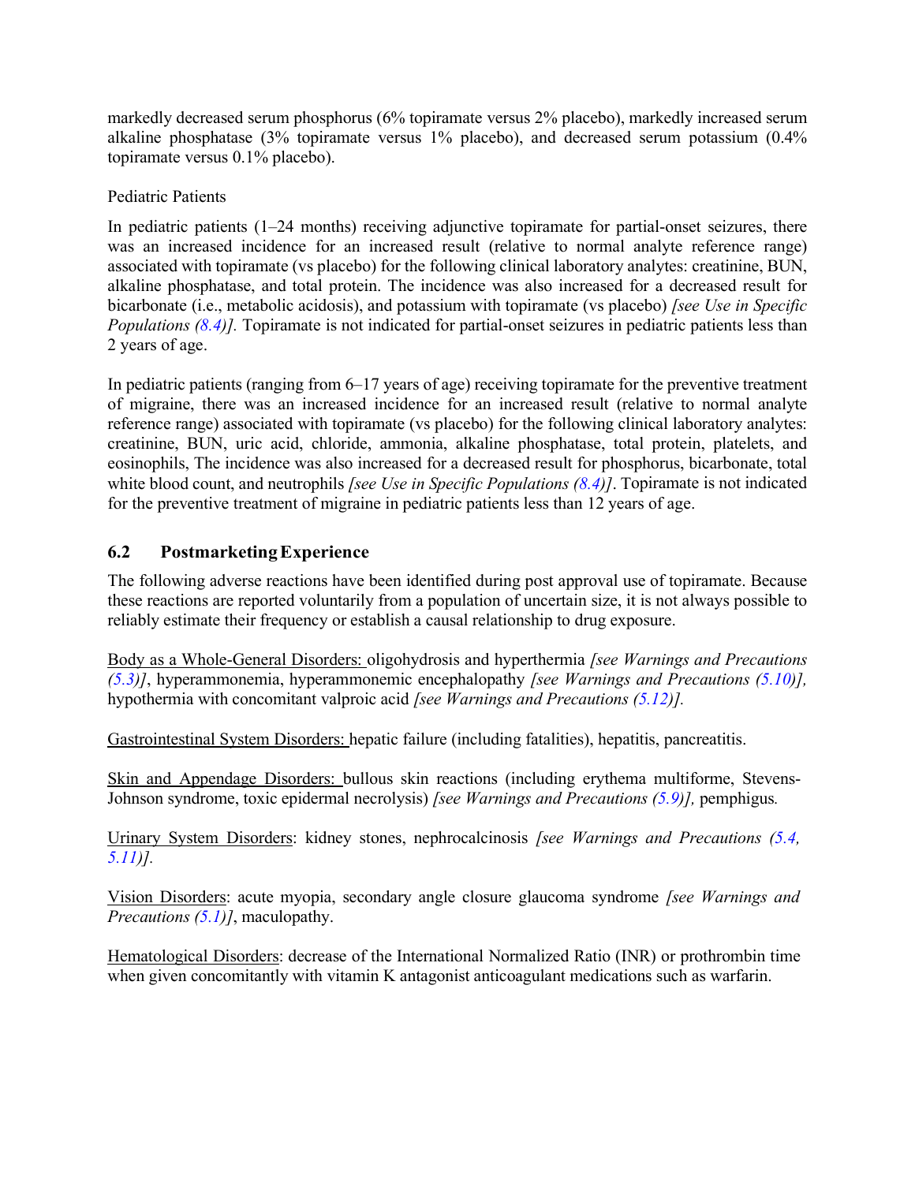markedly decreased serum phosphorus (6% topiramate versus 2% placebo), markedly increased serum alkaline phosphatase (3% topiramate versus 1% placebo), and decreased serum potassium (0.4% topiramate versus 0.1% placebo).

### Pediatric Patients

In pediatric patients (1–24 months) receiving adjunctive topiramate for partial-onset seizures, there was an increased incidence for an increased result (relative to normal analyte reference range) associated with topiramate (vs placebo) for the following clinical laboratory analytes: creatinine, BUN, alkaline phosphatase, and total protein. The incidence was also increased for a decreased result for bicarbonate (i.e., metabolic acidosis), and potassium with topiramate (vs placebo) *[see Use in Specific Populations [\(8.4\)](#page-26-1)].* Topiramate is not indicated for partial-onset seizures in pediatric patients less than 2 years of age.

In pediatric patients (ranging from 6–17 years of age) receiving topiramate for the preventive treatment of migraine, there was an increased incidence for an increased result (relative to normal analyte reference range) associated with topiramate (vs placebo) for the following clinical laboratory analytes: creatinine, BUN, uric acid, chloride, ammonia, alkaline phosphatase, total protein, platelets, and eosinophils, The incidence was also increased for a decreased result for phosphorus, bicarbonate, total white blood count, and neutrophils *[see Use in Specific Populations [\(8.4\)](#page-26-1)]*. Topiramate is not indicated for the preventive treatment of migraine in pediatric patients less than 12 years of age.

## <span id="page-21-0"></span>**6.2 PostmarketingExperience**

The following adverse reactions have been identified during post approval use of topiramate. Because these reactions are reported voluntarily from a population of uncertain size, it is not always possible to reliably estimate their frequency or establish a causal relationship to drug exposure.

Body as a Whole-General Disorders: oligohydrosis and hyperthermia *[see Warnings and Precautions [\(5.3\)](#page-5-1)]*, hyperammonemia, hyperammonemic encephalopathy *[see Warnings and Precautions [\(5.10\)](#page-9-1)],* hypothermia with concomitant valproic acid *[see Warnings and Precautions (5.12)].*

Gastrointestinal System Disorders: hepatic failure (including fatalities), hepatitis, pancreatitis.

Skin and Appendage Disorders: bullous skin reactions (including erythema multiforme, Stevens-Johnson syndrome, toxic epidermal necrolysis) *[see Warnings and Precautions [\(5.9\)](#page-9-2)],* pemphigus*.*

Urinary System Disorders: kidney stones, nephrocalcinosis *[see Warnings and Precautions [\(5.4,](#page-5-2) [5.11](#page-10-0))].*

Vision Disorders: acute myopia, secondary angle closure glaucoma syndrome *[see Warnings and Precautions [\(5.1\)](#page-4-5)]*, maculopathy.

Hematological Disorders: decrease of the International Normalized Ratio (INR) or prothrombin time when given concomitantly with vitamin K antagonist anticoagulant medications such as warfarin.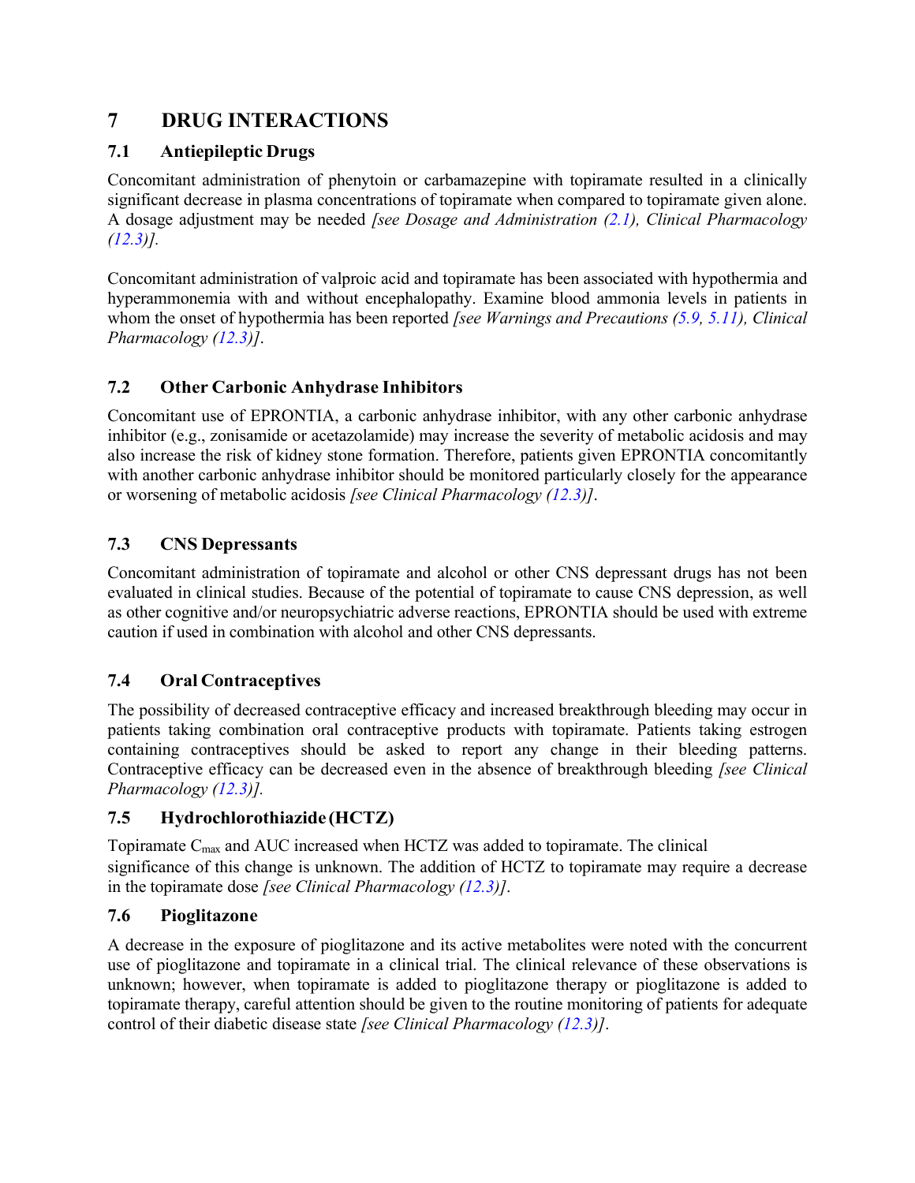# <span id="page-22-1"></span>**7 DRUG INTERACTIONS**

## <span id="page-22-2"></span>**7.1 Antiepileptic Drugs**

Concomitant administration of phenytoin or carbamazepine with topiramate resulted in a clinically significant decrease in plasma concentrations of topiramate when compared to topiramate given alone. A dosage adjustment may be needed *[see Dosage and Administration [\(2.1\)](#page-2-3), Clinical Pharmacology [\(12.3\)](#page-30-3)].*

Concomitant administration of valproic acid and topiramate has been associated with hypothermia and hyperammonemia with and without encephalopathy. Examine blood ammonia levels in patients in whom the onset of hypothermia has been reported *[see Warnings and Precautions [\(5.9,](#page-9-2) [5.11\)](#page-10-0), Clinical Pharmacology [\(12.3\)](#page-30-3)]*.

## <span id="page-22-3"></span>**7.2 Other Carbonic Anhydrase Inhibitors**

Concomitant use of EPRONTIA, a carbonic anhydrase inhibitor, with any other carbonic anhydrase inhibitor (e.g., zonisamide or acetazolamide) may increase the severity of metabolic acidosis and may also increase the risk of kidney stone formation. Therefore, patients given EPRONTIA concomitantly with another carbonic anhydrase inhibitor should be monitored particularly closely for the appearance or worsening of metabolic acidosis *[see Clinical Pharmacology [\(12.3\)](#page-30-3)]*.

## <span id="page-22-4"></span>**7.3 CNS Depressants**

Concomitant administration of topiramate and alcohol or other CNS depressant drugs has not been evaluated in clinical studies. Because of the potential of topiramate to cause CNS depression, as well as other cognitive and/or neuropsychiatric adverse reactions, EPRONTIA should be used with extreme caution if used in combination with alcohol and other CNS depressants.

## <span id="page-22-0"></span>**7.4 Oral Contraceptives**

The possibility of decreased contraceptive efficacy and increased breakthrough bleeding may occur in patients taking combination oral contraceptive products with topiramate. Patients taking estrogen containing contraceptives should be asked to report any change in their bleeding patterns. Contraceptive efficacy can be decreased even in the absence of breakthrough bleeding *[see Clinical Pharmacology [\(12.3\)](#page-30-3)].*

### <span id="page-22-5"></span>**7.5 Hydrochlorothiazide (HCTZ)**

Topiramate Cmax and AUC increased when HCTZ was added to topiramate. The clinical significance of this change is unknown. The addition of HCTZ to topiramate may require a decrease in the topiramate dose *[see Clinical Pharmacology [\(12.3\)](#page-30-3)]*.

### <span id="page-22-6"></span>**7.6 Pioglitazone**

A decrease in the exposure of pioglitazone and its active metabolites were noted with the concurrent use of pioglitazone and topiramate in a clinical trial. The clinical relevance of these observations is unknown; however, when topiramate is added to pioglitazone therapy or pioglitazone is added to topiramate therapy, careful attention should be given to the routine monitoring of patients for adequate control of their diabetic disease state *[see Clinical Pharmacology [\(12.3\)](#page-30-3)]*.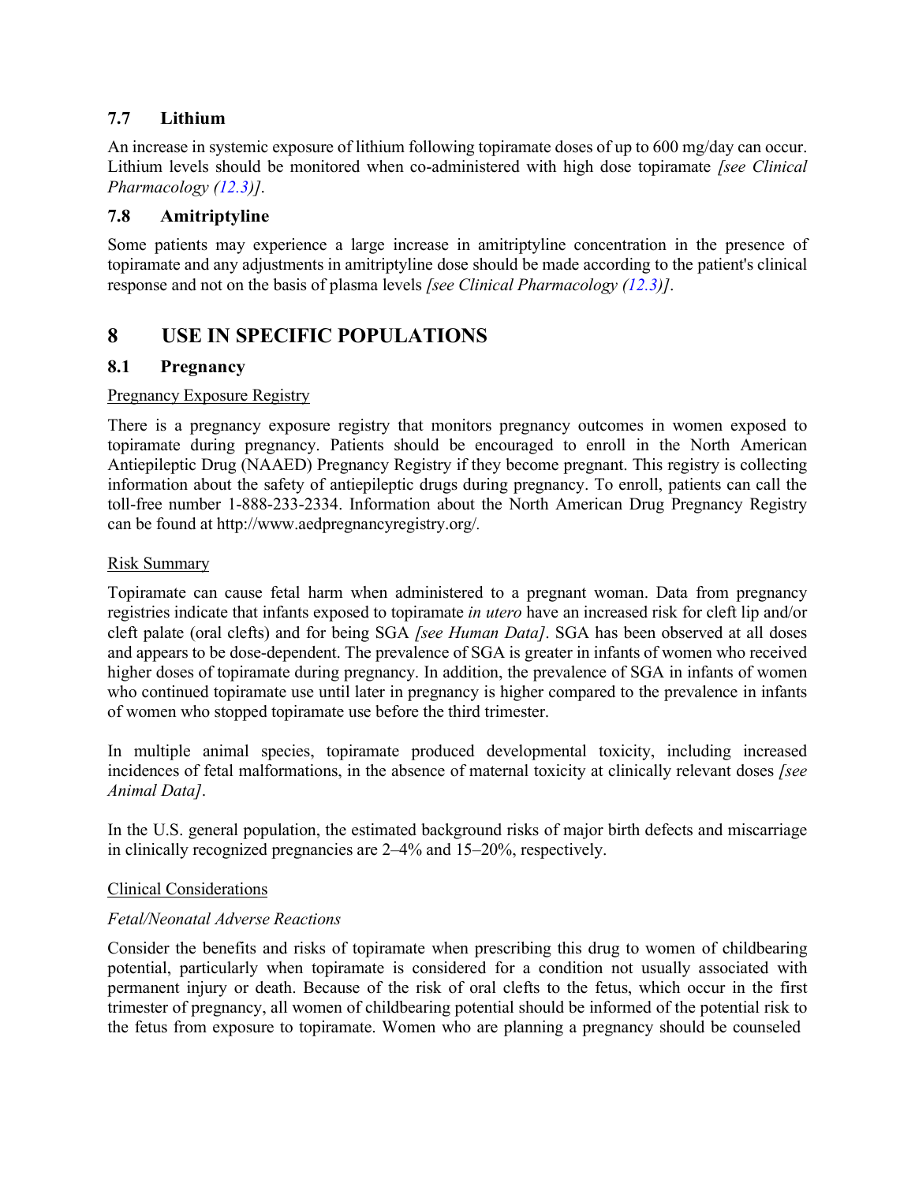### <span id="page-23-0"></span>**7.7 Lithium**

An increase in systemic exposure of lithium following topiramate doses of up to 600 mg/day can occur. Lithium levels should be monitored when co-administered with high dose topiramate *[see Clinical Pharmacology [\(12.3\)](#page-30-3)]*.

### **7.8 Amitriptyline**

Some patients may experience a large increase in amitriptyline concentration in the presence of topiramate and any adjustments in amitriptyline dose should be made according to the patient's clinical response and not on the basis of plasma levels *[see Clinical Pharmacology [\(12.3\)](#page-30-3)]*.

# <span id="page-23-1"></span>**8 USE IN SPECIFIC POPULATIONS**

### <span id="page-23-2"></span>**8.1 Pregnancy**

### Pregnancy Exposure Registry

There is a pregnancy exposure registry that monitors pregnancy outcomes in women exposed to topiramate during pregnancy. Patients should be encouraged to enroll in the North American Antiepileptic Drug (NAAED) Pregnancy Registry if they become pregnant. This registry is collecting information about the safety of antiepileptic drugs during pregnancy. To enroll, patients can call the toll-free number 1-888-233-2334. Information about the North American Drug Pregnancy Registry can be found [at http://www.aedpregnancyregistry.org/](http://www.aedpregnancyregistry.org/)*.*

#### Risk Summary

Topiramate can cause fetal harm when administered to a pregnant woman. Data from pregnancy registries indicate that infants exposed to topiramate *in utero* have an increased risk for cleft lip and/or cleft palate (oral clefts) and for being SGA *[see Human Data]*. SGA has been observed at all doses and appears to be dose-dependent. The prevalence of SGA is greater in infants of women who received higher doses of topiramate during pregnancy. In addition, the prevalence of SGA in infants of women who continued topiramate use until later in pregnancy is higher compared to the prevalence in infants of women who stopped topiramate use before the third trimester.

In multiple animal species, topiramate produced developmental toxicity, including increased incidences of fetal malformations, in the absence of maternal toxicity at clinically relevant doses *[see Animal Data]*.

In the U.S. general population, the estimated background risks of major birth defects and miscarriage in clinically recognized pregnancies are 2–4% and 15–20%, respectively.

#### Clinical Considerations

### *Fetal/Neonatal Adverse Reactions*

Consider the benefits and risks of topiramate when prescribing this drug to women of childbearing potential, particularly when topiramate is considered for a condition not usually associated with permanent injury or death. Because of the risk of oral clefts to the fetus, which occur in the first trimester of pregnancy, all women of childbearing potential should be informed of the potential risk to the fetus from exposure to topiramate. Women who are planning a pregnancy should be counseled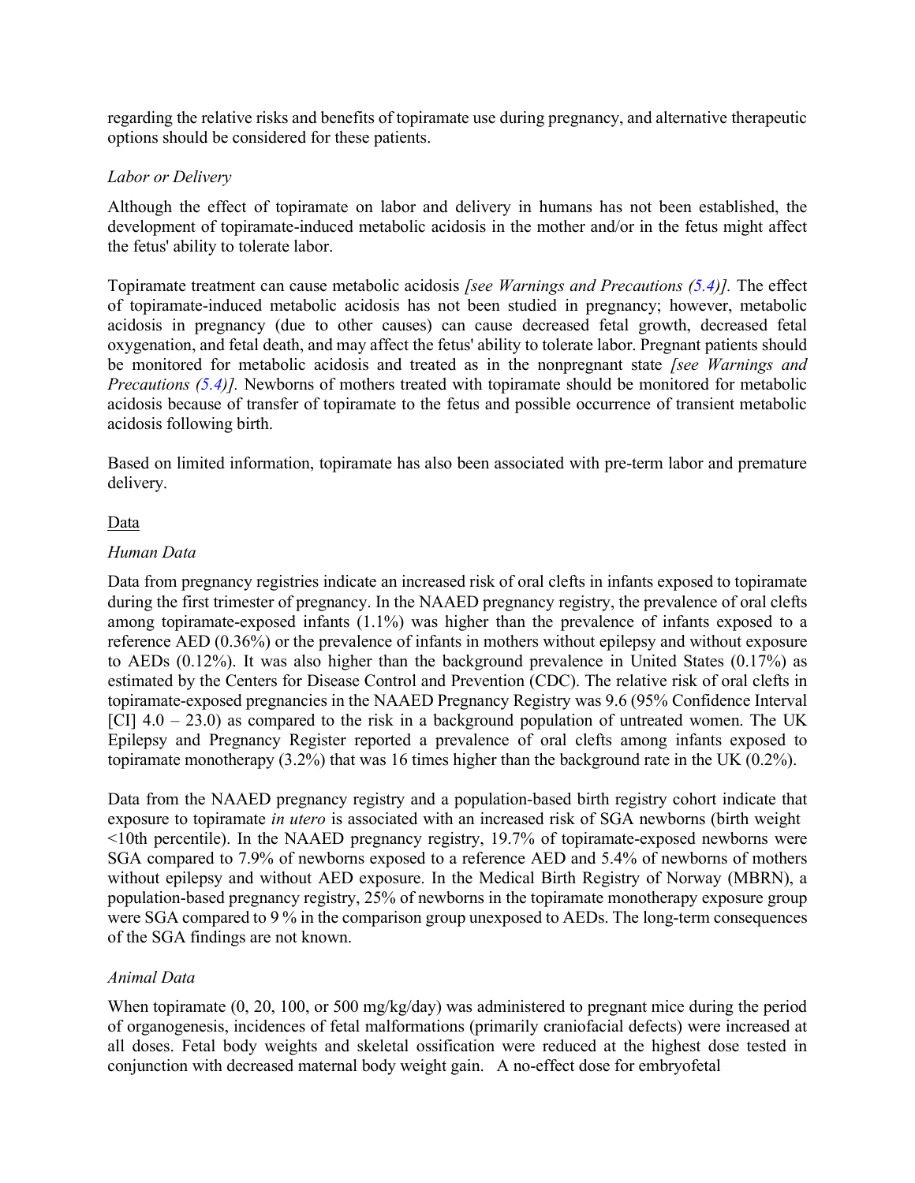regarding the relative risks and benefits of topiramate use during pregnancy, and alternative therapeutic options should be considered for these patients.

### *Labor or Delivery*

Although the effect of topiramate on labor and delivery in humans has not been established, the development of topiramate-induced metabolic acidosis in the mother and/or in the fetus might affect the fetus' ability to tolerate labor.

Topiramate treatment can cause metabolic acidosis *[see Warnings and Precautions [\(5.4\)](#page-5-2)].* The effect of topiramate-induced metabolic acidosis has not been studied in pregnancy; however, metabolic acidosis in pregnancy (due to other causes) can cause decreased fetal growth, decreased fetal oxygenation, and fetal death, and may affect the fetus' ability to tolerate labor. Pregnant patients should be monitored for metabolic acidosis and treated as in the nonpregnant state *[see Warnings and Precautions [\(5.4\)](#page-5-2)].* Newborns of mothers treated with topiramate should be monitored for metabolic acidosis because of transfer of topiramate to the fetus and possible occurrence of transient metabolic acidosis following birth.

Based on limited information, topiramate has also been associated with pre-term labor and premature delivery.

### Data

#### *Human Data*

Data from pregnancy registries indicate an increased risk of oral clefts in infants exposed to topiramate during the first trimester of pregnancy. In the NAAED pregnancy registry, the prevalence of oral clefts among topiramate-exposed infants (1.1%) was higher than the prevalence of infants exposed to a reference AED (0.36%) or the prevalence of infants in mothers without epilepsy and without exposure to AEDs (0.12%). It was also higher than the background prevalence in United States (0.17%) as estimated by the Centers for Disease Control and Prevention (CDC). The relative risk of oral clefts in topiramate-exposed pregnancies in the NAAED Pregnancy Registry was 9.6 (95% Confidence Interval [CI]  $4.0 - 23.0$ ) as compared to the risk in a background population of untreated women. The UK Epilepsy and Pregnancy Register reported a prevalence of oral clefts among infants exposed to topiramate monotherapy (3.2%) that was 16 times higher than the background rate in the UK (0.2%).

Data from the NAAED pregnancy registry and a population-based birth registry cohort indicate that exposure to topiramate *in utero* is associated with an increased risk of SGA newborns (birth weight <10th percentile). In the NAAED pregnancy registry, 19.7% of topiramate-exposed newborns were SGA compared to 7.9% of newborns exposed to a reference AED and 5.4% of newborns of mothers without epilepsy and without AED exposure. In the Medical Birth Registry of Norway (MBRN), a population-based pregnancy registry, 25% of newborns in the topiramate monotherapy exposure group were SGA compared to 9 % in the comparison group unexposed to AEDs. The long-term consequences of the SGA findings are not known.

#### *Animal Data*

When topiramate (0, 20, 100, or 500 mg/kg/day) was administered to pregnant mice during the period of organogenesis, incidences of fetal malformations (primarily craniofacial defects) were increased at all doses. Fetal body weights and skeletal ossification were reduced at the highest dose tested in conjunction with decreased maternal body weight gain. A no-effect dose for embryofetal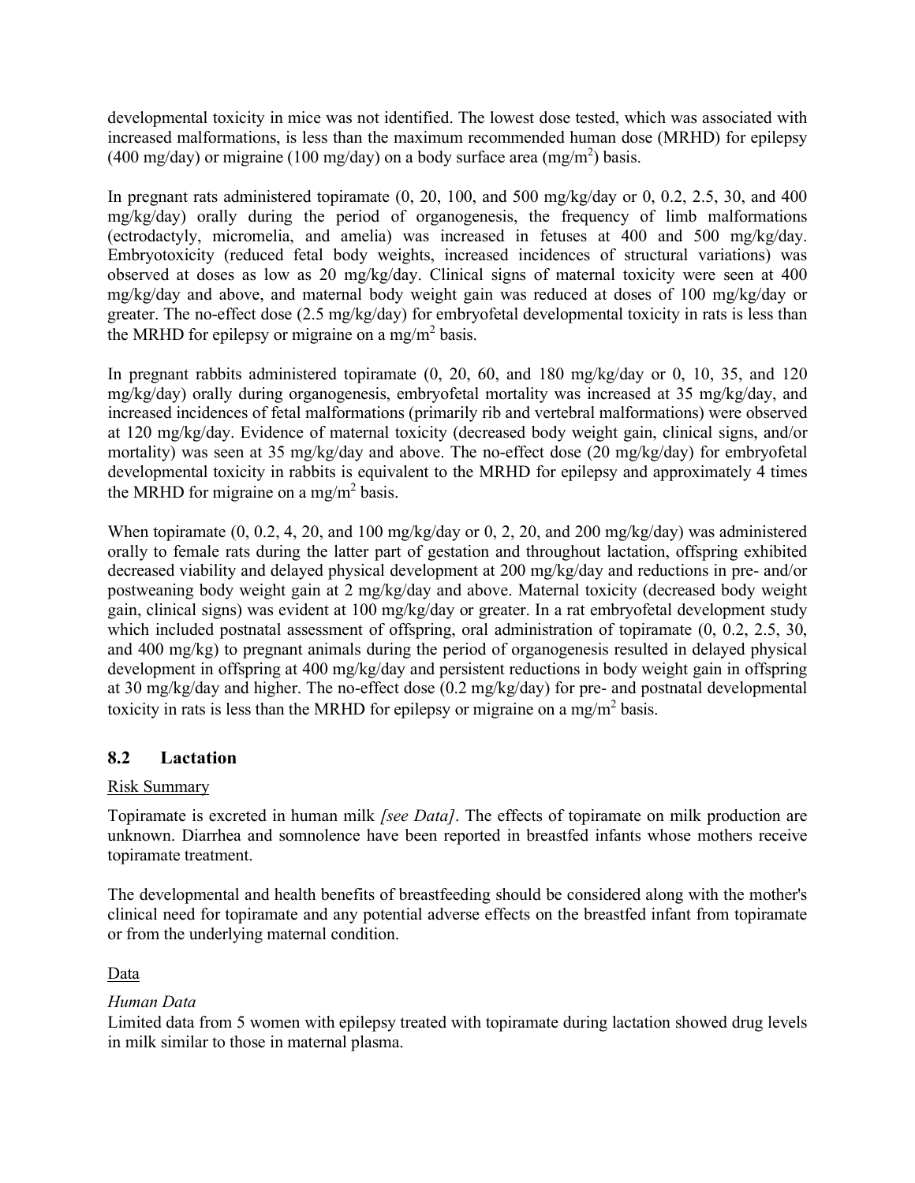developmental toxicity in mice was not identified. The lowest dose tested, which was associated with increased malformations, is less than the maximum recommended human dose (MRHD) for epilepsy (400 mg/day) or migraine (100 mg/day) on a body surface area (mg/m<sup>2</sup>) basis.

In pregnant rats administered topiramate (0, 20, 100, and 500 mg/kg/day or 0, 0.2, 2.5, 30, and 400 mg/kg/day) orally during the period of organogenesis, the frequency of limb malformations (ectrodactyly, micromelia, and amelia) was increased in fetuses at 400 and 500 mg/kg/day. Embryotoxicity (reduced fetal body weights, increased incidences of structural variations) was observed at doses as low as 20 mg/kg/day. Clinical signs of maternal toxicity were seen at 400 mg/kg/day and above, and maternal body weight gain was reduced at doses of 100 mg/kg/day or greater. The no-effect dose (2.5 mg/kg/day) for embryofetal developmental toxicity in rats is less than the MRHD for epilepsy or migraine on a mg/m<sup>2</sup> basis.

In pregnant rabbits administered topiramate (0, 20, 60, and 180 mg/kg/day or 0, 10, 35, and 120 mg/kg/day) orally during organogenesis, embryofetal mortality was increased at 35 mg/kg/day, and increased incidences of fetal malformations (primarily rib and vertebral malformations) were observed at 120 mg/kg/day. Evidence of maternal toxicity (decreased body weight gain, clinical signs, and/or mortality) was seen at 35 mg/kg/day and above. The no-effect dose (20 mg/kg/day) for embryofetal developmental toxicity in rabbits is equivalent to the MRHD for epilepsy and approximately 4 times the MRHD for migraine on a mg/m<sup>2</sup> basis.

When topiramate (0, 0.2, 4, 20, and 100 mg/kg/day or 0, 2, 20, and 200 mg/kg/day) was administered orally to female rats during the latter part of gestation and throughout lactation, offspring exhibited decreased viability and delayed physical development at 200 mg/kg/day and reductions in pre- and/or postweaning body weight gain at 2 mg/kg/day and above. Maternal toxicity (decreased body weight gain, clinical signs) was evident at 100 mg/kg/day or greater. In a rat embryofetal development study which included postnatal assessment of offspring, oral administration of topiramate  $(0, 0.2, 2.5, 30, 1.5)$ and 400 mg/kg) to pregnant animals during the period of organogenesis resulted in delayed physical development in offspring at 400 mg/kg/day and persistent reductions in body weight gain in offspring at 30 mg/kg/day and higher. The no-effect dose (0.2 mg/kg/day) for pre- and postnatal developmental toxicity in rats is less than the MRHD for epilepsy or migraine on a mg/m<sup>2</sup> basis.

### <span id="page-25-0"></span>**8.2 Lactation**

### Risk Summary

Topiramate is excreted in human milk *[see Data]*. The effects of topiramate on milk production are unknown. Diarrhea and somnolence have been reported in breastfed infants whose mothers receive topiramate treatment.

The developmental and health benefits of breastfeeding should be considered along with the mother's clinical need for topiramate and any potential adverse effects on the breastfed infant from topiramate or from the underlying maternal condition.

### Data

### *Human Data*

Limited data from 5 women with epilepsy treated with topiramate during lactation showed drug levels in milk similar to those in maternal plasma.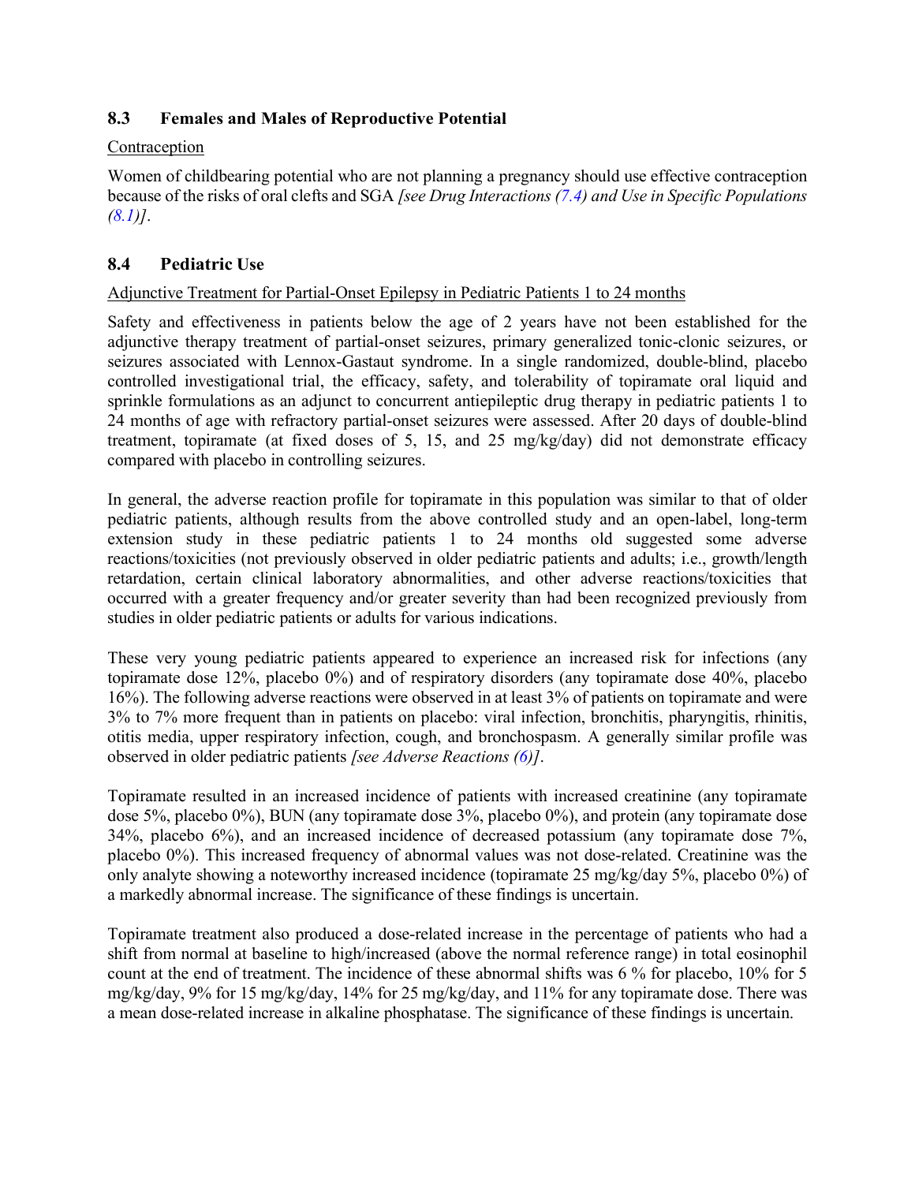### <span id="page-26-0"></span>**8.3 Females and Males of Reproductive Potential**

### Contraception

Women of childbearing potential who are not planning a pregnancy should use effective contraception because of the risks of oral clefts and SGA *[see Drug Interactions [\(7.4\)](#page-22-0) and Use in Specific Populations [\(8.1\)](#page-23-2)]*.

### <span id="page-26-1"></span>**8.4 Pediatric Use**

### Adjunctive Treatment for Partial-Onset Epilepsy in Pediatric Patients 1 to 24 months

Safety and effectiveness in patients below the age of 2 years have not been established for the adjunctive therapy treatment of partial-onset seizures, primary generalized tonic-clonic seizures, or seizures associated with Lennox-Gastaut syndrome. In a single randomized, double-blind, placebo controlled investigational trial, the efficacy, safety, and tolerability of topiramate oral liquid and sprinkle formulations as an adjunct to concurrent antiepileptic drug therapy in pediatric patients 1 to 24 months of age with refractory partial-onset seizures were assessed. After 20 days of double-blind treatment, topiramate (at fixed doses of 5, 15, and 25 mg/kg/day) did not demonstrate efficacy compared with placebo in controlling seizures.

In general, the adverse reaction profile for topiramate in this population was similar to that of older pediatric patients, although results from the above controlled study and an open-label, long-term extension study in these pediatric patients 1 to 24 months old suggested some adverse reactions/toxicities (not previously observed in older pediatric patients and adults; i.e., growth/length retardation, certain clinical laboratory abnormalities, and other adverse reactions/toxicities that occurred with a greater frequency and/or greater severity than had been recognized previously from studies in older pediatric patients or adults for various indications.

These very young pediatric patients appeared to experience an increased risk for infections (any topiramate dose 12%, placebo 0%) and of respiratory disorders (any topiramate dose 40%, placebo 16%). The following adverse reactions were observed in at least 3% of patients on topiramate and were 3% to 7% more frequent than in patients on placebo: viral infection, bronchitis, pharyngitis, rhinitis, otitis media, upper respiratory infection, cough, and bronchospasm. A generally similar profile was observed in older pediatric patients *[see Adverse Reactions [\(6\)](#page-10-1)]*.

Topiramate resulted in an increased incidence of patients with increased creatinine (any topiramate dose 5%, placebo 0%), BUN (any topiramate dose 3%, placebo 0%), and protein (any topiramate dose 34%, placebo 6%), and an increased incidence of decreased potassium (any topiramate dose 7%, placebo 0%). This increased frequency of abnormal values was not dose-related. Creatinine was the only analyte showing a noteworthy increased incidence (topiramate 25 mg/kg/day 5%, placebo 0%) of a markedly abnormal increase. The significance of these findings is uncertain.

Topiramate treatment also produced a dose-related increase in the percentage of patients who had a shift from normal at baseline to high/increased (above the normal reference range) in total eosinophil count at the end of treatment. The incidence of these abnormal shifts was 6 % for placebo, 10% for 5 mg/kg/day, 9% for 15 mg/kg/day, 14% for 25 mg/kg/day, and 11% for any topiramate dose. There was a mean dose-related increase in alkaline phosphatase. The significance of these findings is uncertain.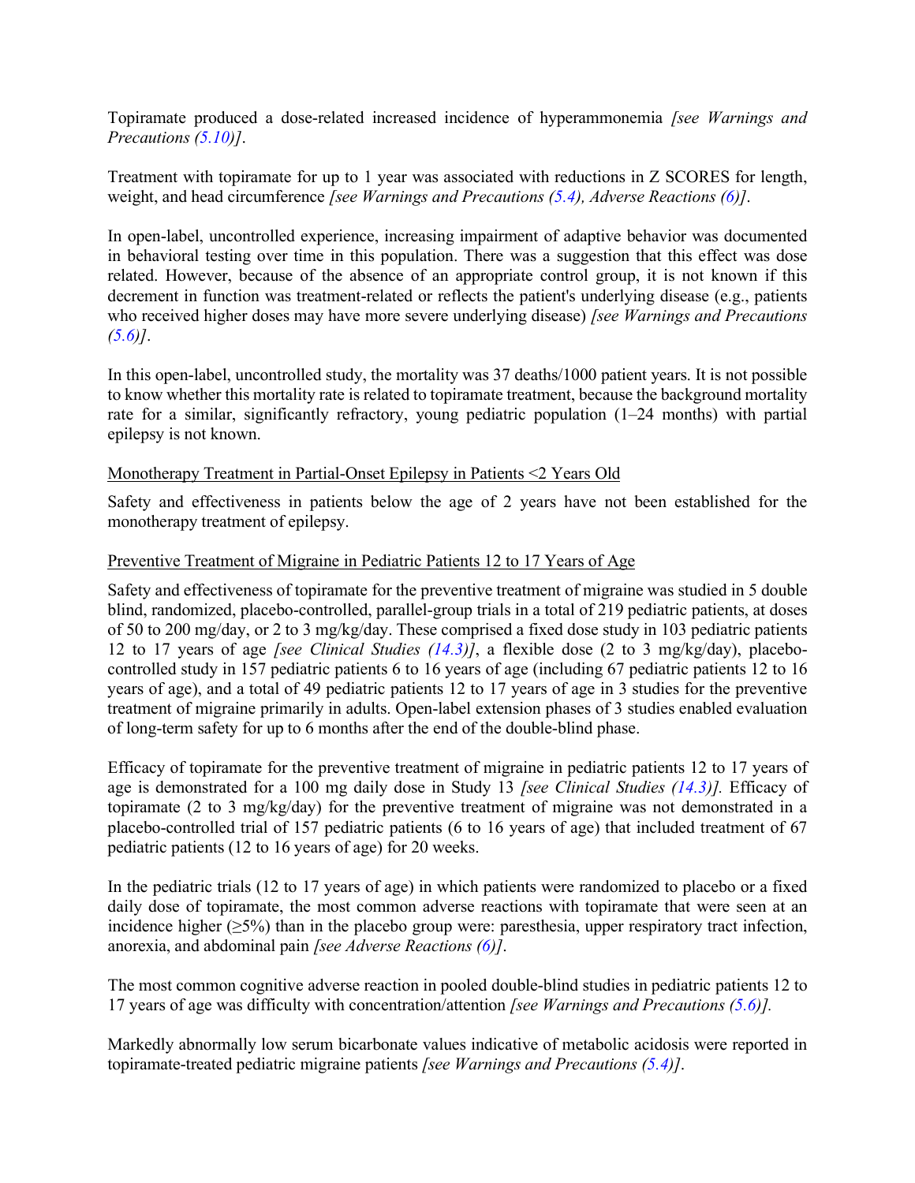Topiramate produced a dose-related increased incidence of hyperammonemia *[see Warnings and Precautions [\(5.10\)](#page-9-1)]*.

Treatment with topiramate for up to 1 year was associated with reductions in Z SCORES for length, weight, and head circumference *[see Warnings and Precautions [\(5.4\)](#page-5-2), Adverse Reactions [\(6\)](#page-10-1)]*.

In open-label, uncontrolled experience, increasing impairment of adaptive behavior was documented in behavioral testing over time in this population. There was a suggestion that this effect was dose related. However, because of the absence of an appropriate control group, it is not known if this decrement in function was treatment-related or reflects the patient's underlying disease (e.g., patients who received higher doses may have more severe underlying disease) *[see Warnings and Precautions [\(5.6\)](#page-7-0)]*.

In this open-label, uncontrolled study, the mortality was 37 deaths/1000 patient years. It is not possible to know whether this mortality rate is related to topiramate treatment, because the background mortality rate for a similar, significantly refractory, young pediatric population (1–24 months) with partial epilepsy is not known.

### Monotherapy Treatment in Partial-Onset Epilepsy in Patients <2 Years Old

Safety and effectiveness in patients below the age of 2 years have not been established for the monotherapy treatment of epilepsy.

#### Preventive Treatment of Migraine in Pediatric Patients 12 to 17 Years of Age

Safety and effectiveness of topiramate for the preventive treatment of migraine was studied in 5 double blind, randomized, placebo-controlled, parallel-group trials in a total of 219 pediatric patients, at doses of 50 to 200 mg/day, or 2 to 3 mg/kg/day. These comprised a fixed dose study in 103 pediatric patients 12 to 17 years of age *[see Clinical Studies [\(14.3\)](#page-41-0)]*, a flexible dose (2 to 3 mg/kg/day), placebocontrolled study in 157 pediatric patients 6 to 16 years of age (including 67 pediatric patients 12 to 16 years of age), and a total of 49 pediatric patients 12 to 17 years of age in 3 studies for the preventive treatment of migraine primarily in adults. Open-label extension phases of 3 studies enabled evaluation of long-term safety for up to 6 months after the end of the double-blind phase.

Efficacy of topiramate for the preventive treatment of migraine in pediatric patients 12 to 17 years of age is demonstrated for a 100 mg daily dose in Study 13 *[see Clinical Studies [\(14.3\)](#page-41-0)].* Efficacy of topiramate (2 to 3 mg/kg/day) for the preventive treatment of migraine was not demonstrated in a placebo-controlled trial of 157 pediatric patients (6 to 16 years of age) that included treatment of 67 pediatric patients (12 to 16 years of age) for 20 weeks.

In the pediatric trials (12 to 17 years of age) in which patients were randomized to placebo or a fixed daily dose of topiramate, the most common adverse reactions with topiramate that were seen at an incidence higher  $(\geq 5\%)$  than in the placebo group were: paresthesia, upper respiratory tract infection, anorexia, and abdominal pain *[see Adverse Reactions [\(6\)](#page-10-1)]*.

The most common cognitive adverse reaction in pooled double-blind studies in pediatric patients 12 to 17 years of age was difficulty with concentration/attention *[see Warnings and Precautions [\(5.6\)](#page-7-0)].*

Markedly abnormally low serum bicarbonate values indicative of metabolic acidosis were reported in topiramate-treated pediatric migraine patients *[see Warnings and Precautions [\(5.4\)](#page-5-2)]*.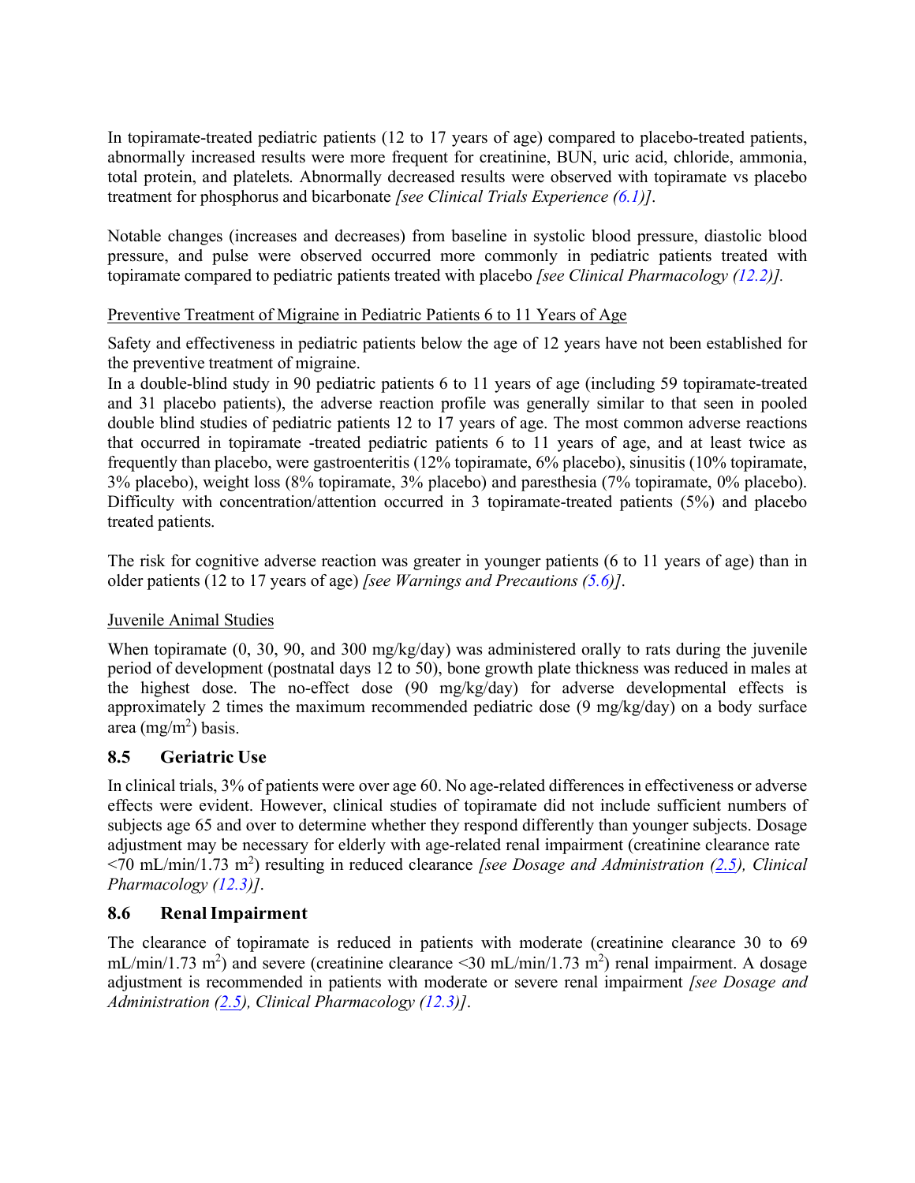In topiramate-treated pediatric patients (12 to 17 years of age) compared to placebo-treated patients, abnormally increased results were more frequent for creatinine, BUN, uric acid, chloride, ammonia, total protein, and platelets. Abnormally decreased results were observed with topiramate vs placebo treatment for phosphorus and bicarbonate *[see Clinical Trials Experience [\(6.1\)](#page-11-0)]*.

Notable changes (increases and decreases) from baseline in systolic blood pressure, diastolic blood pressure, and pulse were observed occurred more commonly in pediatric patients treated with topiramate compared to pediatric patients treated with placebo *[see Clinical Pharmacology [\(12.2\)](#page-30-2)].*

### Preventive Treatment of Migraine in Pediatric Patients 6 to 11 Years of Age

Safety and effectiveness in pediatric patients below the age of 12 years have not been established for the preventive treatment of migraine.

In a double-blind study in 90 pediatric patients 6 to 11 years of age (including 59 topiramate-treated and 31 placebo patients), the adverse reaction profile was generally similar to that seen in pooled double blind studies of pediatric patients 12 to 17 years of age. The most common adverse reactions that occurred in topiramate -treated pediatric patients 6 to 11 years of age, and at least twice as frequently than placebo, were gastroenteritis (12% topiramate, 6% placebo), sinusitis (10% topiramate, 3% placebo), weight loss (8% topiramate, 3% placebo) and paresthesia (7% topiramate, 0% placebo). Difficulty with concentration/attention occurred in 3 topiramate-treated patients (5%) and placebo treated patients.

The risk for cognitive adverse reaction was greater in younger patients (6 to 11 years of age) than in older patients (12 to 17 years of age) *[see Warnings and Precautions [\(5.6\)](#page-7-0)]*.

### Juvenile Animal Studies

When topiramate (0, 30, 90, and 300 mg/kg/day) was administered orally to rats during the juvenile period of development (postnatal days 12 to 50), bone growth plate thickness was reduced in males at the highest dose. The no-effect dose (90 mg/kg/day) for adverse developmental effects is approximately 2 times the maximum recommended pediatric dose (9 mg/kg/day) on a body surface area  $(mg/m^2)$  basis.

### <span id="page-28-0"></span>**8.5 Geriatric Use**

In clinical trials, 3% of patients were over age 60. No age-related differences in effectiveness or adverse effects were evident. However, clinical studies of topiramate did not include sufficient numbers of subjects age 65 and over to determine whether they respond differently than younger subjects. Dosage adjustment may be necessary for elderly with age-related renal impairment (creatinine clearance rate <70 mL/min/1.73 m2 ) resulting in reduced clearance *[see Dosage and Administration [\(2.5\)](#page-4-1), Clinical Pharmacology [\(12.3\)](#page-30-3)]*.

### <span id="page-28-1"></span>**8.6 RenalImpairment**

The clearance of topiramate is reduced in patients with moderate (creatinine clearance 30 to 69 mL/min/1.73 m<sup>2</sup>) and severe (creatinine clearance <30 mL/min/1.73 m<sup>2</sup>) renal impairment. A dosage adjustment is recommended in patients with moderate or severe renal impairment *[see Dosage and Administration [\(2.5\)](#page-4-1), Clinical Pharmacology [\(12.3\)](#page-30-3)]*.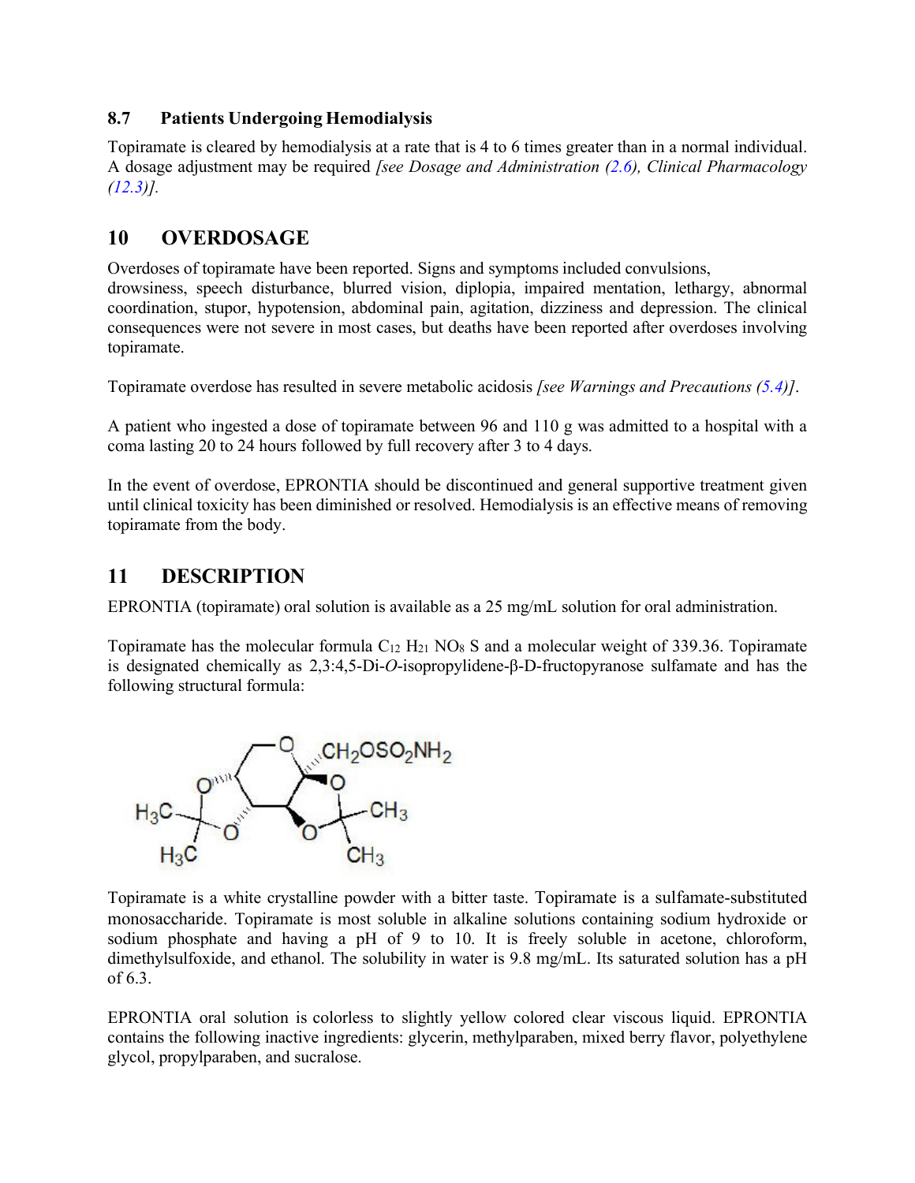### <span id="page-29-0"></span>**8.7 Patients Undergoing Hemodialysis**

Topiramate is cleared by hemodialysis at a rate that is 4 to 6 times greater than in a normal individual. A dosage adjustment may be required *[see Dosage and Administration [\(2.6\)](#page-4-2), Clinical Pharmacology [\(12.3\)](#page-30-3)].*

# <span id="page-29-1"></span>**10 OVERDOSAGE**

Overdoses of topiramate have been reported. Signs and symptoms included convulsions, drowsiness, speech disturbance, blurred vision, diplopia, impaired mentation, lethargy, abnormal coordination, stupor, hypotension, abdominal pain, agitation, dizziness and depression. The clinical consequences were not severe in most cases, but deaths have been reported after overdoses involving topiramate.

Topiramate overdose has resulted in severe metabolic acidosis *[see Warnings and Precautions [\(5.4\)](#page-5-2)]*.

A patient who ingested a dose of topiramate between 96 and 110 g was admitted to a hospital with a coma lasting 20 to 24 hours followed by full recovery after 3 to 4 days.

In the event of overdose, EPRONTIA should be discontinued and general supportive treatment given until clinical toxicity has been diminished or resolved. Hemodialysis is an effective means of removing topiramate from the body.

# <span id="page-29-2"></span>**11 DESCRIPTION**

EPRONTIA (topiramate) oral solution is available as a 25 mg/mL solution for oral administration.

Topiramate has the molecular formula  $C_{12}$  H<sub>21</sub> NO<sub>8</sub> S and a molecular weight of 339.36. Topiramate is designated chemically as 2,3:4,5-Di-*O*-isopropylidene-β-D-fructopyranose sulfamate and has the following structural formula:



Topiramate is a white crystalline powder with a bitter taste. Topiramate is a sulfamate-substituted monosaccharide. Topiramate is most soluble in alkaline solutions containing sodium hydroxide or sodium phosphate and having a pH of 9 to 10. It is freely soluble in acetone, chloroform, dimethylsulfoxide, and ethanol. The solubility in water is 9.8 mg/mL. Its saturated solution has a pH of 6.3.

EPRONTIA oral solution is colorless to slightly yellow colored clear viscous liquid. EPRONTIA contains the following inactive ingredients: glycerin, methylparaben, mixed berry flavor, polyethylene glycol, propylparaben, and sucralose.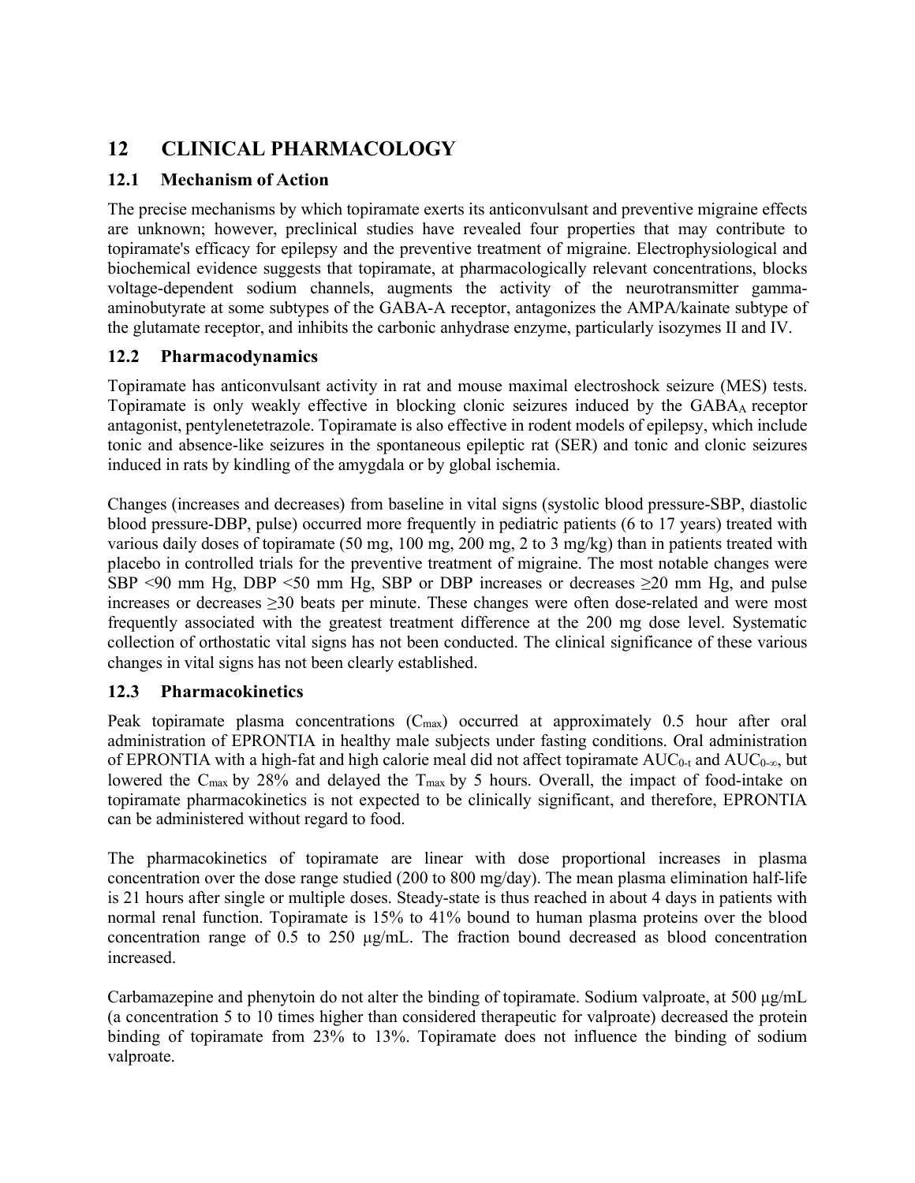# <span id="page-30-0"></span>**12 CLINICAL PHARMACOLOGY**

## <span id="page-30-1"></span>**12.1 Mechanism of Action**

The precise mechanisms by which topiramate exerts its anticonvulsant and preventive migraine effects are unknown; however, preclinical studies have revealed four properties that may contribute to topiramate's efficacy for epilepsy and the preventive treatment of migraine. Electrophysiological and biochemical evidence suggests that topiramate, at pharmacologically relevant concentrations, blocks voltage-dependent sodium channels, augments the activity of the neurotransmitter gammaaminobutyrate at some subtypes of the GABA-A receptor, antagonizes the AMPA/kainate subtype of the glutamate receptor, and inhibits the carbonic anhydrase enzyme, particularly isozymes II and IV.

## <span id="page-30-2"></span>**12.2 Pharmacodynamics**

Topiramate has anticonvulsant activity in rat and mouse maximal electroshock seizure (MES) tests. Topiramate is only weakly effective in blocking clonic seizures induced by the GABAA receptor antagonist, pentylenetetrazole. Topiramate is also effective in rodent models of epilepsy, which include tonic and absence-like seizures in the spontaneous epileptic rat (SER) and tonic and clonic seizures induced in rats by kindling of the amygdala or by global ischemia.

Changes (increases and decreases) from baseline in vital signs (systolic blood pressure-SBP, diastolic blood pressure-DBP, pulse) occurred more frequently in pediatric patients (6 to 17 years) treated with various daily doses of topiramate (50 mg, 100 mg, 200 mg, 2 to 3 mg/kg) than in patients treated with placebo in controlled trials for the preventive treatment of migraine. The most notable changes were SBP <90 mm Hg, DBP <50 mm Hg, SBP or DBP increases or decreases  $\geq$ 20 mm Hg, and pulse increases or decreases ≥30 beats per minute. These changes were often dose-related and were most frequently associated with the greatest treatment difference at the 200 mg dose level. Systematic collection of orthostatic vital signs has not been conducted. The clinical significance of these various changes in vital signs has not been clearly established.

### <span id="page-30-3"></span>**12.3 Pharmacokinetics**

Peak topiramate plasma concentrations  $(C_{max})$  occurred at approximately 0.5 hour after oral administration of EPRONTIA in healthy male subjects under fasting conditions. Oral administration of EPRONTIA with a high-fat and high calorie meal did not affect topiramate  $AUC_{0-t}$  and  $AUC_{0-\infty}$ , but lowered the C<sub>max</sub> by 28% and delayed the T<sub>max</sub> by 5 hours. Overall, the impact of food-intake on topiramate pharmacokinetics is not expected to be clinically significant, and therefore, EPRONTIA can be administered without regard to food.

The pharmacokinetics of topiramate are linear with dose proportional increases in plasma concentration over the dose range studied (200 to 800 mg/day). The mean plasma elimination half-life is 21 hours after single or multiple doses. Steady-state is thus reached in about 4 days in patients with normal renal function. Topiramate is 15% to 41% bound to human plasma proteins over the blood concentration range of 0.5 to 250 μg/mL. The fraction bound decreased as blood concentration increased.

Carbamazepine and phenytoin do not alter the binding of topiramate. Sodium valproate, at 500  $\mu$ g/mL (a concentration 5 to 10 times higher than considered therapeutic for valproate) decreased the protein binding of topiramate from 23% to 13%. Topiramate does not influence the binding of sodium valproate.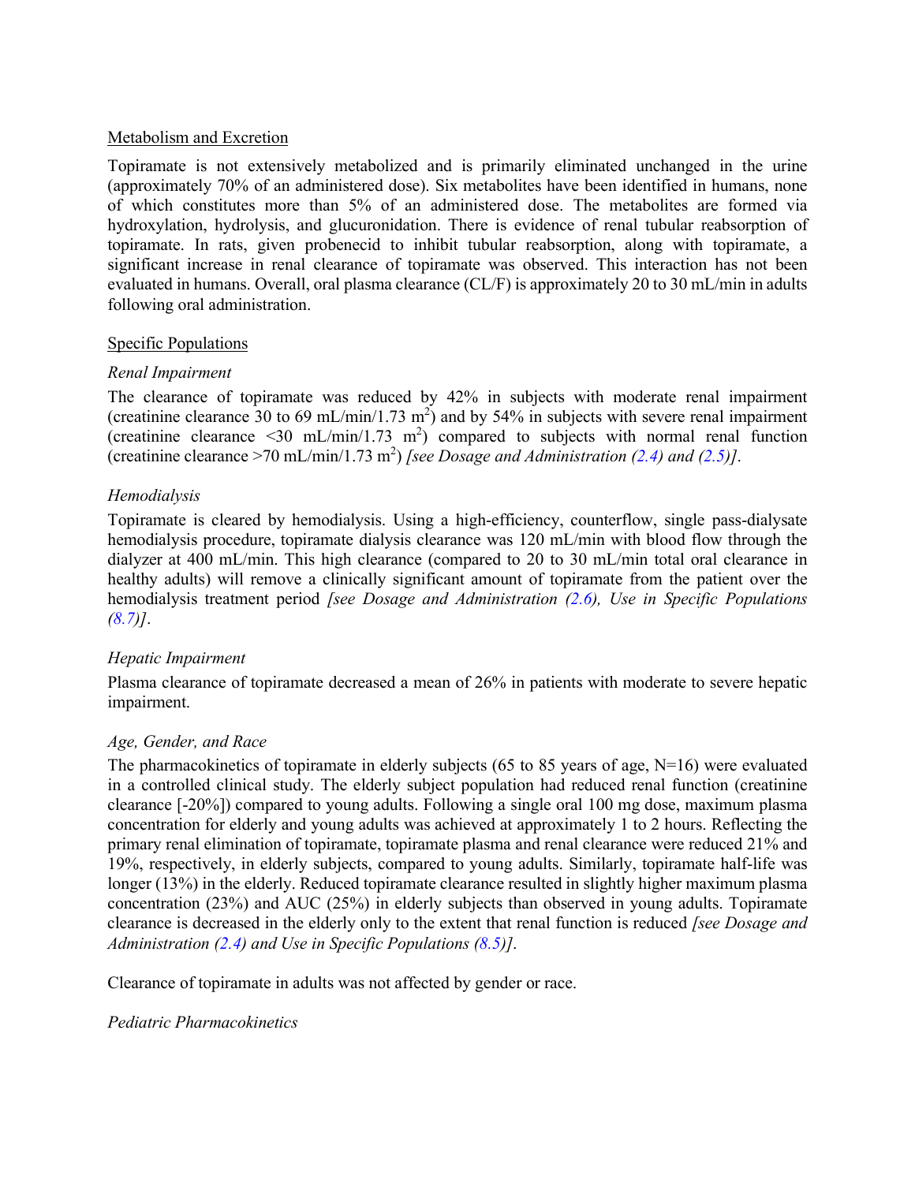#### Metabolism and Excretion

Topiramate is not extensively metabolized and is primarily eliminated unchanged in the urine (approximately 70% of an administered dose). Six metabolites have been identified in humans, none of which constitutes more than 5% of an administered dose. The metabolites are formed via hydroxylation, hydrolysis, and glucuronidation. There is evidence of renal tubular reabsorption of topiramate. In rats, given probenecid to inhibit tubular reabsorption, along with topiramate, a significant increase in renal clearance of topiramate was observed. This interaction has not been evaluated in humans. Overall, oral plasma clearance (CL/F) is approximately 20 to 30 mL/min in adults following oral administration.

### Specific Populations

### *Renal Impairment*

The clearance of topiramate was reduced by 42% in subjects with moderate renal impairment (creatinine clearance 30 to 69 mL/min/1.73 m<sup>2</sup>) and by 54% in subjects with severe renal impairment (creatinine clearance <30 mL/min/1.73 m<sup>2</sup>) compared to subjects with normal renal function (creatinine clearance >70 mL/min/1.73 m2 ) *[see Dosage and Administration [\(2.4\)](#page-4-0) and [\(2.5\)](#page-4-1)]*.

### *Hemodialysis*

Topiramate is cleared by hemodialysis. Using a high-efficiency, counterflow, single pass-dialysate hemodialysis procedure, topiramate dialysis clearance was 120 mL/min with blood flow through the dialyzer at 400 mL/min. This high clearance (compared to 20 to 30 mL/min total oral clearance in healthy adults) will remove a clinically significant amount of topiramate from the patient over the hemodialysis treatment period *[see Dosage and Administration [\(2.6\)](#page-4-2), Use in Specific Populations [\(8.7\)](#page-29-0)]*.

### *Hepatic Impairment*

Plasma clearance of topiramate decreased a mean of 26% in patients with moderate to severe hepatic impairment.

### *Age, Gender, and Race*

The pharmacokinetics of topiramate in elderly subjects (65 to 85 years of age,  $N=16$ ) were evaluated in a controlled clinical study. The elderly subject population had reduced renal function (creatinine clearance [-20%]) compared to young adults. Following a single oral 100 mg dose, maximum plasma concentration for elderly and young adults was achieved at approximately 1 to 2 hours. Reflecting the primary renal elimination of topiramate, topiramate plasma and renal clearance were reduced 21% and 19%, respectively, in elderly subjects, compared to young adults. Similarly, topiramate half-life was longer (13%) in the elderly. Reduced topiramate clearance resulted in slightly higher maximum plasma concentration (23%) and AUC (25%) in elderly subjects than observed in young adults. Topiramate clearance is decreased in the elderly only to the extent that renal function is reduced *[see Dosage and Administration [\(2.4\)](#page-4-0) and Use in Specific Populations [\(8.5\)](#page-28-0)]*.

Clearance of topiramate in adults was not affected by gender or race.

### *Pediatric Pharmacokinetics*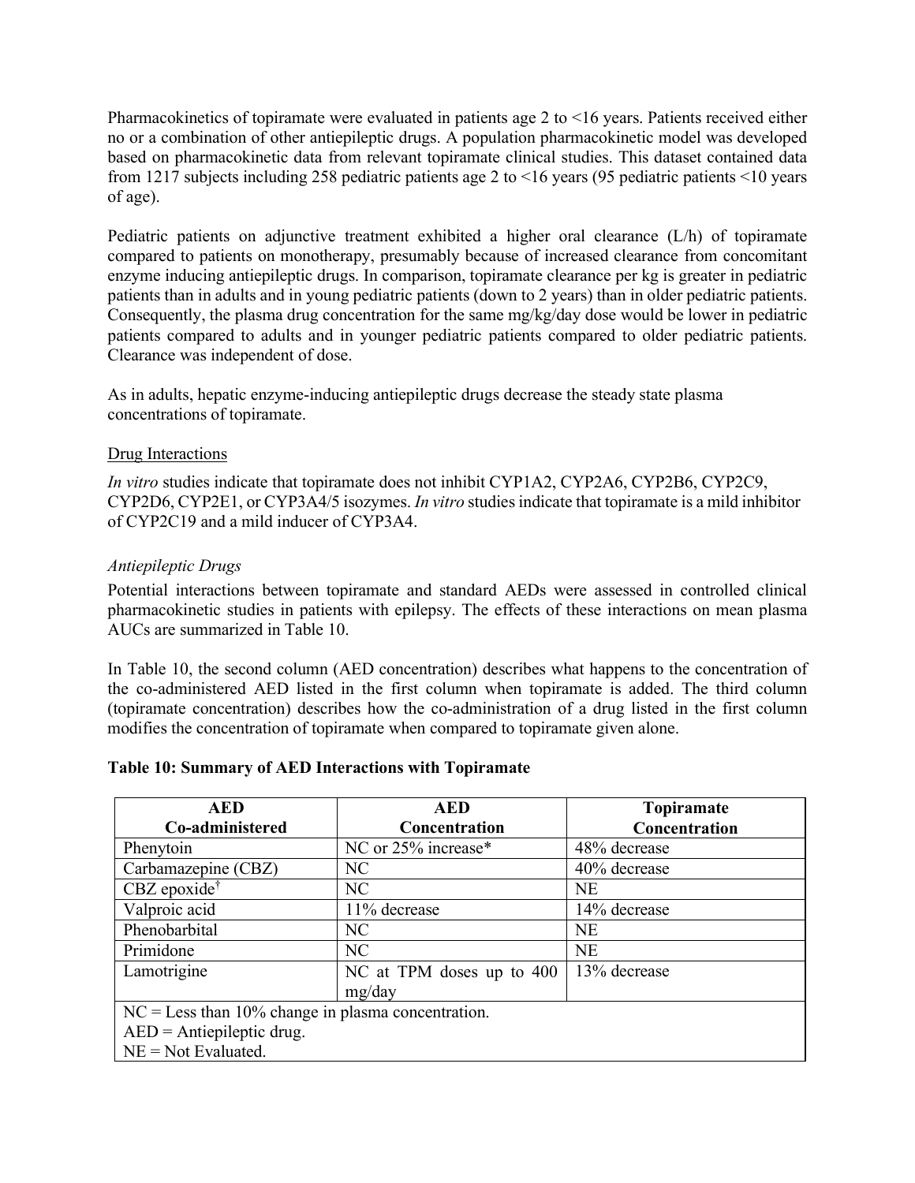Pharmacokinetics of topiramate were evaluated in patients age 2 to <16 years. Patients received either no or a combination of other antiepileptic drugs. A population pharmacokinetic model was developed based on pharmacokinetic data from relevant topiramate clinical studies. This dataset contained data from 1217 subjects including 258 pediatric patients age 2 to <16 years (95 pediatric patients <10 years of age).

Pediatric patients on adjunctive treatment exhibited a higher oral clearance (L/h) of topiramate compared to patients on monotherapy, presumably because of increased clearance from concomitant enzyme inducing antiepileptic drugs. In comparison, topiramate clearance per kg is greater in pediatric patients than in adults and in young pediatric patients (down to 2 years) than in older pediatric patients. Consequently, the plasma drug concentration for the same mg/kg/day dose would be lower in pediatric patients compared to adults and in younger pediatric patients compared to older pediatric patients. Clearance was independent of dose.

As in adults, hepatic enzyme-inducing antiepileptic drugs decrease the steady state plasma concentrations of topiramate.

### Drug Interactions

*In vitro* studies indicate that topiramate does not inhibit CYP1A2, CYP2A6, CYP2B6, CYP2C9, CYP2D6, CYP2E1, or CYP3A4/5 isozymes. *In vitro* studiesindicate that topiramate is a mild inhibitor of CYP2C19 and a mild inducer of CYP3A4.

### *Antiepileptic Drugs*

Potential interactions between topiramate and standard AEDs were assessed in controlled clinical pharmacokinetic studies in patients with epilepsy. The effects of these interactions on mean plasma AUCs are summarized in Table 10.

In Table 10, the second column (AED concentration) describes what happens to the concentration of the co-administered AED listed in the first column when topiramate is added. The third column (topiramate concentration) describes how the co-administration of a drug listed in the first column modifies the concentration of topiramate when compared to topiramate given alone.

| <b>AED</b>                                           | <b>AED</b>                | Topiramate    |
|------------------------------------------------------|---------------------------|---------------|
| Co-administered                                      | <b>Concentration</b>      | Concentration |
| Phenytoin                                            | NC or 25% increase*       | 48% decrease  |
| Carbamazepine (CBZ)                                  | N <sub>C</sub>            | 40% decrease  |
| $CBZ$ epoxide <sup>†</sup>                           | NC                        | <b>NE</b>     |
| Valproic acid                                        | 11% decrease              | 14% decrease  |
| Phenobarbital                                        | NC                        | <b>NE</b>     |
| Primidone                                            | NC                        | <b>NE</b>     |
| Lamotrigine                                          | NC at TPM doses up to 400 | 13% decrease  |
|                                                      | mg/day                    |               |
| $NC = Less$ than 10% change in plasma concentration. |                           |               |
| $AED = Antiepileptic drug.$                          |                           |               |
| $NE = Not Evaluated.$                                |                           |               |

#### **Table 10: Summary of AED Interactions with Topiramate**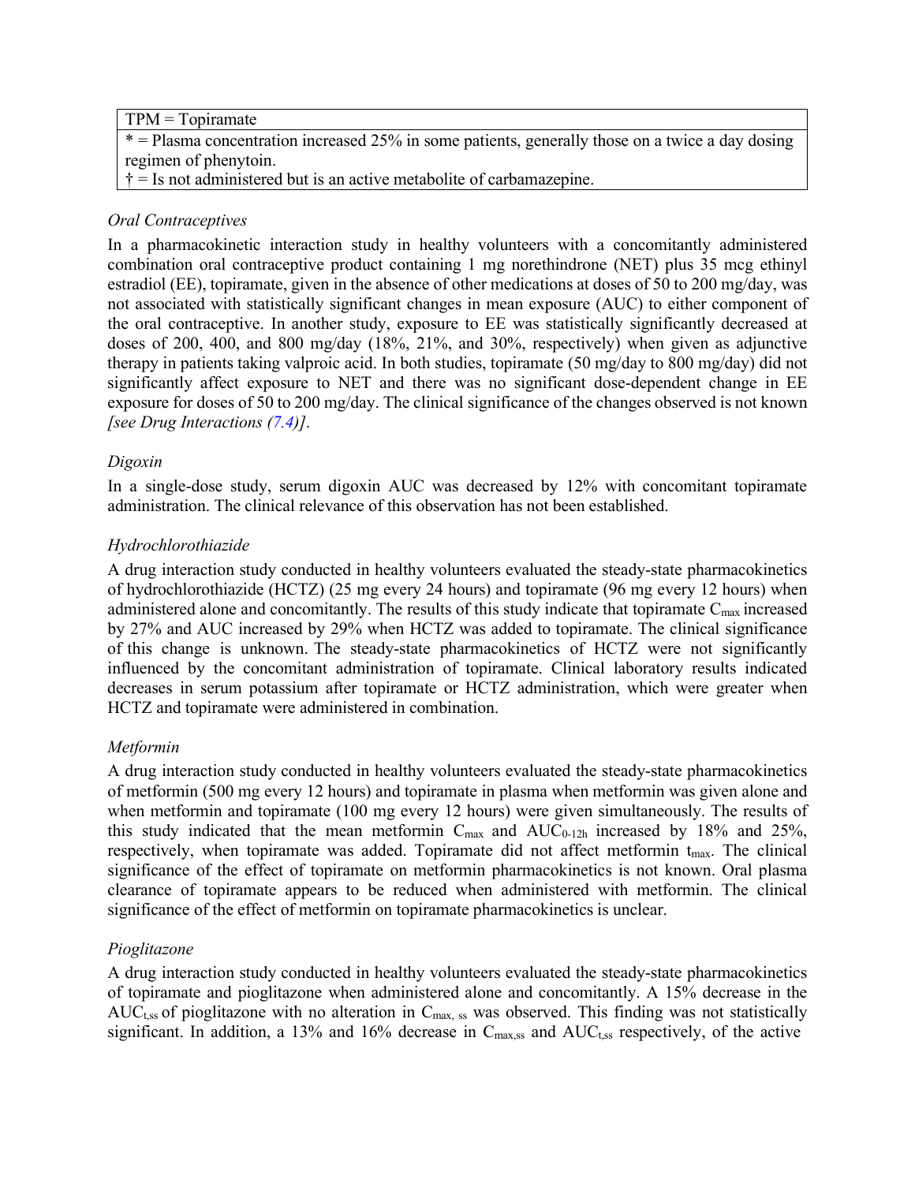| $TPM = Topiramate$                                                                                 |
|----------------------------------------------------------------------------------------------------|
| $*$ = Plasma concentration increased 25% in some patients, generally those on a twice a day dosing |
| regimen of phenytoin.                                                                              |
| $\dagger$ = Is not administered but is an active metabolite of carbamazepine.                      |

### *Oral Contraceptives*

In a pharmacokinetic interaction study in healthy volunteers with a concomitantly administered combination oral contraceptive product containing 1 mg norethindrone (NET) plus 35 mcg ethinyl estradiol (EE), topiramate, given in the absence of other medications at doses of 50 to 200 mg/day, was not associated with statistically significant changes in mean exposure (AUC) to either component of the oral contraceptive. In another study, exposure to EE was statistically significantly decreased at doses of 200, 400, and 800 mg/day (18%, 21%, and 30%, respectively) when given as adjunctive therapy in patients taking valproic acid. In both studies, topiramate (50 mg/day to 800 mg/day) did not significantly affect exposure to NET and there was no significant dose-dependent change in EE exposure for doses of 50 to 200 mg/day. The clinical significance of the changes observed is not known *[see Drug Interactions [\(7.4\)](#page-22-0)]*.

#### *Digoxin*

In a single-dose study, serum digoxin AUC was decreased by 12% with concomitant topiramate administration. The clinical relevance of this observation has not been established.

### *Hydrochlorothiazide*

A drug interaction study conducted in healthy volunteers evaluated the steady-state pharmacokinetics of hydrochlorothiazide (HCTZ) (25 mg every 24 hours) and topiramate (96 mg every 12 hours) when administered alone and concomitantly. The results of this study indicate that topiramate  $C_{\text{max}}$  increased by 27% and AUC increased by 29% when HCTZ was added to topiramate. The clinical significance of this change is unknown. The steady-state pharmacokinetics of HCTZ were not significantly influenced by the concomitant administration of topiramate. Clinical laboratory results indicated decreases in serum potassium after topiramate or HCTZ administration, which were greater when HCTZ and topiramate were administered in combination.

### *Metformin*

A drug interaction study conducted in healthy volunteers evaluated the steady-state pharmacokinetics of metformin (500 mg every 12 hours) and topiramate in plasma when metformin was given alone and when metformin and topiramate (100 mg every 12 hours) were given simultaneously. The results of this study indicated that the mean metformin  $C_{max}$  and  $AUC_{0-12h}$  increased by 18% and 25%, respectively, when topiramate was added. Topiramate did not affect metformin  $t_{\text{max}}$ . The clinical significance of the effect of topiramate on metformin pharmacokinetics is not known. Oral plasma clearance of topiramate appears to be reduced when administered with metformin. The clinical significance of the effect of metformin on topiramate pharmacokinetics is unclear.

### *Pioglitazone*

A drug interaction study conducted in healthy volunteers evaluated the steady-state pharmacokinetics of topiramate and pioglitazone when administered alone and concomitantly. A 15% decrease in the  $AUC_{t,ss}$  of pioglitazone with no alteration in  $C_{\text{max}}$ , ss was observed. This finding was not statistically significant. In addition, a 13% and 16% decrease in C<sub>max,ss</sub> and AUC<sub>t,ss</sub> respectively, of the active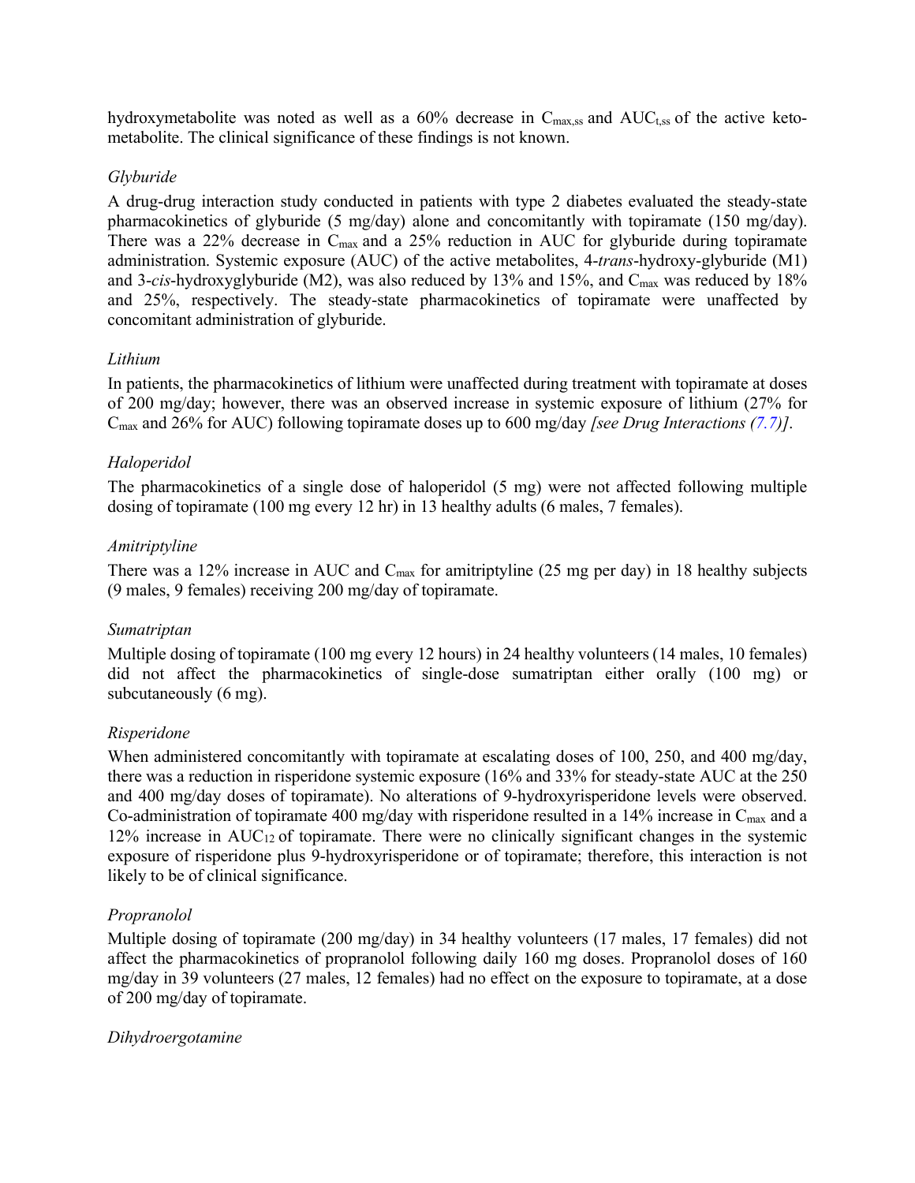hydroxymetabolite was noted as well as a  $60\%$  decrease in  $C_{\text{max,ss}}$  and  $AUC_{t,ss}$  of the active ketometabolite. The clinical significance of these findings is not known.

### *Glyburide*

A drug-drug interaction study conducted in patients with type 2 diabetes evaluated the steady-state pharmacokinetics of glyburide (5 mg/day) alone and concomitantly with topiramate (150 mg/day). There was a 22% decrease in C<sub>max</sub> and a 25% reduction in AUC for glyburide during topiramate administration. Systemic exposure (AUC) of the active metabolites, 4-*trans*-hydroxy-glyburide (M1) and 3-*cis*-hydroxyglyburide (M2), was also reduced by 13% and 15%, and C<sub>max</sub> was reduced by 18% and 25%, respectively. The steady-state pharmacokinetics of topiramate were unaffected by concomitant administration of glyburide.

### *Lithium*

In patients, the pharmacokinetics of lithium were unaffected during treatment with topiramate at doses of 200 mg/day; however, there was an observed increase in systemic exposure of lithium (27% for Cmax and 26% for AUC) following topiramate doses up to 600 mg/day *[see Drug Interactions [\(7.7\)](#page-23-0)]*.

### *Haloperidol*

The pharmacokinetics of a single dose of haloperidol (5 mg) were not affected following multiple dosing of topiramate (100 mg every 12 hr) in 13 healthy adults (6 males, 7 females).

### *Amitriptyline*

There was a 12% increase in AUC and  $C_{\text{max}}$  for amitriptyline (25 mg per day) in 18 healthy subjects (9 males, 9 females) receiving 200 mg/day of topiramate.

### *Sumatriptan*

Multiple dosing of topiramate (100 mg every 12 hours) in 24 healthy volunteers (14 males, 10 females) did not affect the pharmacokinetics of single-dose sumatriptan either orally (100 mg) or subcutaneously (6 mg).

### *Risperidone*

When administered concomitantly with topiramate at escalating doses of 100, 250, and 400 mg/day, there was a reduction in risperidone systemic exposure (16% and 33% for steady-state AUC at the 250 and 400 mg/day doses of topiramate). No alterations of 9-hydroxyrisperidone levels were observed. Co-administration of topiramate 400 mg/day with risperidone resulted in a 14% increase in C<sub>max</sub> and a 12% increase in AUC<sub>12</sub> of topiramate. There were no clinically significant changes in the systemic exposure of risperidone plus 9-hydroxyrisperidone or of topiramate; therefore, this interaction is not likely to be of clinical significance.

### *Propranolol*

Multiple dosing of topiramate (200 mg/day) in 34 healthy volunteers (17 males, 17 females) did not affect the pharmacokinetics of propranolol following daily 160 mg doses. Propranolol doses of 160 mg/day in 39 volunteers (27 males, 12 females) had no effect on the exposure to topiramate, at a dose of 200 mg/day of topiramate.

### *Dihydroergotamine*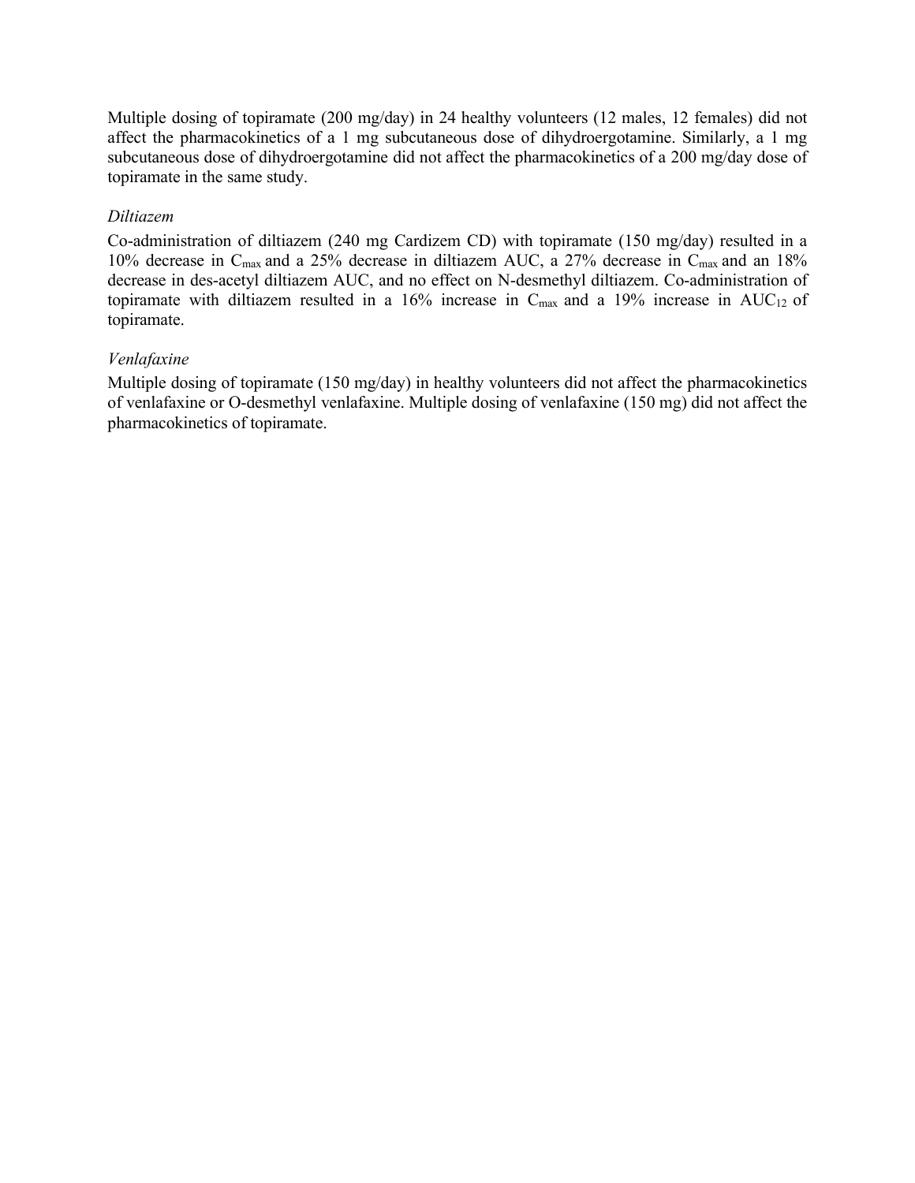Multiple dosing of topiramate (200 mg/day) in 24 healthy volunteers (12 males, 12 females) did not affect the pharmacokinetics of a 1 mg subcutaneous dose of dihydroergotamine. Similarly, a 1 mg subcutaneous dose of dihydroergotamine did not affect the pharmacokinetics of a 200 mg/day dose of topiramate in the same study.

### *Diltiazem*

Co-administration of diltiazem (240 mg Cardizem CD) with topiramate (150 mg/day) resulted in a 10% decrease in Cmax and a 25% decrease in diltiazem AUC, a 27% decrease in Cmax and an 18% decrease in des-acetyl diltiazem AUC, and no effect on N-desmethyl diltiazem. Co-administration of topiramate with diltiazem resulted in a 16% increase in  $C_{\text{max}}$  and a 19% increase in AUC<sub>12</sub> of topiramate.

### *Venlafaxine*

Multiple dosing of topiramate (150 mg/day) in healthy volunteers did not affect the pharmacokinetics of venlafaxine or O-desmethyl venlafaxine. Multiple dosing of venlafaxine (150 mg) did not affect the pharmacokinetics of topiramate.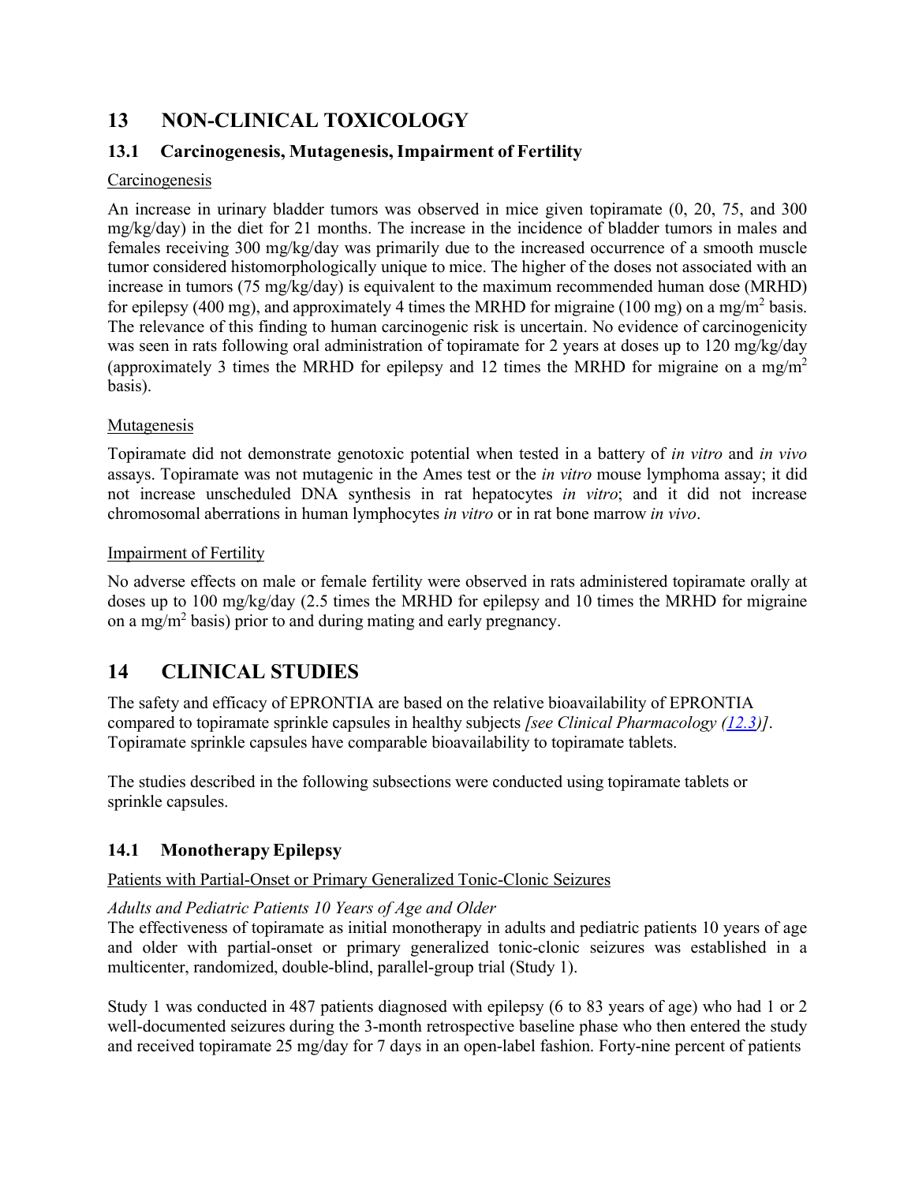# <span id="page-36-0"></span>**13 NON-CLINICAL TOXICOLOGY**

## <span id="page-36-1"></span>**13.1 Carcinogenesis, Mutagenesis,Impairment of Fertility**

### **Carcinogenesis**

An increase in urinary bladder tumors was observed in mice given topiramate (0, 20, 75, and 300 mg/kg/day) in the diet for 21 months. The increase in the incidence of bladder tumors in males and females receiving 300 mg/kg/day was primarily due to the increased occurrence of a smooth muscle tumor considered histomorphologically unique to mice. The higher of the doses not associated with an increase in tumors (75 mg/kg/day) is equivalent to the maximum recommended human dose (MRHD) for epilepsy (400 mg), and approximately 4 times the MRHD for migraine (100 mg) on a mg/m<sup>2</sup> basis. The relevance of this finding to human carcinogenic risk is uncertain. No evidence of carcinogenicity was seen in rats following oral administration of topiramate for 2 years at doses up to 120 mg/kg/day (approximately 3 times the MRHD for epilepsy and 12 times the MRHD for migraine on a mg/m<sup>2</sup> basis).

### Mutagenesis

Topiramate did not demonstrate genotoxic potential when tested in a battery of *in vitro* and *in vivo* assays. Topiramate was not mutagenic in the Ames test or the *in vitro* mouse lymphoma assay; it did not increase unscheduled DNA synthesis in rat hepatocytes *in vitro*; and it did not increase chromosomal aberrations in human lymphocytes *in vitro* or in rat bone marrow *in vivo*.

### Impairment of Fertility

No adverse effects on male or female fertility were observed in rats administered topiramate orally at doses up to 100 mg/kg/day (2.5 times the MRHD for epilepsy and 10 times the MRHD for migraine on a mg/m<sup>2</sup> basis) prior to and during mating and early pregnancy.

# <span id="page-36-2"></span>**14 CLINICAL STUDIES**

The safety and efficacy of EPRONTIA are based on the relative bioavailability of EPRONTIA compared to topiramate sprinkle capsules in healthy subjects *[see Clinical Pharmacology [\(12.3\)](#page-30-2)]*. Topiramate sprinkle capsules have comparable bioavailability to topiramate tablets.

The studies described in the following subsections were conducted using topiramate tablets or sprinkle capsules.

## <span id="page-36-3"></span>**14.1 MonotherapyEpilepsy**

### Patients with Partial-Onset or Primary Generalized Tonic-Clonic Seizures

### *Adults and Pediatric Patients 10 Years of Age and Older*

The effectiveness of topiramate as initial monotherapy in adults and pediatric patients 10 years of age and older with partial-onset or primary generalized tonic-clonic seizures was established in a multicenter, randomized, double-blind, parallel-group trial (Study 1).

Study 1 was conducted in 487 patients diagnosed with epilepsy (6 to 83 years of age) who had 1 or 2 well-documented seizures during the 3-month retrospective baseline phase who then entered the study and received topiramate 25 mg/day for 7 days in an open-label fashion. Forty-nine percent of patients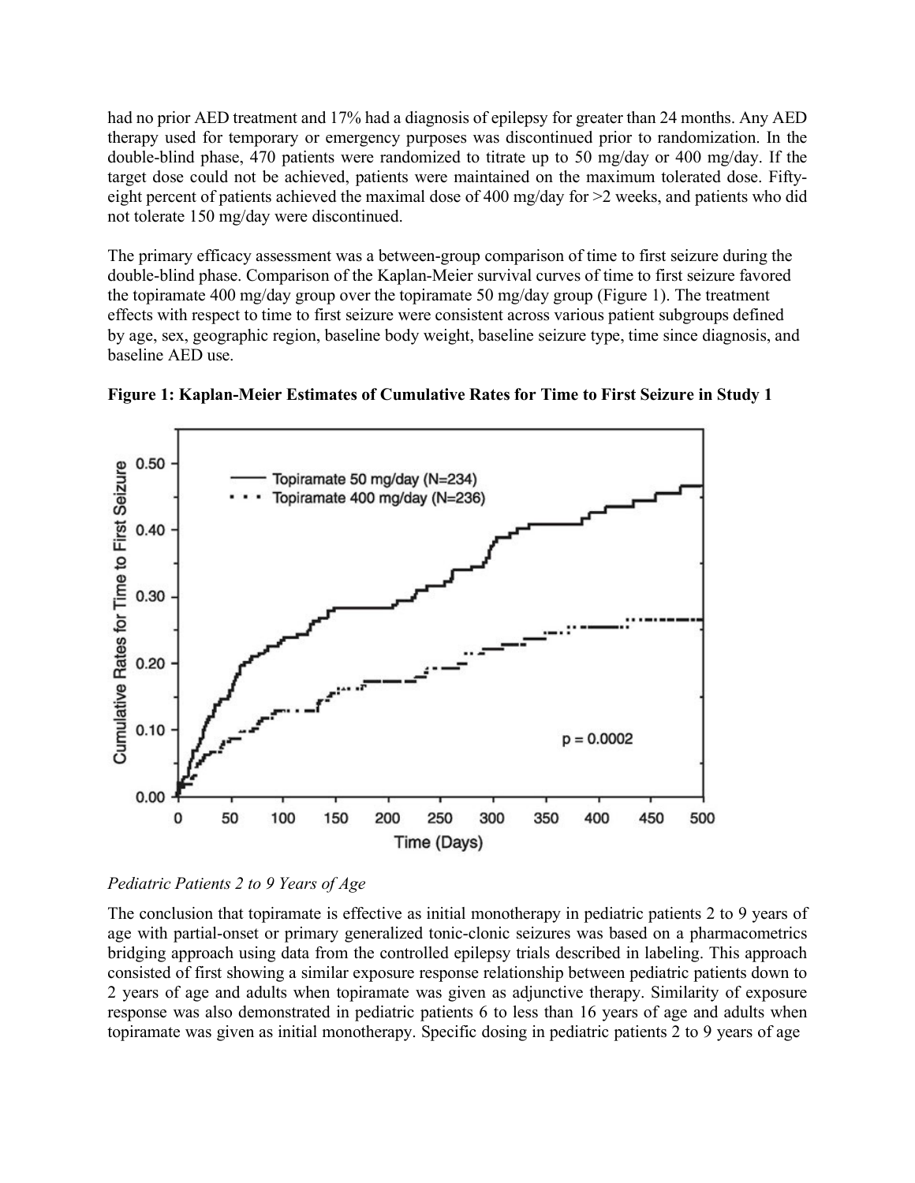had no prior AED treatment and 17% had a diagnosis of epilepsy for greater than 24 months. Any AED therapy used for temporary or emergency purposes was discontinued prior to randomization. In the double-blind phase, 470 patients were randomized to titrate up to 50 mg/day or 400 mg/day. If the target dose could not be achieved, patients were maintained on the maximum tolerated dose. Fiftyeight percent of patients achieved the maximal dose of 400 mg/day for >2 weeks, and patients who did not tolerate 150 mg/day were discontinued.

The primary efficacy assessment was a between-group comparison of time to first seizure during the double-blind phase. Comparison of the Kaplan-Meier survival curves of time to first seizure favored the topiramate 400 mg/day group over the topiramate 50 mg/day group (Figure 1). The treatment effects with respect to time to first seizure were consistent across various patient subgroups defined by age, sex, geographic region, baseline body weight, baseline seizure type, time since diagnosis, and baseline AED use.





The conclusion that topiramate is effective as initial monotherapy in pediatric patients 2 to 9 years of age with partial-onset or primary generalized tonic-clonic seizures was based on a pharmacometrics bridging approach using data from the controlled epilepsy trials described in labeling. This approach consisted of first showing a similar exposure response relationship between pediatric patients down to 2 years of age and adults when topiramate was given as adjunctive therapy. Similarity of exposure response was also demonstrated in pediatric patients 6 to less than 16 years of age and adults when topiramate was given as initial monotherapy. Specific dosing in pediatric patients 2 to 9 years of age

*Pediatric Patients 2 to 9 Years of Age*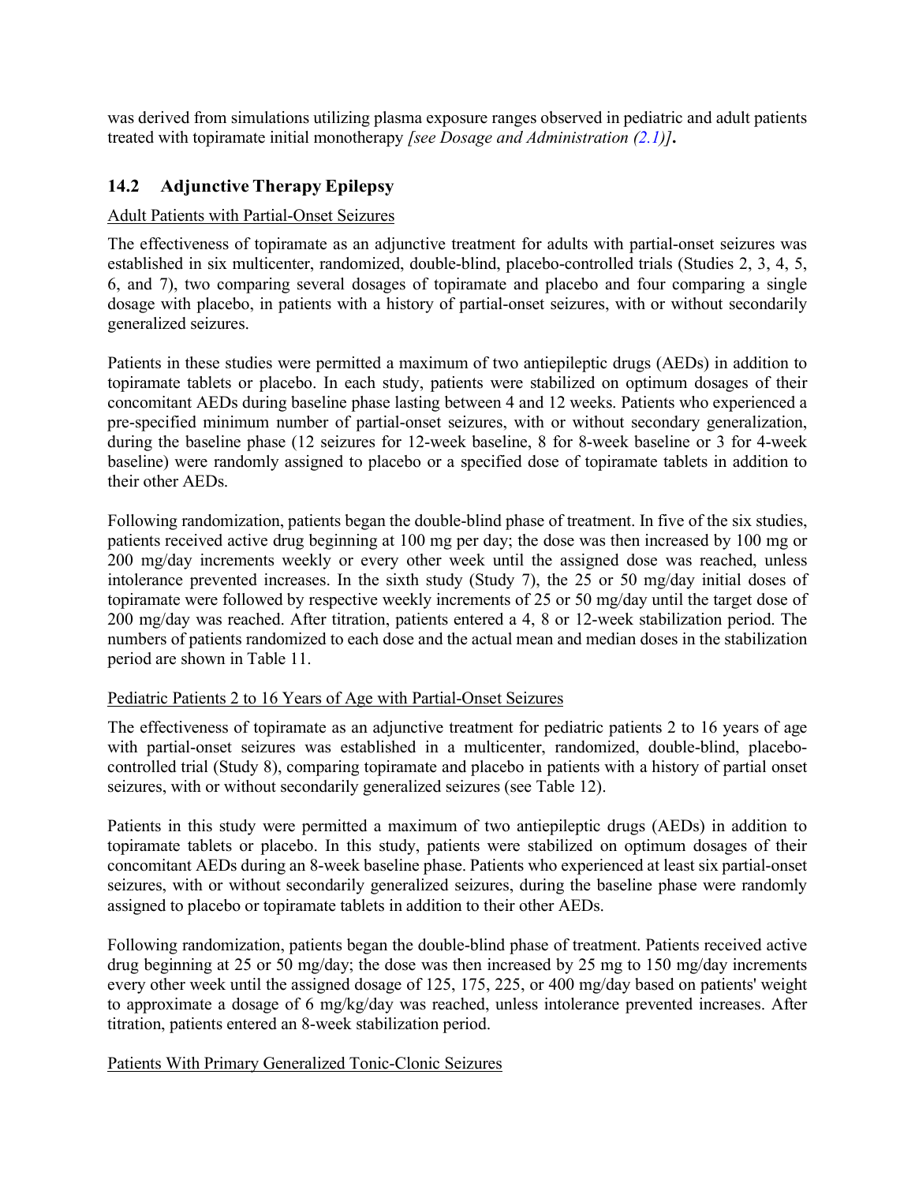was derived from simulations utilizing plasma exposure ranges observed in pediatric and adult patients treated with topiramate initial monotherapy *[see Dosage and Administration [\(2.1\)](#page-2-3)]***.**

### <span id="page-38-0"></span>**14.2 Adjunctive Therapy Epilepsy**

#### Adult Patients with Partial-Onset Seizures

The effectiveness of topiramate as an adjunctive treatment for adults with partial-onset seizures was established in six multicenter, randomized, double-blind, placebo-controlled trials (Studies 2, 3, 4, 5, 6, and 7), two comparing several dosages of topiramate and placebo and four comparing a single dosage with placebo, in patients with a history of partial-onset seizures, with or without secondarily generalized seizures.

Patients in these studies were permitted a maximum of two antiepileptic drugs (AEDs) in addition to topiramate tablets or placebo. In each study, patients were stabilized on optimum dosages of their concomitant AEDs during baseline phase lasting between 4 and 12 weeks. Patients who experienced a pre-specified minimum number of partial-onset seizures, with or without secondary generalization, during the baseline phase (12 seizures for 12-week baseline, 8 for 8-week baseline or 3 for 4-week baseline) were randomly assigned to placebo or a specified dose of topiramate tablets in addition to their other AEDs.

Following randomization, patients began the double-blind phase of treatment. In five of the six studies, patients received active drug beginning at 100 mg per day; the dose was then increased by 100 mg or 200 mg/day increments weekly or every other week until the assigned dose was reached, unless intolerance prevented increases. In the sixth study (Study 7), the 25 or 50 mg/day initial doses of topiramate were followed by respective weekly increments of 25 or 50 mg/day until the target dose of 200 mg/day was reached. After titration, patients entered a 4, 8 or 12-week stabilization period. The numbers of patients randomized to each dose and the actual mean and median doses in the stabilization period are shown in Table 11.

### Pediatric Patients 2 to 16 Years of Age with Partial-Onset Seizures

The effectiveness of topiramate as an adjunctive treatment for pediatric patients 2 to 16 years of age with partial-onset seizures was established in a multicenter, randomized, double-blind, placebocontrolled trial (Study 8), comparing topiramate and placebo in patients with a history of partial onset seizures, with or without secondarily generalized seizures (see Table 12).

Patients in this study were permitted a maximum of two antiepileptic drugs (AEDs) in addition to topiramate tablets or placebo. In this study, patients were stabilized on optimum dosages of their concomitant AEDs during an 8-week baseline phase. Patients who experienced at least six partial-onset seizures, with or without secondarily generalized seizures, during the baseline phase were randomly assigned to placebo or topiramate tablets in addition to their other AEDs.

Following randomization, patients began the double-blind phase of treatment. Patients received active drug beginning at 25 or 50 mg/day; the dose was then increased by 25 mg to 150 mg/day increments every other week until the assigned dosage of 125, 175, 225, or 400 mg/day based on patients' weight to approximate a dosage of 6 mg/kg/day was reached, unless intolerance prevented increases. After titration, patients entered an 8-week stabilization period.

#### Patients With Primary Generalized Tonic-Clonic Seizures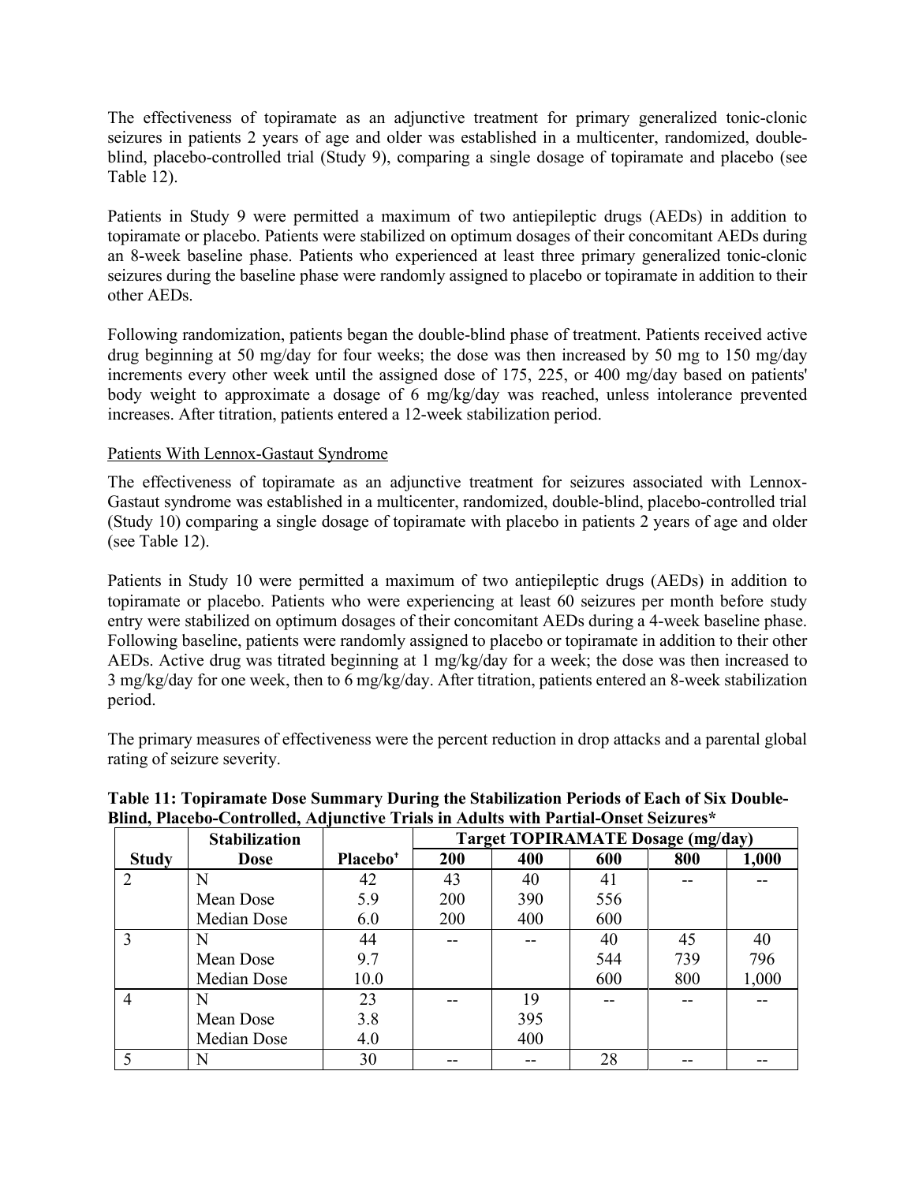The effectiveness of topiramate as an adjunctive treatment for primary generalized tonic-clonic seizures in patients 2 years of age and older was established in a multicenter, randomized, doubleblind, placebo-controlled trial (Study 9), comparing a single dosage of topiramate and placebo (see Table 12).

Patients in Study 9 were permitted a maximum of two antiepileptic drugs (AEDs) in addition to topiramate or placebo. Patients were stabilized on optimum dosages of their concomitant AEDs during an 8-week baseline phase. Patients who experienced at least three primary generalized tonic-clonic seizures during the baseline phase were randomly assigned to placebo or topiramate in addition to their other AEDs.

Following randomization, patients began the double-blind phase of treatment. Patients received active drug beginning at 50 mg/day for four weeks; the dose was then increased by 50 mg to 150 mg/day increments every other week until the assigned dose of 175, 225, or 400 mg/day based on patients' body weight to approximate a dosage of 6 mg/kg/day was reached, unless intolerance prevented increases. After titration, patients entered a 12-week stabilization period.

#### Patients With Lennox-Gastaut Syndrome

The effectiveness of topiramate as an adjunctive treatment for seizures associated with Lennox-Gastaut syndrome was established in a multicenter, randomized, double-blind, placebo-controlled trial (Study 10) comparing a single dosage of topiramate with placebo in patients 2 years of age and older (see Table 12).

Patients in Study 10 were permitted a maximum of two antiepileptic drugs (AEDs) in addition to topiramate or placebo. Patients who were experiencing at least 60 seizures per month before study entry were stabilized on optimum dosages of their concomitant AEDs during a 4-week baseline phase. Following baseline, patients were randomly assigned to placebo or topiramate in addition to their other AEDs. Active drug was titrated beginning at 1 mg/kg/day for a week; the dose was then increased to 3 mg/kg/day for one week, then to 6 mg/kg/day. After titration, patients entered an 8-week stabilization period.

The primary measures of effectiveness were the percent reduction in drop attacks and a parental global rating of seizure severity.

|                       | <b>Stabilization</b> |                      |     | <b>Target TOPIRAMATE Dosage (mg/day)</b> |     |     |       |  |  |  |
|-----------------------|----------------------|----------------------|-----|------------------------------------------|-----|-----|-------|--|--|--|
| <b>Study</b>          | <b>Dose</b>          | Placebo <sup>+</sup> | 200 | 400                                      | 600 | 800 | 1,000 |  |  |  |
| $\mathcal{D}_{\cdot}$ | N                    | 42                   | 43  | 40                                       | 41  |     |       |  |  |  |
|                       | Mean Dose            | 5.9                  | 200 | 390                                      | 556 |     |       |  |  |  |
|                       | Median Dose          | 6.0                  | 200 | 400                                      | 600 |     |       |  |  |  |
| 3                     |                      | 44                   |     |                                          | 40  | 45  | 40    |  |  |  |
|                       | Mean Dose            | 9.7                  |     |                                          | 544 | 739 | 796   |  |  |  |
|                       | Median Dose          | 10.0                 |     |                                          | 600 | 800 | 1,000 |  |  |  |
| $\overline{4}$        | N                    | 23                   |     | 19                                       |     |     |       |  |  |  |
|                       | Mean Dose            | 3.8                  |     | 395                                      |     |     |       |  |  |  |
|                       | Median Dose          | 4.0                  |     | 400                                      |     |     |       |  |  |  |
|                       | N                    | 30                   |     |                                          | 28  |     |       |  |  |  |

### **Table 11: Topiramate Dose Summary During the Stabilization Periods of Each of Six Double-Blind, Placebo-Controlled, Adjunctive Trials in Adults with Partial-Onset Seizures\***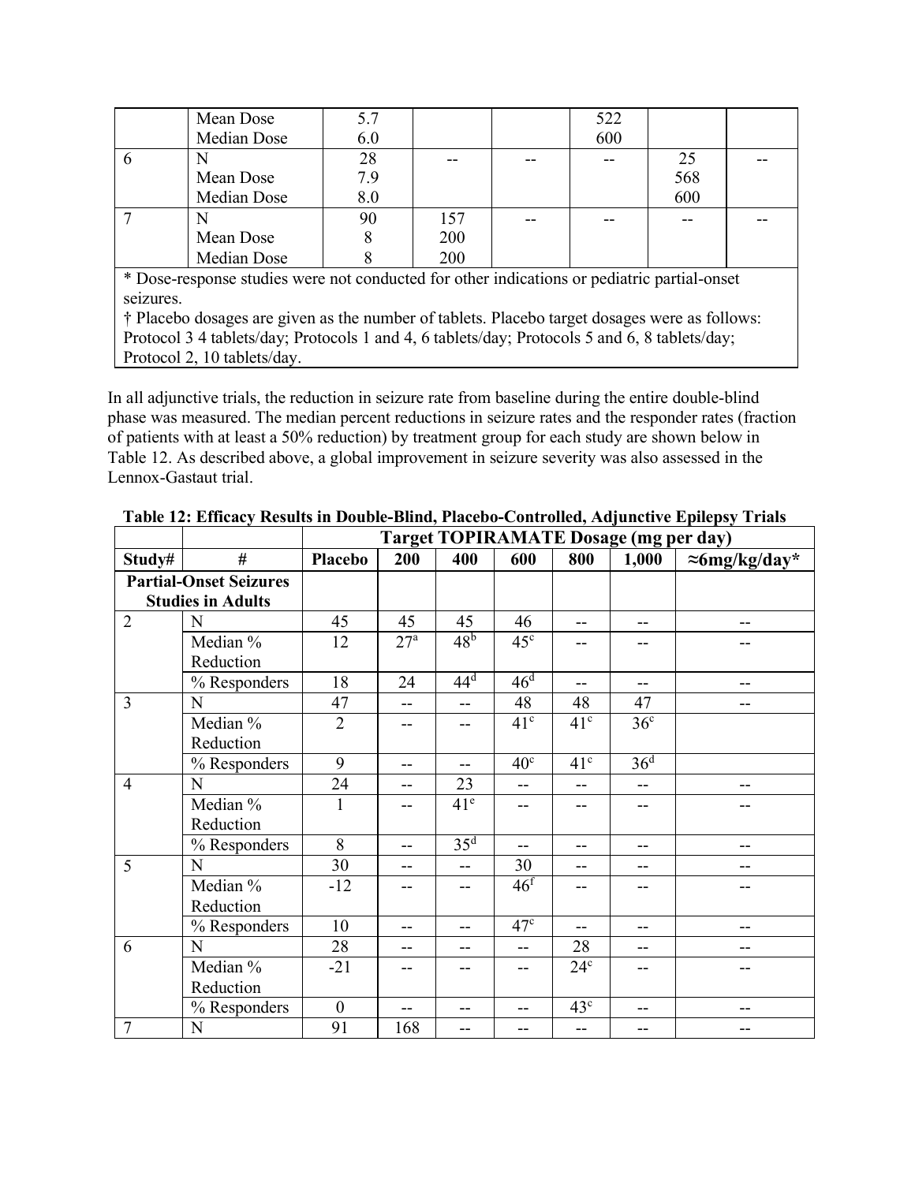|   | Mean Dose<br>Median Dose | 5.7<br>6.0 |     | 522<br>600 |     |  |
|---|--------------------------|------------|-----|------------|-----|--|
| b | N                        | 28         |     |            | 25  |  |
|   | Mean Dose                | 7.9        |     |            | 568 |  |
|   | Median Dose              | 8.0        |     |            | 600 |  |
|   | N                        | 90         | 157 |            |     |  |
|   | Mean Dose                |            | 200 |            |     |  |
|   | Median Dose              |            | 200 |            |     |  |

\* Dose-response studies were not conducted for other indications or pediatric partial-onset seizures.

† Placebo dosages are given as the number of tablets. Placebo target dosages were as follows: Protocol 3 4 tablets/day; Protocols 1 and 4, 6 tablets/day; Protocols 5 and 6, 8 tablets/day; Protocol 2, 10 tablets/day.

In all adjunctive trials, the reduction in seizure rate from baseline during the entire double-blind phase was measured. The median percent reductions in seizure rates and the responder rates (fraction of patients with at least a 50% reduction) by treatment group for each study are shown below in Table 12. As described above, a global improvement in seizure severity was also assessed in the Lennox-Gastaut trial.

|                |                               |                  | <b>Target TOPIRAMATE Dosage (mg per day)</b> |                 |                 |                   |                 |                       |  |  |
|----------------|-------------------------------|------------------|----------------------------------------------|-----------------|-----------------|-------------------|-----------------|-----------------------|--|--|
| Study#         | #                             | <b>Placebo</b>   | 200                                          | 400             | 600             | 800               | 1,000           | $\approx$ 6mg/kg/day* |  |  |
|                | <b>Partial-Onset Seizures</b> |                  |                                              |                 |                 |                   |                 |                       |  |  |
|                | <b>Studies in Adults</b>      |                  |                                              |                 |                 |                   |                 |                       |  |  |
| $\overline{2}$ | N                             | 45               | 45                                           | 45              | 46              | --                | $-$             | $-$                   |  |  |
|                | Median %                      | 12               | 27 <sup>a</sup>                              | 48 <sup>b</sup> | $45^{\circ}$    | --                | --              | --                    |  |  |
|                | Reduction                     |                  |                                              |                 |                 |                   |                 |                       |  |  |
|                | % Responders                  | 18               | 24                                           | $44^d$          | 46 <sup>d</sup> | $-$               | $-$             | $-$                   |  |  |
| 3              | N                             | 47               | $-$                                          | $-$             | 48              | 48                | 47              | $-$                   |  |  |
|                | Median %                      | $\overline{2}$   | --                                           | $-$             | 41 <sup>c</sup> | 41 <sup>c</sup>   | 36 <sup>c</sup> |                       |  |  |
|                | Reduction                     |                  |                                              |                 |                 |                   |                 |                       |  |  |
|                | % Responders                  | 9                | $-$                                          | $-$             | 40 <sup>c</sup> | 41 <sup>c</sup>   | 36 <sup>d</sup> |                       |  |  |
| $\overline{4}$ | N                             | 24               | $-$                                          | 23              | $-$             | $-$               | $-$             | $-$                   |  |  |
|                | Median %                      | 1                | --                                           | 41 <sup>e</sup> | $-$             |                   | --              |                       |  |  |
|                | Reduction                     |                  |                                              |                 |                 |                   |                 |                       |  |  |
|                | % Responders                  | 8                | $-$                                          | 35 <sup>d</sup> | $-$             | $\qquad \qquad -$ | --              | $\qquad \qquad -$     |  |  |
| 5              | N                             | 30               | $-$                                          | $-$             | 30              | --                | --              | --                    |  |  |
|                | Median %                      | $-12$            | $-$                                          | $-$             | 46 <sup>f</sup> | --                | --              | --                    |  |  |
|                | Reduction                     |                  |                                              |                 |                 |                   |                 |                       |  |  |
|                | % Responders                  | 10               | $-$                                          | $-$             | 47 <sup>c</sup> | $- -$             | $-$             | $-$                   |  |  |
| 6              | N                             | 28               | $-$                                          | $-$             | $-$             | 28                | $- -$           | --                    |  |  |
|                | Median %                      | $-21$            | $-$                                          | $-$             | $-$             | 24 <sup>c</sup>   | --              | --                    |  |  |
|                | Reduction                     |                  |                                              |                 |                 |                   |                 |                       |  |  |
|                | % Responders                  | $\boldsymbol{0}$ | $-$                                          | $-$             | $- -$           | 43 <sup>c</sup>   | $- -$           | --                    |  |  |
| $\overline{7}$ | $\mathbf N$                   | 91               | 168                                          | $-$             | --              | $\qquad \qquad -$ | --              | $-$                   |  |  |

**Table 12: Efficacy Results in Double-Blind, Placebo-Controlled, Adjunctive Epilepsy Trials**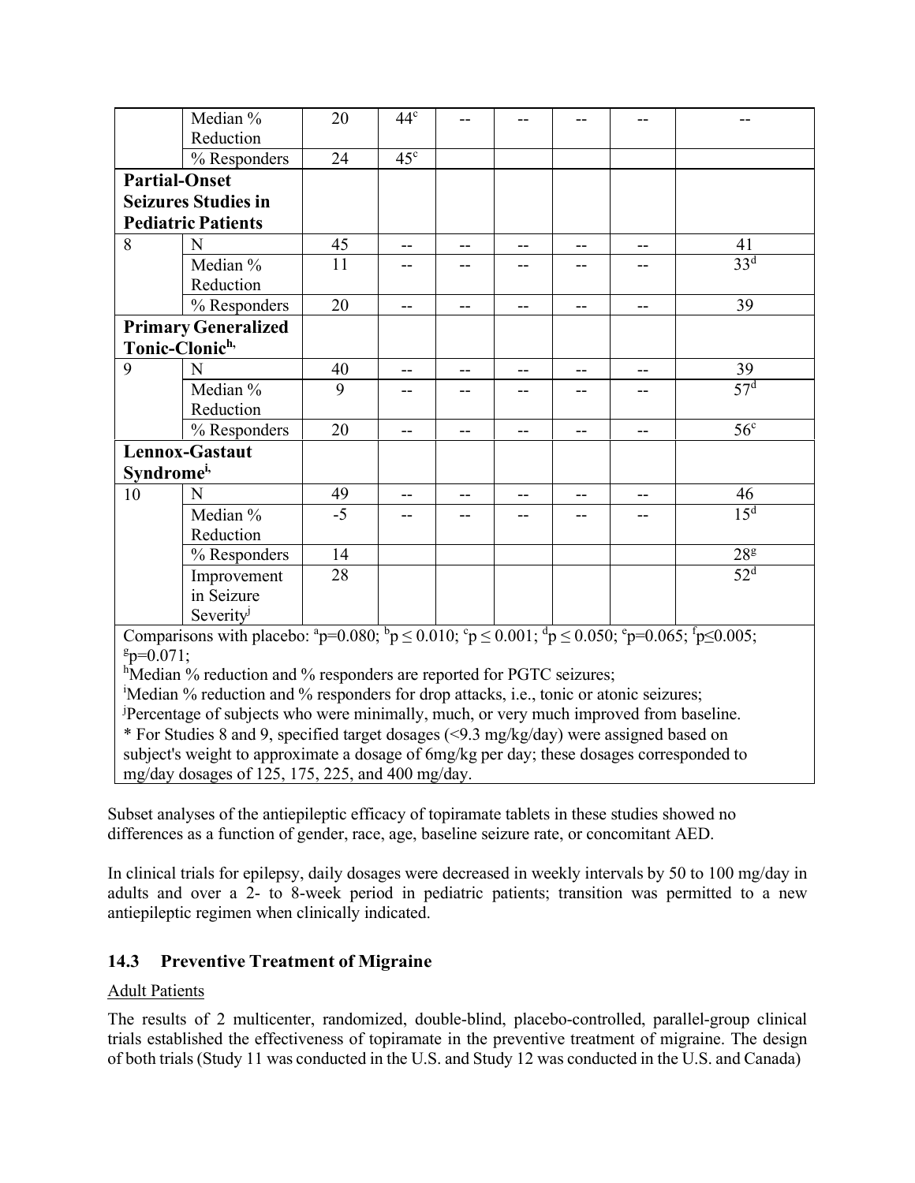|                        | Median %                                                                                                                                      | $20\,$ | 44 <sup>c</sup>          |    |       |                                       |                   |                 |
|------------------------|-----------------------------------------------------------------------------------------------------------------------------------------------|--------|--------------------------|----|-------|---------------------------------------|-------------------|-----------------|
|                        | Reduction                                                                                                                                     |        |                          |    |       |                                       |                   |                 |
|                        | % Responders                                                                                                                                  | 24     | 45 <sup>c</sup>          |    |       |                                       |                   |                 |
| <b>Partial-Onset</b>   |                                                                                                                                               |        |                          |    |       |                                       |                   |                 |
|                        | <b>Seizures Studies in</b>                                                                                                                    |        |                          |    |       |                                       |                   |                 |
|                        | <b>Pediatric Patients</b>                                                                                                                     |        |                          |    |       |                                       |                   |                 |
| 8                      | N                                                                                                                                             | 45     | $\overline{\phantom{m}}$ | -- | --    | $-\,-$                                | $\qquad \qquad -$ | 41              |
|                        | Median %                                                                                                                                      | 11     | --                       |    |       |                                       |                   | 33 <sup>d</sup> |
|                        | Reduction                                                                                                                                     |        |                          |    |       |                                       |                   |                 |
|                        | % Responders                                                                                                                                  | 20     | $-$                      | -- | $-$   | $-$                                   | $--$              | 39              |
|                        | <b>Primary Generalized</b>                                                                                                                    |        |                          |    |       |                                       |                   |                 |
| Tonic-Clonich,         |                                                                                                                                               |        |                          |    |       |                                       |                   |                 |
| 9                      | N                                                                                                                                             | 40     | $-$                      | -- | --    | $\hspace{0.05cm}$ – $\hspace{0.05cm}$ | $--$              | 39              |
|                        | Median %                                                                                                                                      | 9      | $-$                      | -- | $- -$ |                                       | --                | 57 <sup>d</sup> |
|                        | Reduction                                                                                                                                     |        |                          |    |       |                                       |                   |                 |
|                        | % Responders                                                                                                                                  | 20     | $-$                      | -- | --    | --                                    | --                | 56 <sup>c</sup> |
| Lennox-Gastaut         |                                                                                                                                               |        |                          |    |       |                                       |                   |                 |
| Syndrome <sup>i,</sup> |                                                                                                                                               |        |                          |    |       |                                       |                   |                 |
| 10                     | N                                                                                                                                             | 49     | --                       | -- | --    |                                       |                   | 46              |
|                        | Median %                                                                                                                                      | $-5$   | --                       | -- | --    |                                       | --                | 15 <sup>d</sup> |
|                        | Reduction                                                                                                                                     |        |                          |    |       |                                       |                   |                 |
|                        | % Responders                                                                                                                                  | 14     |                          |    |       |                                       |                   | 28 <sup>g</sup> |
|                        | Improvement                                                                                                                                   | 28     |                          |    |       |                                       |                   | 52 <sup>d</sup> |
|                        | in Seizure                                                                                                                                    |        |                          |    |       |                                       |                   |                 |
|                        | Severity                                                                                                                                      |        |                          |    |       |                                       |                   |                 |
|                        | Comparisons with placebo: $^{a}p=0.080$ ; $^{b}p \leq 0.010$ ; $^{c}p \leq 0.001$ ; $^{d}p \leq 0.050$ ; $^{e}p=0.065$ ; $^{f}p \leq 0.005$ ; |        |                          |    |       |                                       |                   |                 |
| $g_{p=0.071}$ ;        |                                                                                                                                               |        |                          |    |       |                                       |                   |                 |
|                        | <sup>h</sup> Median % reduction and % responders are reported for PGTC seizures;                                                              |        |                          |    |       |                                       |                   |                 |
|                        | 'Median % reduction and % responders for drop attacks, i.e., tonic or atonic seizures;                                                        |        |                          |    |       |                                       |                   |                 |
|                        | Percentage of subjects who were minimally, much, or very much improved from baseline.                                                         |        |                          |    |       |                                       |                   |                 |
|                        | * For Studies 8 and 9, specified target dosages (<9.3 mg/kg/day) were assigned based on                                                       |        |                          |    |       |                                       |                   |                 |
|                        | subject's weight to approximate a dosage of 6mg/kg per day; these dosages corresponded to                                                     |        |                          |    |       |                                       |                   |                 |
|                        | mg/day dosages of 125, 175, 225, and 400 mg/day.                                                                                              |        |                          |    |       |                                       |                   |                 |

Subset analyses of the antiepileptic efficacy of topiramate tablets in these studies showed no differences as a function of gender, race, age, baseline seizure rate, or concomitant AED.

In clinical trials for epilepsy, daily dosages were decreased in weekly intervals by 50 to 100 mg/day in adults and over a 2- to 8-week period in pediatric patients; transition was permitted to a new antiepileptic regimen when clinically indicated.

### <span id="page-41-0"></span>**14.3 Preventive Treatment of Migraine**

### Adult Patients

The results of 2 multicenter, randomized, double-blind, placebo-controlled, parallel-group clinical trials established the effectiveness of topiramate in the preventive treatment of migraine. The design of both trials (Study 11 was conducted in the U.S. and Study 12 was conducted in the U.S. and Canada)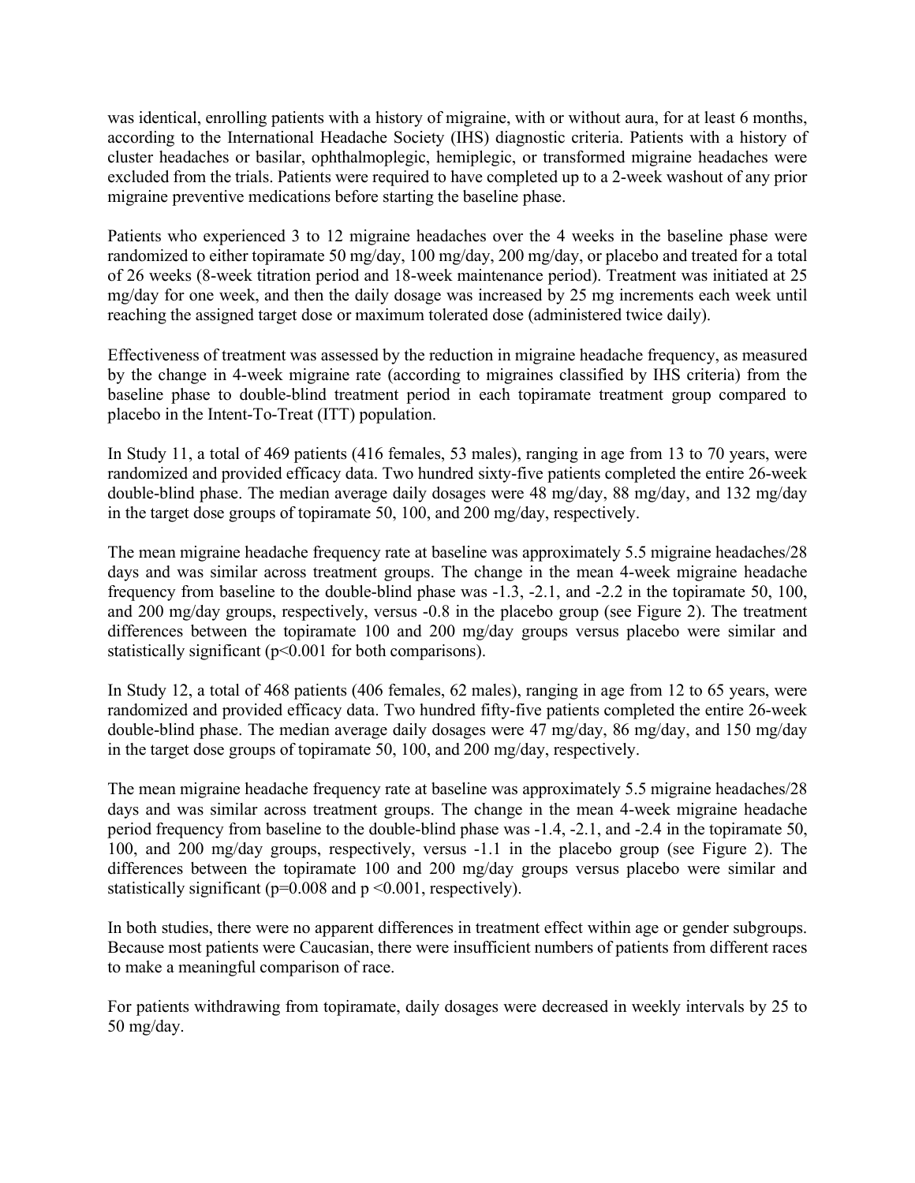was identical, enrolling patients with a history of migraine, with or without aura, for at least 6 months, according to the International Headache Society (IHS) diagnostic criteria. Patients with a history of cluster headaches or basilar, ophthalmoplegic, hemiplegic, or transformed migraine headaches were excluded from the trials. Patients were required to have completed up to a 2-week washout of any prior migraine preventive medications before starting the baseline phase.

Patients who experienced 3 to 12 migraine headaches over the 4 weeks in the baseline phase were randomized to either topiramate 50 mg/day, 100 mg/day, 200 mg/day, or placebo and treated for a total of 26 weeks (8-week titration period and 18-week maintenance period). Treatment was initiated at 25 mg/day for one week, and then the daily dosage was increased by 25 mg increments each week until reaching the assigned target dose or maximum tolerated dose (administered twice daily).

Effectiveness of treatment was assessed by the reduction in migraine headache frequency, as measured by the change in 4-week migraine rate (according to migraines classified by IHS criteria) from the baseline phase to double-blind treatment period in each topiramate treatment group compared to placebo in the Intent-To-Treat (ITT) population.

In Study 11, a total of 469 patients (416 females, 53 males), ranging in age from 13 to 70 years, were randomized and provided efficacy data. Two hundred sixty-five patients completed the entire 26-week double-blind phase. The median average daily dosages were 48 mg/day, 88 mg/day, and 132 mg/day in the target dose groups of topiramate 50, 100, and 200 mg/day, respectively.

The mean migraine headache frequency rate at baseline was approximately 5.5 migraine headaches/28 days and was similar across treatment groups. The change in the mean 4-week migraine headache frequency from baseline to the double-blind phase was -1.3, -2.1, and -2.2 in the topiramate 50, 100, and 200 mg/day groups, respectively, versus -0.8 in the placebo group (see Figure 2). The treatment differences between the topiramate 100 and 200 mg/day groups versus placebo were similar and statistically significant  $(p< 0.001$  for both comparisons).

In Study 12, a total of 468 patients (406 females, 62 males), ranging in age from 12 to 65 years, were randomized and provided efficacy data. Two hundred fifty-five patients completed the entire 26-week double-blind phase. The median average daily dosages were 47 mg/day, 86 mg/day, and 150 mg/day in the target dose groups of topiramate 50, 100, and 200 mg/day, respectively.

The mean migraine headache frequency rate at baseline was approximately 5.5 migraine headaches/28 days and was similar across treatment groups. The change in the mean 4-week migraine headache period frequency from baseline to the double-blind phase was -1.4, -2.1, and -2.4 in the topiramate 50, 100, and 200 mg/day groups, respectively, versus -1.1 in the placebo group (see Figure 2). The differences between the topiramate 100 and 200 mg/day groups versus placebo were similar and statistically significant ( $p=0.008$  and  $p \le 0.001$ , respectively).

In both studies, there were no apparent differences in treatment effect within age or gender subgroups. Because most patients were Caucasian, there were insufficient numbers of patients from different races to make a meaningful comparison of race.

For patients withdrawing from topiramate, daily dosages were decreased in weekly intervals by 25 to 50 mg/day.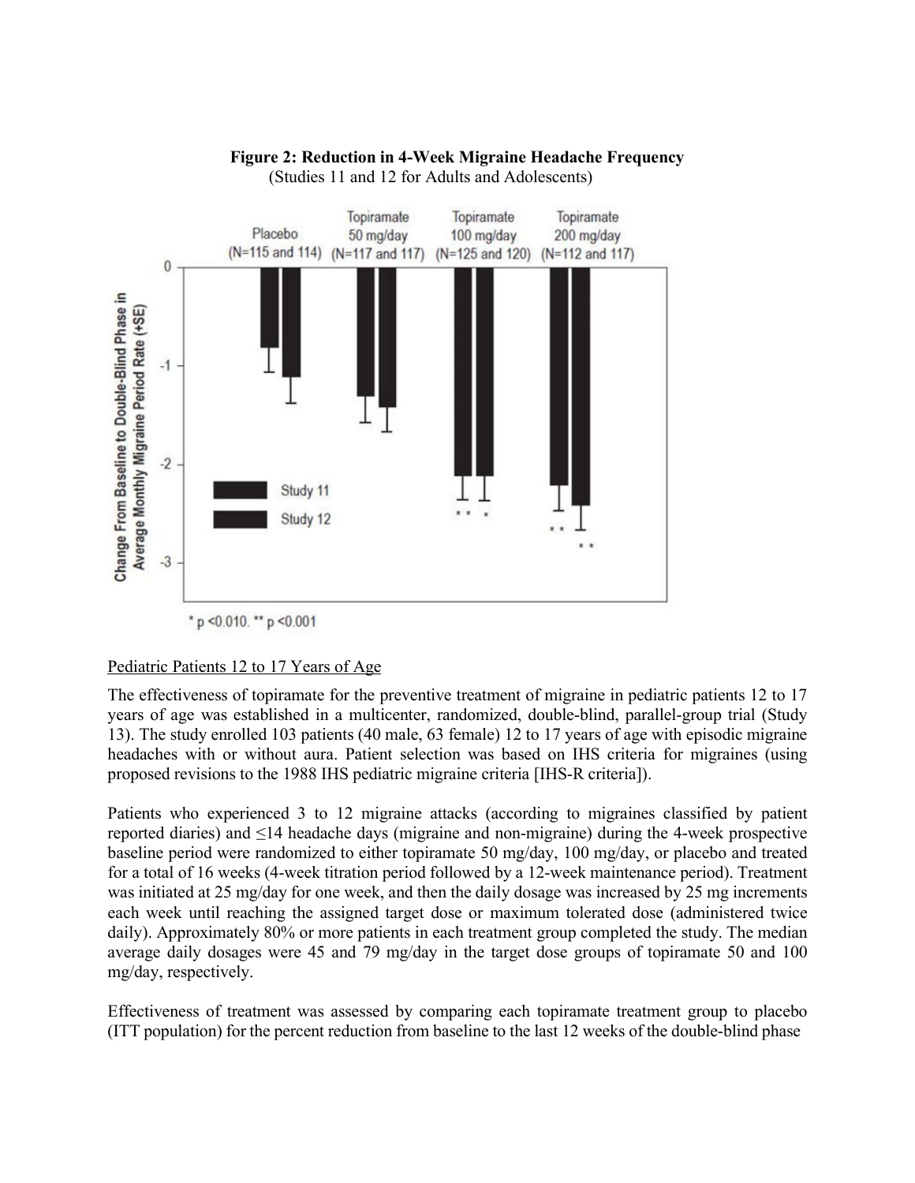

### **Figure 2: Reduction in 4-Week Migraine Headache Frequency**

(Studies 11 and 12 for Adults and Adolescents)

Pediatric Patients 12 to 17 Years of Age

The effectiveness of topiramate for the preventive treatment of migraine in pediatric patients 12 to 17 years of age was established in a multicenter, randomized, double-blind, parallel-group trial (Study 13). The study enrolled 103 patients (40 male, 63 female) 12 to 17 years of age with episodic migraine headaches with or without aura. Patient selection was based on IHS criteria for migraines (using proposed revisions to the 1988 IHS pediatric migraine criteria [IHS-R criteria]).

Patients who experienced 3 to 12 migraine attacks (according to migraines classified by patient reported diaries) and ≤14 headache days (migraine and non-migraine) during the 4-week prospective baseline period were randomized to either topiramate 50 mg/day, 100 mg/day, or placebo and treated for a total of 16 weeks (4-week titration period followed by a 12-week maintenance period). Treatment was initiated at 25 mg/day for one week, and then the daily dosage was increased by 25 mg increments each week until reaching the assigned target dose or maximum tolerated dose (administered twice daily). Approximately 80% or more patients in each treatment group completed the study. The median average daily dosages were 45 and 79 mg/day in the target dose groups of topiramate 50 and 100 mg/day, respectively.

Effectiveness of treatment was assessed by comparing each topiramate treatment group to placebo (ITT population) for the percent reduction from baseline to the last 12 weeks of the double-blind phase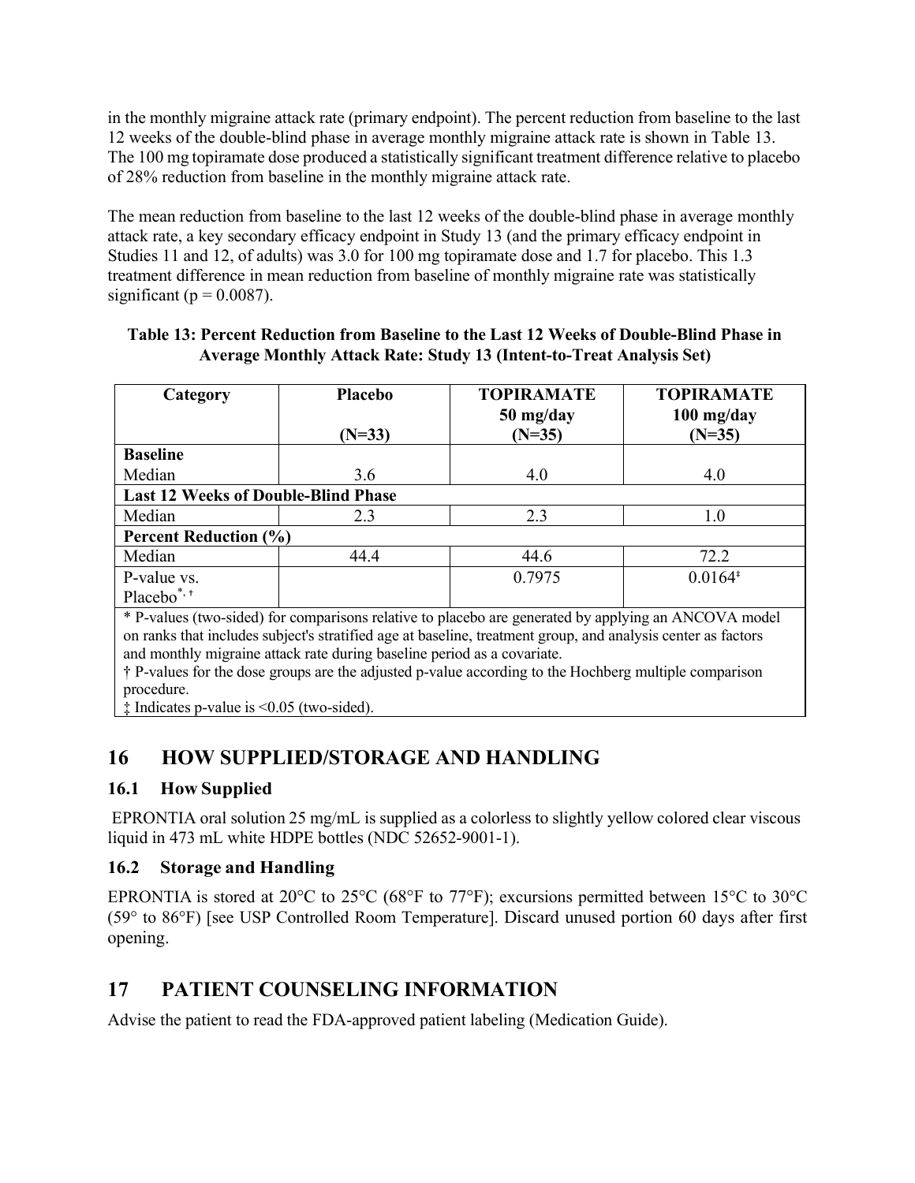in the monthly migraine attack rate (primary endpoint). The percent reduction from baseline to the last 12 weeks of the double-blind phase in average monthly migraine attack rate is shown in Table 13. The 100 mg topiramate dose produced a statistically significant treatment difference relative to placebo of 28% reduction from baseline in the monthly migraine attack rate.

The mean reduction from baseline to the last 12 weeks of the double-blind phase in average monthly attack rate, a key secondary efficacy endpoint in Study 13 (and the primary efficacy endpoint in Studies 11 and 12, of adults) was 3.0 for 100 mg topiramate dose and 1.7 for placebo. This 1.3 treatment difference in mean reduction from baseline of monthly migraine rate was statistically significant ( $p = 0.0087$ ).

| Table 13: Percent Reduction from Baseline to the Last 12 Weeks of Double-Blind Phase in |  |
|-----------------------------------------------------------------------------------------|--|
| <b>Average Monthly Attack Rate: Study 13 (Intent-to-Treat Analysis Set)</b>             |  |

| Category                                                                                                                                                                                                                                                                                                                                                                                                               | <b>Placebo</b><br>$(N=33)$ | <b>TOPIRAMATE</b><br>$50$ mg/day<br>$(N=35)$ | <b>TOPIRAMATE</b><br>$100$ mg/day<br>$(N=35)$ |
|------------------------------------------------------------------------------------------------------------------------------------------------------------------------------------------------------------------------------------------------------------------------------------------------------------------------------------------------------------------------------------------------------------------------|----------------------------|----------------------------------------------|-----------------------------------------------|
| <b>Baseline</b>                                                                                                                                                                                                                                                                                                                                                                                                        |                            |                                              |                                               |
| Median                                                                                                                                                                                                                                                                                                                                                                                                                 | 3.6                        | 4.0                                          | 4.0                                           |
| <b>Last 12 Weeks of Double-Blind Phase</b>                                                                                                                                                                                                                                                                                                                                                                             |                            |                                              |                                               |
| Median                                                                                                                                                                                                                                                                                                                                                                                                                 | 2.3                        | 2.3                                          | 1.0                                           |
| <b>Percent Reduction (%)</b>                                                                                                                                                                                                                                                                                                                                                                                           |                            |                                              |                                               |
| Median                                                                                                                                                                                                                                                                                                                                                                                                                 | 44.4                       | 44.6                                         | 72.2                                          |
| P-value vs.                                                                                                                                                                                                                                                                                                                                                                                                            |                            | 0.7975                                       | $0.0164*$                                     |
| Placebo <sup>*,+</sup>                                                                                                                                                                                                                                                                                                                                                                                                 |                            |                                              |                                               |
| * P-values (two-sided) for comparisons relative to placebo are generated by applying an ANCOVA model<br>on ranks that includes subject's stratified age at baseline, treatment group, and analysis center as factors<br>and monthly migraine attack rate during baseline period as a covariate.<br>† P-values for the dose groups are the adjusted p-value according to the Hochberg multiple comparison<br>procedure. |                            |                                              |                                               |

‡ Indicates p-value is <0.05 (two-sided).

# <span id="page-44-0"></span>**16 HOW SUPPLIED/STORAGE AND HANDLING**

## <span id="page-44-1"></span>**16.1 How Supplied**

EPRONTIA oral solution 25 mg/mL is supplied as a colorless to slightly yellow colored clear viscous liquid in 473 mL white HDPE bottles (NDC 52652-9001-1).

## <span id="page-44-2"></span>**16.2 Storage and Handling**

EPRONTIA is stored at 20°C to 25°C (68°F to 77°F); excursions permitted between 15°C to 30°C (59° to 86°F) [see USP Controlled Room Temperature]. Discard unused portion 60 days after first opening.

# <span id="page-44-3"></span>**17 PATIENT COUNSELING INFORMATION**

Advise the patient to read the FDA-approved patient labeling (Medication Guide).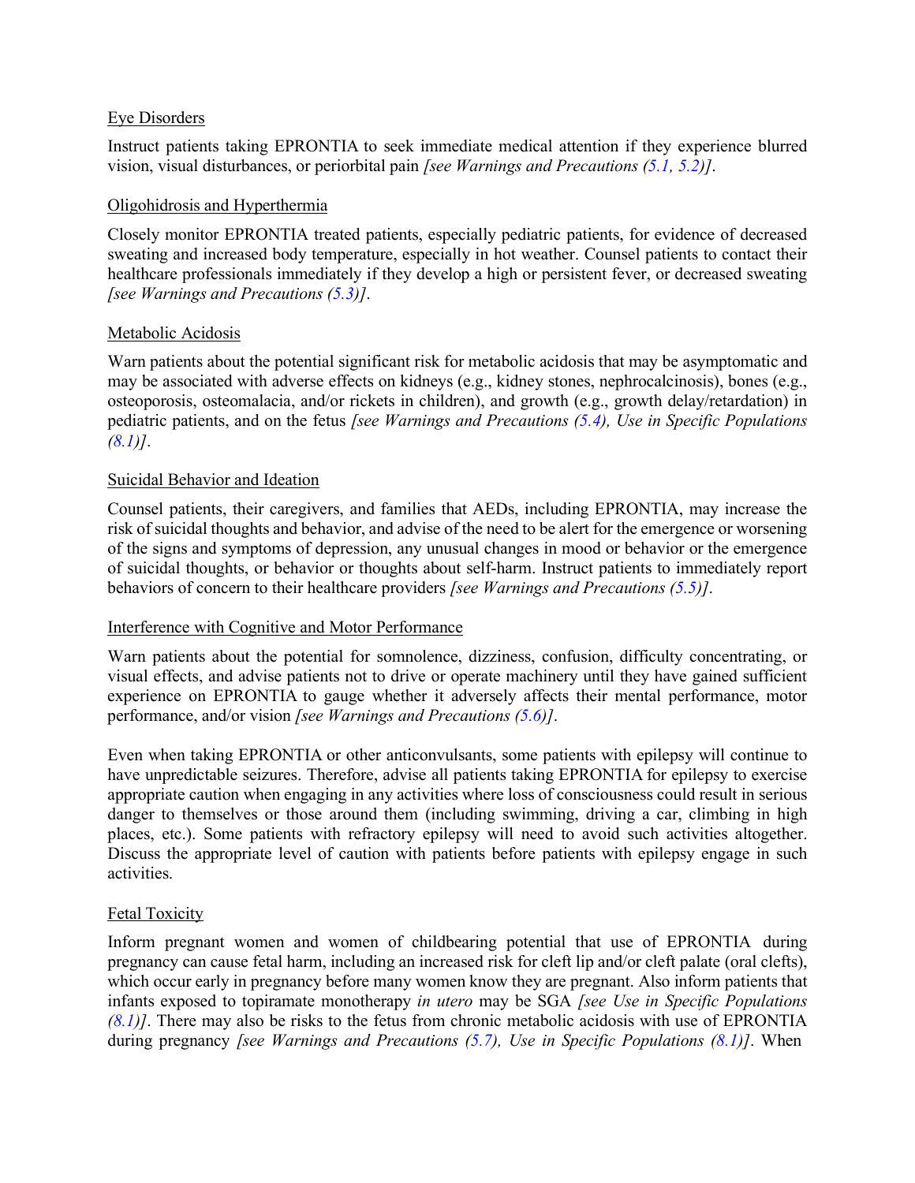#### Eye Disorders

Instruct patients taking EPRONTIA to seek immediate medical attention if they experience blurred vision, visual disturbances, or periorbital pain *[see Warnings and Precautions [\(5.1,](#page-4-5) [5.2\)](#page-5-0)]*.

#### Oligohidrosis and Hyperthermia

Closely monitor EPRONTIA treated patients, especially pediatric patients, for evidence of decreased sweating and increased body temperature, especially in hot weather. Counsel patients to contact their healthcare professionals immediately if they develop a high or persistent fever, or decreased sweating *[see Warnings and Precautions [\(5.3\)](#page-5-1)]*.

#### Metabolic Acidosis

Warn patients about the potential significant risk for metabolic acidosis that may be asymptomatic and may be associated with adverse effects on kidneys (e.g., kidney stones, nephrocalcinosis), bones (e.g., osteoporosis, osteomalacia, and/or rickets in children), and growth (e.g., growth delay/retardation) in pediatric patients, and on the fetus *[see Warnings and Precautions [\(5.4\)](#page-5-2), Use in Specific Populations [\(8.1\)](#page-23-2)]*.

#### Suicidal Behavior and Ideation

Counsel patients, their caregivers, and families that AEDs, including EPRONTIA, may increase the risk of suicidal thoughts and behavior, and advise of the need to be alert for the emergence or worsening of the signs and symptoms of depression, any unusual changes in mood or behavior or the emergence of suicidal thoughts, or behavior or thoughts about self-harm. Instruct patients to immediately report behaviors of concern to their healthcare providers *[see Warnings and Precautions [\(5.5\)](#page-6-0)]*.

#### Interference with Cognitive and Motor Performance

Warn patients about the potential for somnolence, dizziness, confusion, difficulty concentrating, or visual effects, and advise patients not to drive or operate machinery until they have gained sufficient experience on EPRONTIA to gauge whether it adversely affects their mental performance, motor performance, and/or vision *[see Warnings and Precautions [\(5.6\)](#page-7-0)]*.

Even when taking EPRONTIA or other anticonvulsants, some patients with epilepsy will continue to have unpredictable seizures. Therefore, advise all patients taking EPRONTIA for epilepsy to exercise appropriate caution when engaging in any activities where loss of consciousness could result in serious danger to themselves or those around them (including swimming, driving a car, climbing in high places, etc.). Some patients with refractory epilepsy will need to avoid such activities altogether. Discuss the appropriate level of caution with patients before patients with epilepsy engage in such activities.

### Fetal Toxicity

Inform pregnant women and women of childbearing potential that use of EPRONTIA during pregnancy can cause fetal harm, including an increased risk for cleft lip and/or cleft palate (oral clefts), which occur early in pregnancy before many women know they are pregnant. Also inform patients that infants exposed to topiramate monotherapy *in utero* may be SGA *[see Use in Specific Populations [\(8.1\)](#page-23-2)]*. There may also be risks to the fetus from chronic metabolic acidosis with use of EPRONTIA during pregnancy *[see Warnings and Precautions [\(5.7\)](#page-8-0), Use in Specific Populations [\(8.1\)](#page-23-2)]*. When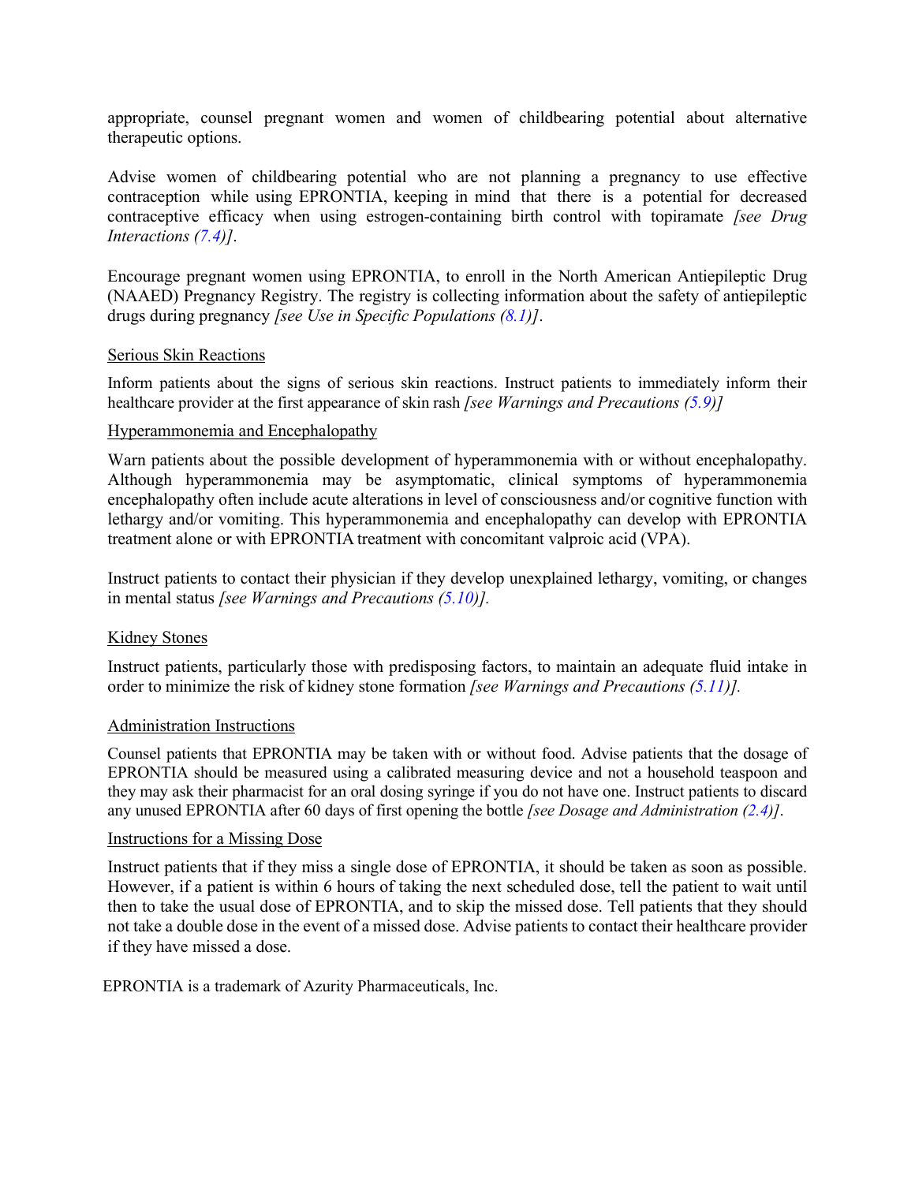appropriate, counsel pregnant women and women of childbearing potential about alternative therapeutic options.

Advise women of childbearing potential who are not planning a pregnancy to use effective contraception while using EPRONTIA, keeping in mind that there is a potential for decreased contraceptive efficacy when using estrogen-containing birth control with topiramate *[see Drug Interactions [\(7.4\)](#page-22-0)]*.

Encourage pregnant women using EPRONTIA, to enroll in the North American Antiepileptic Drug (NAAED) Pregnancy Registry. The registry is collecting information about the safety of antiepileptic drugs during pregnancy *[see Use in Specific Populations [\(8.1\)](#page-23-2)]*.

#### Serious Skin Reactions

Inform patients about the signs of serious skin reactions. Instruct patients to immediately inform their healthcare provider at the first appearance of skin rash *[see Warnings and Precautions [\(5.9\)](#page-9-2)]*

#### Hyperammonemia and Encephalopathy

Warn patients about the possible development of hyperammonemia with or without encephalopathy. Although hyperammonemia may be asymptomatic, clinical symptoms of hyperammonemia encephalopathy often include acute alterations in level of consciousness and/or cognitive function with lethargy and/or vomiting. This hyperammonemia and encephalopathy can develop with EPRONTIA treatment alone or with EPRONTIA treatment with concomitant valproic acid (VPA).

Instruct patients to contact their physician if they develop unexplained lethargy, vomiting, or changes in mental status *[see Warnings and Precautions [\(5.10\)](#page-9-1)].*

#### Kidney Stones

Instruct patients, particularly those with predisposing factors, to maintain an adequate fluid intake in order to minimize the risk of kidney stone formation *[see Warnings and Precautions [\(5.11\)](#page-10-0)].*

#### Administration Instructions

Counsel patients that EPRONTIA may be taken with or without food. Advise patients that the dosage of EPRONTIA should be measured using a calibrated measuring device and not a household teaspoon and they may ask their pharmacist for an oral dosing syringe if you do not have one. Instruct patients to discard any unused EPRONTIA after 60 days of first opening the bottle *[see Dosage and Administration [\(2.4\)](#page-4-0)]*.

#### Instructions for a Missing Dose

Instruct patients that if they miss a single dose of EPRONTIA, it should be taken as soon as possible. However, if a patient is within 6 hours of taking the next scheduled dose, tell the patient to wait until then to take the usual dose of EPRONTIA, and to skip the missed dose. Tell patients that they should not take a double dose in the event of a missed dose. Advise patients to contact their healthcare provider if they have missed a dose.

EPRONTIA is a trademark of Azurity Pharmaceuticals, Inc.